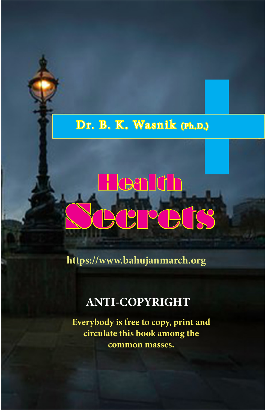### Dr. B. K. Wasnik (Ph.D.)

# **Health Secrets**

**https://www.bahujanmarch.org**

#### **ANTI-COPYRIGHT**

**Everybody is free to copy, print and circulate this book among the common masses.**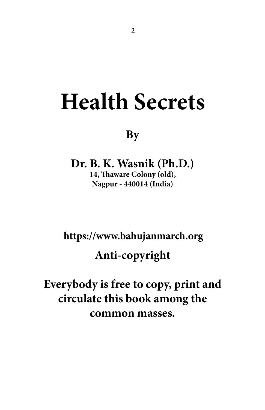## **Health Secrets**

**By**

**Dr. B. K. Wasnik (Ph.D.) 14, Thaware Colony (old), Nagpur - 440014 (India)**

**https://www.bahujanmarch.org**

**Anti-copyright**

**Everybody is free to copy, print and circulate this book among the common masses.**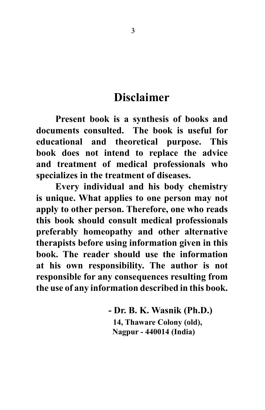#### **Disclaimer**

**Present book is a synthesis of books and documents consulted. The book is useful for educational and theoretical purpose. This book does not intend to replace the advice and treatment of medical professionals who specializes in the treatment of diseases.** 

**Every individual and his body chemistry is unique. What applies to one person may not apply to other person. Therefore, one who reads this book should consult medical professionals preferably homeopathy and other alternative therapists before using information given in this book. The reader should use the information at his own responsibility. The author is not responsible for any consequences resulting from the use of any information described in this book.** 

> **- Dr. B. K. Wasnik (Ph.D.) 14, Thaware Colony (old), Nagpur - 440014 (India)**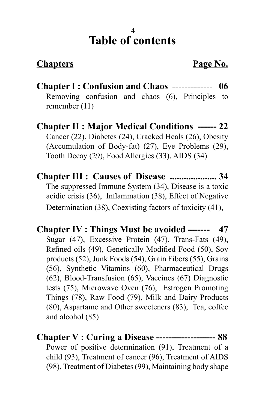#### 4 **Table of contents**

**Chapters** Page No.

**Chapter I : Confusion and Chaos** ------------- **06** Removing confusion and chaos (6), Principles to remember (11)

**Chapter II : Major Medical Conditions ------ 22** Cancer (22), Diabetes (24), Cracked Heals (26), Obesity (Accumulation of Body-fat) (27), Eye Problems (29), Tooth Decay (29), Food Allergies (33), AIDS (34)

**Chapter III : Causes of Disease .................... 34** The suppressed Immune System (34), Disease is a toxic acidic crisis (36), Inflammation (38), Effect of Negative Determination (38), Coexisting factors of toxicity (41),

**Chapter IV : Things Must be avoided ------- 47** Sugar (47), Excessive Protein (47), Trans-Fats (49), Refined oils (49), Genetically Modified Food (50), Soy products (52), Junk Foods (54), Grain Fibers (55), Grains (56), Synthetic Vitamins (60), Pharmaceutical Drugs (62), Blood-Transfusion (65), Vaccines (67) Diagnostic tests (75), Microwave Oven (76), Estrogen Promoting Things (78), Raw Food (79), Milk and Dairy Products (80), Aspartame and Other sweeteners (83), Tea, coffee and alcohol (85)

**Chapter V : Curing a Disease ------------------- 88** Power of positive determination (91), Treatment of a child (93), Treatment of cancer (96), Treatment of AIDS (98), Treatment of Diabetes (99), Maintaining body shape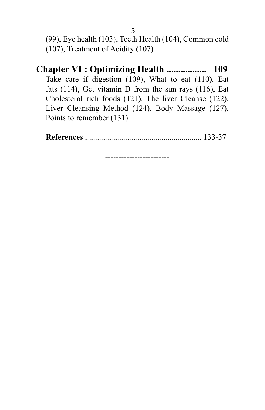5

(99), Eye health (103), Teeth Health (104), Common cold (107), Treatment of Acidity (107)

**Chapter VI : Optimizing Health ................. 109** Take care if digestion (109), What to eat (110), Eat fats (114), Get vitamin D from the sun rays (116), Eat Cholesterol rich foods (121), The liver Cleanse (122), Liver Cleansing Method (124), Body Massage (127), Points to remember (131)

**References** .......................................................... 133-37

------------------------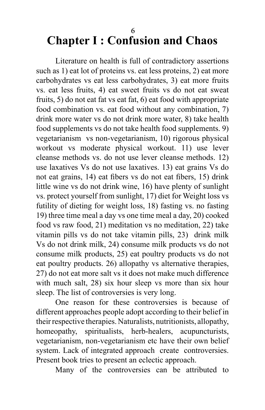#### 6 **Chapter I : Confusion and Chaos**

Literature on health is full of contradictory assertions such as 1) eat lot of proteins vs. eat less proteins, 2) eat more carbohydrates vs eat less carbohydrates, 3) eat more fruits vs. eat less fruits, 4) eat sweet fruits vs do not eat sweat fruits, 5) do not eat fat vs eat fat, 6) eat food with appropriate food combination vs. eat food without any combination, 7) drink more water vs do not drink more water, 8) take health food supplements vs do not take health food supplements. 9) vegetarianism vs non-vegetarianism, 10) rigorous physical workout vs moderate physical workout. 11) use lever cleanse methods vs. do not use lever cleanse methods. 12) use laxatives Vs do not use laxatives. 13) eat grains Vs do not eat grains, 14) eat fibers vs do not eat fibers, 15) drink little wine vs do not drink wine, 16) have plenty of sunlight vs. protect yourself from sunlight, 17) diet for Weight loss vs futility of dieting for weight loss, 18) fasting vs. no fasting 19) three time meal a day vs one time meal a day, 20) cooked food vs raw food, 21) meditation vs no meditation, 22) take vitamin pills vs do not take vitamin pills, 23) drink milk Vs do not drink milk, 24) consume milk products vs do not consume milk products, 25) eat poultry products vs do not eat poultry products. 26) allopathy vs alternative therapies, 27) do not eat more salt vs it does not make much difference with much salt, 28) six hour sleep vs more than six hour sleep. The list of controversies is very long.

One reason for these controversies is because of different approaches people adopt according to their belief in their respective therapies. Naturalists, nutritionists, allopathy, homeopathy, spiritualists, herb-healers, acupuncturists, vegetarianism, non-vegetarianism etc have their own belief system. Lack of integrated approach create controversies. Present book tries to present an eclectic approach.

Many of the controversies can be attributed to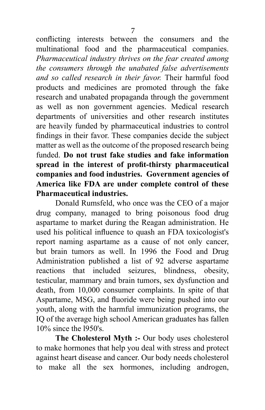conflicting interests between the consumers and the multinational food and the pharmaceutical companies. *Pharmaceutical industry thrives on the fear created among the consumers through the unabated false advertisements and so called research in their favor.* Their harmful food products and medicines are promoted through the fake research and unabated propaganda through the government as well as non government agencies. Medical research departments of universities and other research institutes are heavily funded by pharmaceutical industries to control findings in their favor. These companies decide the subject matter as well as the outcome of the proposed research being funded. **Do not trust fake studies and fake information spread in the interest of profit-thirsty pharmaceutical companies and food industries. Government agencies of America like FDA are under complete control of these Pharmaceutical industries.** 

Donald Rumsfeld, who once was the CEO of a major drug company, managed to bring poisonous food drug aspartame to market during the Reagan administration. He used his political influence to quash an FDA toxicologist's report naming aspartame as a cause of not only cancer, but brain tumors as well. In 1996 the Food and Drug Administration published a list of 92 adverse aspartame reactions that included seizures, blindness, obesity, testicular, mammary and brain tumors, sex dysfunction and death, from 10,000 consumer complaints. In spite of that Aspartame, MSG, and fluoride were being pushed into our youth, along with the harmful immunization programs, the IQ of the average high school American graduates has fallen 10% since the l950's.

The Cholesterol Myth :- Our body uses cholesterol to make hormones that help you deal with stress and protect against heart disease and cancer. Our body needs cholesterol to make all the sex hormones, including androgen,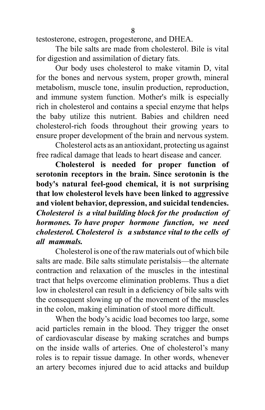testosterone, estrogen, progesterone, and DHEA.

The bile salts are made from cholesterol. Bile is vital for digestion and assimilation of dietary fats.

Our body uses cholesterol to make vitamin D, vital for the bones and nervous system, proper growth, mineral metabolism, muscle tone, insulin production, reproduction, and immune system function. Mother's milk is especially rich in cholesterol and contains a special enzyme that helps the baby utilize this nutrient. Babies and children need cholesterol-rich foods throughout their growing years to ensure proper development of the brain and nervous system.

Cholesterol acts as an antioxidant, protecting us against free radical damage that leads to heart disease and cancer.

**Cholesterol is needed for proper function of serotonin receptors in the brain. Since serotonin is the body's natural feel-good chemical, it is not surprising that low cholesterol levels have been linked to aggressive and violent behavior, depression, and suicidal tendencies.**  *Cholesterol is a vital building block for the production of hormones. To have proper hormone function, we need cholesterol. Cholesterol is a substance vital to the cells of all mammals.*

Cholesterol is one of the raw materials out of which bile salts are made. Bile salts stimulate peristalsis—the alternate contraction and relaxation of the muscles in the intestinal tract that helps overcome elimination problems. Thus a diet low in cholesterol can result in a deficiency of bile salts with the consequent slowing up of the movement of the muscles in the colon, making elimination of stool more difficult.

When the body's acidic load becomes too large, some acid particles remain in the blood. They trigger the onset of cardiovascular disease by making scratches and bumps on the inside walls of arteries. One of cholesterol's many roles is to repair tissue damage. In other words, whenever an artery becomes injured due to acid attacks and buildup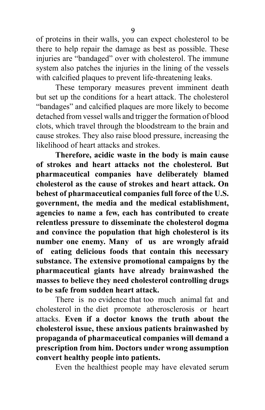of proteins in their walls, you can expect cholesterol to be there to help repair the damage as best as possible. These injuries are "bandaged" over with cholesterol. The immune system also patches the injuries in the lining of the vessels with calcified plaques to prevent life-threatening leaks.

These temporary measures prevent imminent death but set up the conditions for a heart attack. The cholesterol "bandages" and calcified plaques are more likely to become detached from vessel walls and trigger the formation of blood clots, which travel through the bloodstream to the brain and cause strokes. They also raise blood pressure, increasing the likelihood of heart attacks and strokes.

**Therefore, acidic waste in the body is main cause of strokes and heart attacks not the cholesterol. But pharmaceutical companies have deliberately blamed cholesterol as the cause of strokes and heart attack. On behest of pharmaceutical companies full force of the U.S. government, the media and the medical establishment, agencies to name a few, each has contributed to create relentless pressure to disseminate the cholesterol dogma and convince the population that high cholesterol is its number one enemy. Many of us are wrongly afraid of eating delicious foods that contain this necessary substance. The extensive promotional campaigns by the pharmaceutical giants have already brainwashed the masses to believe they need cholesterol controlling drugs to be safe from sudden heart attack.** 

There is no evidence that too much animal fat and cholesterol in the diet promote atherosclerosis or heart attacks. **Even if a doctor knows the truth about the cholesterol issue, these anxious patients brainwashed by propaganda of pharmaceutical companies will demand a prescription from him. Doctors under wrong assumption convert healthy people into patients.**

Even the healthiest people may have elevated serum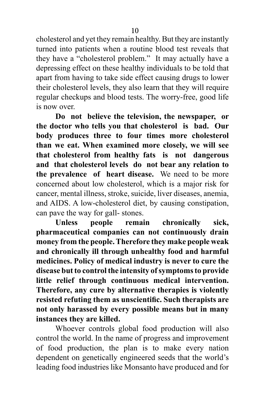cholesterol and yet they remain healthy. But they are instantly turned into patients when a routine blood test reveals that they have a "cholesterol problem." It may actually have a depressing effect on these healthy individuals to be told that apart from having to take side effect causing drugs to lower their cholesterol levels, they also learn that they will require regular checkups and blood tests. The worry-free, good life is now over.

**Do not believe the television, the newspaper, or the doctor who tells you that cholesterol is bad. Our body produces three to four times more cholesterol than we eat. When examined more closely, we will see that cholesterol from healthy fats is not dangerous and that cholesterol levels do not bear any relation to the prevalence of heart disease.** We need to be more concerned about low cholesterol, which is a major risk for cancer, mental illness, stroke, suicide, liver diseases, anemia, and AIDS. A low-cholesterol diet, by causing constipation, can pave the way for gall- stones.

**Unless people remain chronically sick, pharmaceutical companies can not continuously drain money from the people. Therefore they make people weak and chronically ill through unhealthy food and harmful medicines. Policy of medical industry is never to cure the disease but to control the intensity of symptoms to provide little relief through continuous medical intervention. Therefore, any cure by alternative therapies is violently resisted refuting them as unscientific. Such therapists are not only harassed by every possible means but in many instances they are killed.**

Whoever controls global food production will also control the world. In the name of progress and improvement of food production, the plan is to make every nation dependent on genetically engineered seeds that the world's leading food industries like Monsanto have produced and for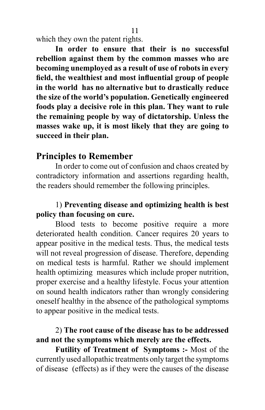which they own the patent rights.

**In order to ensure that their is no successful rebellion against them by the common masses who are becoming unemployed as a result of use of robots in every field, the wealthiest and most influential group of people in the world has no alternative but to drastically reduce the size of the world's population. Genetically engineered foods play a decisive role in this plan. They want to rule the remaining people by way of dictatorship. Unless the masses wake up, it is most likely that they are going to succeed in their plan.**

#### **Principles to Remember**

In order to come out of confusion and chaos created by contradictory information and assertions regarding health, the readers should remember the following principles.

#### 1) **Preventing disease and optimizing health is best policy than focusing on cure.**

Blood tests to become positive require a more deteriorated health condition. Cancer requires 20 years to appear positive in the medical tests. Thus, the medical tests will not reveal progression of disease. Therefore, depending on medical tests is harmful. Rather we should implement health optimizing measures which include proper nutrition, proper exercise and a healthy lifestyle. Focus your attention on sound health indicators rather than wrongly considering oneself healthy in the absence of the pathological symptoms to appear positive in the medical tests.

#### 2) **The root cause of the disease has to be addressed and not the symptoms which merely are the effects.**

**Futility of Treatment of Symptoms :-** Most of the currently used allopathic treatments only target the symptoms of disease (effects) as if they were the causes of the disease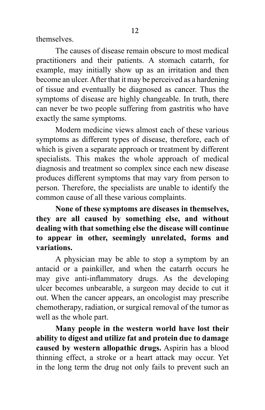themselves.

The causes of disease remain obscure to most medical practitioners and their patients. A stomach catarrh, for example, may initially show up as an irritation and then become an ulcer. After that it may be perceived as a hardening of tissue and eventually be diagnosed as cancer. Thus the symptoms of disease are highly changeable. In truth, there can never be two people suffering from gastritis who have exactly the same symptoms.

Modern medicine views almost each of these various symptoms as different types of disease, therefore, each of which is given a separate approach or treatment by different specialists. This makes the whole approach of medical diagnosis and treatment so complex since each new disease produces different symptoms that may vary from person to person. Therefore, the specialists are unable to identify the common cause of all these various complaints.

**None of these symptoms are diseases in themselves, they are all caused by something else, and without dealing with that something else the disease will continue to appear in other, seemingly unrelated, forms and variations.**

A physician may be able to stop a symptom by an antacid or a painkiller, and when the catarrh occurs he may give anti-inflammatory drugs. As the developing ulcer becomes unbearable, a surgeon may decide to cut it out. When the cancer appears, an oncologist may prescribe chemotherapy, radiation, or surgical removal of the tumor as well as the whole part.

**Many people in the western world have lost their ability to digest and utilize fat and protein due to damage caused by western allopathic drugs.** Aspirin has a blood thinning effect, a stroke or a heart attack may occur. Yet in the long term the drug not only fails to prevent such an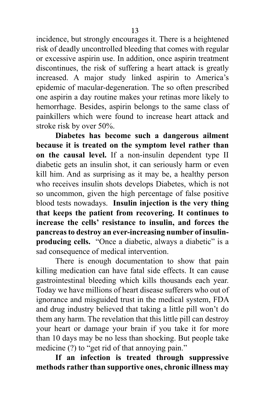incidence, but strongly encourages it. There is a heightened risk of deadly uncontrolled bleeding that comes with regular or excessive aspirin use. In addition, once aspirin treatment discontinues, the risk of suffering a heart attack is greatly increased. A major study linked aspirin to America's epidemic of macular-degeneration. The so often prescribed one aspirin a day routine makes your retinas more likely to hemorrhage. Besides, aspirin belongs to the same class of painkillers which were found to increase heart attack and stroke risk by over 50%.

**Diabetes has become such a dangerous ailment because it is treated on the symptom level rather than on the causal level.** If a non-insulin dependent type II diabetic gets an insulin shot, it can seriously harm or even kill him. And as surprising as it may be, a healthy person who receives insulin shots develops Diabetes, which is not so uncommon, given the high percentage of false positive blood tests nowadays. **Insulin injection is the very thing that keeps the patient from recovering. It continues to increase the cells' resistance to insulin, and forces the pancreas to destroy an ever-increasing number of insulinproducing cells.** "Once a diabetic, always a diabetic" is a sad consequence of medical intervention.

There is enough documentation to show that pain killing medication can have fatal side effects. It can cause gastrointestinal bleeding which kills thousands each year. Today we have millions of heart disease sufferers who out of ignorance and misguided trust in the medical system, FDA and drug industry believed that taking a little pill won't do them any harm. The revelation that this little pill can destroy your heart or damage your brain if you take it for more than 10 days may be no less than shocking. But people take medicine (?) to "get rid of that annoying pain."

**If an infection is treated through suppressive methods rather than supportive ones, chronic illness may**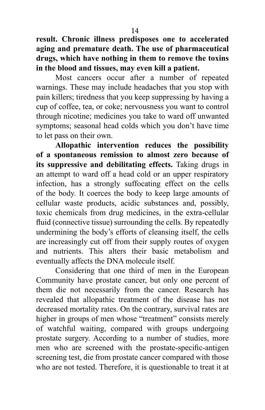**result. Chronic illness predisposes one to accelerated aging and premature death. The use of pharmaceutical drugs, which have nothing in them to remove the toxins in the blood and tissues, may even kill a patient.**

Most cancers occur after a number of repeated warnings. These may include headaches that you stop with pain killers; tiredness that you keep suppressing by having a cup of coffee, tea, or coke; nervousness you want to control through nicotine; medicines you take to ward off unwanted symptoms; seasonal head colds which you don't have time to let pass on their own.

**Allopathic intervention reduces the possibility of a spontaneous remission to almost zero because of its suppressive and debilitating effects.** Taking drugs in an attempt to ward off a head cold or an upper respiratory infection, has a strongly suffocating effect on the cells of the body. It coerces the body to keep large amounts of cellular waste products, acidic substances and, possibly, toxic chemicals from drug medicines, in the extra-cellular fluid (connective tissue) surrounding the cells. By repeatedly undermining the body's efforts of cleansing itself, the cells are increasingly cut off from their supply routes of oxygen and nutrients. This alters their basic metabolism and eventually affects the DNA molecule itself.

Considering that one third of men in the European Community have prostate cancer, but only one percent of them die not necessarily from the cancer. Research has revealed that allopathic treatment of the disease has not decreased mortality rates. On the contrary, survival rates are higher in groups of men whose "treatment" consists merely of watchful waiting, compared with groups undergoing prostate surgery. According to a number of studies, more men who are screened with the prostate-specific-antigen screening test, die from prostate cancer compared with those who are not tested. Therefore, it is questionable to treat it at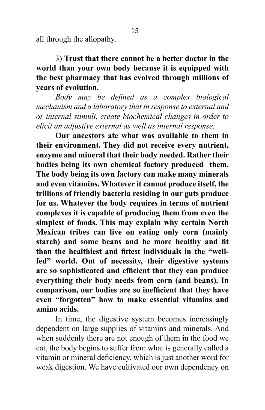all through the allopathy.

3) **Trust that there cannot be a better doctor in the world than your own body because it is equipped with the best pharmacy that has evolved through millions of years of evolution.**

*Body may be defined as a complex biological mechanism and a laboratory that in response to external and or internal stimuli, create biochemical changes in order to elicit an adjustive external as well as internal response.*

**Our ancestors ate what was available to them in their environment. They did not receive every nutrient, enzyme and mineral that their body needed. Rather their bodies being its own chemical factory produced them. The body being its own factory can make many minerals and even vitamins. Whatever it cannot produce itself, the trillions of friendly bacteria residing in our guts produce for us. Whatever the body requires in terms of nutrient complexes it is capable of producing them from even the simplest of foods. This may explain why certain North Mexican tribes can live on eating only corn (mainly starch) and some beans and be more healthy and fit than the healthiest and fittest individuals in the "wellfed" world. Out of necessity, their digestive systems are so sophisticated and efficient that they can produce everything their body needs from corn (and beans). In comparison, our bodies are so inefficient that they have even "forgotten" how to make essential vitamins and amino acids.** 

In time, the digestive system becomes increasingly dependent on large supplies of vitamins and minerals. And when suddenly there are not enough of them in the food we eat, the body begins to suffer from what is generally called a vitamin or mineral deficiency, which is just another word for weak digestion. We have cultivated our own dependency on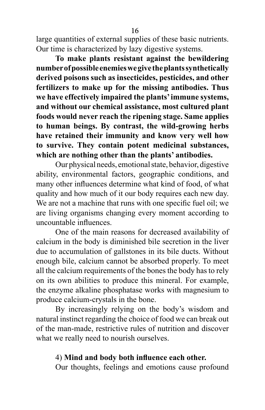large quantities of external supplies of these basic nutrients. Our time is characterized by lazy digestive systems.

**To make plants resistant against the bewildering number of possible enemies we give the plants synthetically derived poisons such as insecticides, pesticides, and other fertilizers to make up for the missing antibodies. Thus we have effectively impaired the plants' immune systems, and without our chemical assistance, most cultured plant foods would never reach the ripening stage. Same applies to human beings. By contrast, the wild-growing herbs have retained their immunity and know very well how to survive. They contain potent medicinal substances, which are nothing other than the plants' antibodies.**

Our physical needs, emotional state, behavior, digestive ability, environmental factors, geographic conditions, and many other influences determine what kind of food, of what quality and how much of it our body requires each new day. We are not a machine that runs with one specific fuel oil; we are living organisms changing every moment according to uncountable influences.

One of the main reasons for decreased availability of calcium in the body is diminished bile secretion in the liver due to accumulation of gallstones in its bile ducts. Without enough bile, calcium cannot be absorbed properly. To meet all the calcium requirements of the bones the body has to rely on its own abilities to produce this mineral. For example, the enzyme alkaline phosphatase works with magnesium to produce calcium-crystals in the bone.

By increasingly relying on the body's wisdom and natural instinct regarding the choice of food we can break out of the man-made, restrictive rules of nutrition and discover what we really need to nourish ourselves.

#### 4) **Mind and body both influence each other.**

Our thoughts, feelings and emotions cause profound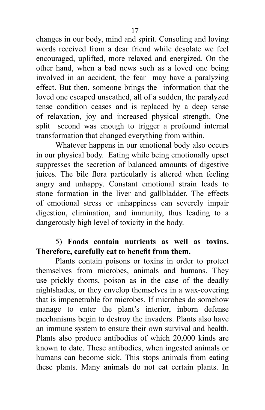changes in our body, mind and spirit. Consoling and loving words received from a dear friend while desolate we feel encouraged, uplifted, more relaxed and energized. On the other hand, when a bad news such as a loved one being involved in an accident, the fear may have a paralyzing effect. But then, someone brings the information that the loved one escaped unscathed, all of a sudden, the paralyzed tense condition ceases and is replaced by a deep sense of relaxation, joy and increased physical strength. One split second was enough to trigger a profound internal transformation that changed everything from within.

Whatever happens in our emotional body also occurs in our physical body. Eating while being emotionally upset suppresses the secretion of balanced amounts of digestive juices. The bile flora particularly is altered when feeling angry and unhappy. Constant emotional strain leads to stone formation in the liver and gallbladder. The effects of emotional stress or unhappiness can severely impair digestion, elimination, and immunity, thus leading to a dangerously high level of toxicity in the body.

#### 5) **Foods contain nutrients as well as toxins. Therefore, carefully eat to benefit from them.**

Plants contain poisons or toxins in order to protect themselves from microbes, animals and humans. They use prickly thorns, poison as in the case of the deadly nightshades, or they envelop themselves in a wax-covering that is impenetrable for microbes. If microbes do somehow manage to enter the plant's interior, inborn defense mechanisms begin to destroy the invaders. Plants also have an immune system to ensure their own survival and health. Plants also produce antibodies of which 20,000 kinds are known to date. These antibodies, when ingested animals or humans can become sick. This stops animals from eating these plants. Many animals do not eat certain plants. In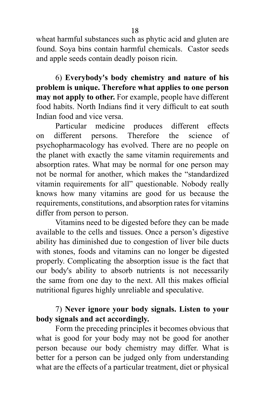wheat harmful substances such as phytic acid and gluten are found. Soya bins contain harmful chemicals. Castor seeds and apple seeds contain deadly poison ricin.

6) **Everybody's body chemistry and nature of his problem is unique. Therefore what applies to one person may not apply to other.** For example, people have different food habits. North Indians find it very difficult to eat south Indian food and vice versa.

Particular medicine produces different effects on different persons. Therefore the science of psychopharmacology has evolved. There are no people on the planet with exactly the same vitamin requirements and absorption rates. What may be normal for one person may not be normal for another, which makes the "standardized vitamin requirements for all" questionable. Nobody really knows how many vitamins are good for us because the requirements, constitutions, and absorption rates for vitamins differ from person to person.

Vitamins need to be digested before they can be made available to the cells and tissues. Once a person's digestive ability has diminished due to congestion of liver bile ducts with stones, foods and vitamins can no longer be digested properly. Complicating the absorption issue is the fact that our body's ability to absorb nutrients is not necessarily the same from one day to the next. All this makes official nutritional figures highly unreliable and speculative.

#### 7) **Never ignore your body signals. Listen to your body signals and act accordingly.**

Form the preceding principles it becomes obvious that what is good for your body may not be good for another person because our body chemistry may differ. What is better for a person can be judged only from understanding what are the effects of a particular treatment, diet or physical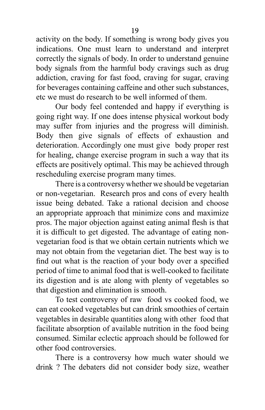activity on the body. If something is wrong body gives you indications. One must learn to understand and interpret correctly the signals of body. In order to understand genuine body signals from the harmful body cravings such as drug addiction, craving for fast food, craving for sugar, craving for beverages containing caffeine and other such substances, etc we must do research to be well informed of them.

Our body feel contended and happy if everything is going right way. If one does intense physical workout body may suffer from injuries and the progress will diminish. Body then give signals of effects of exhaustion and deterioration. Accordingly one must give body proper rest for healing, change exercise program in such a way that its effects are positively optimal. This may be achieved through rescheduling exercise program many times.

There is a controversy whether we should be vegetarian or non-vegetarian. Research pros and cons of every health issue being debated. Take a rational decision and choose an appropriate approach that minimize cons and maximize pros. The major objection against eating animal flesh is that it is difficult to get digested. The advantage of eating nonvegetarian food is that we obtain certain nutrients which we may not obtain from the vegetarian diet. The best way is to find out what is the reaction of your body over a specified period of time to animal food that is well-cooked to facilitate its digestion and is ate along with plenty of vegetables so that digestion and elimination is smooth.

To test controversy of raw food vs cooked food, we can eat cooked vegetables but can drink smoothies of certain vegetables in desirable quantities along with other food that facilitate absorption of available nutrition in the food being consumed. Similar eclectic approach should be followed for other food controversies.

There is a controversy how much water should we drink ? The debaters did not consider body size, weather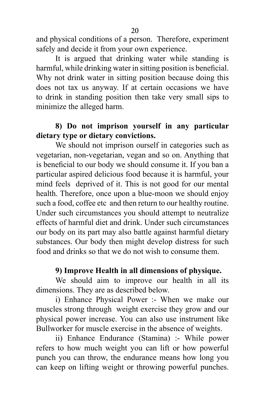and physical conditions of a person. Therefore, experiment safely and decide it from your own experience.

It is argued that drinking water while standing is harmful, while drinking water in sitting position is beneficial. Why not drink water in sitting position because doing this does not tax us anyway. If at certain occasions we have to drink in standing position then take very small sips to minimize the alleged harm.

#### **8) Do not imprison yourself in any particular dietary type or dietary convictions.**

We should not imprison ourself in categories such as vegetarian, non-vegetarian, vegan and so on. Anything that is beneficial to our body we should consume it. If you ban a particular aspired delicious food because it is harmful, your mind feels deprived of it. This is not good for our mental health. Therefore, once upon a blue-moon we should enjoy such a food, coffee etc and then return to our healthy routine. Under such circumstances you should attempt to neutralize effects of harmful diet and drink. Under such circumstances our body on its part may also battle against harmful dietary substances. Our body then might develop distress for such food and drinks so that we do not wish to consume them.

#### **9) Improve Health in all dimensions of physique.**

We should aim to improve our health in all its dimensions. They are as described below.

i) Enhance Physical Power :- When we make our muscles strong through weight exercise they grow and our physical power increase. You can also use instrument like Bullworker for muscle exercise in the absence of weights.

ii) Enhance Endurance (Stamina) :- While power refers to how much weight you can lift or how powerful punch you can throw, the endurance means how long you can keep on lifting weight or throwing powerful punches.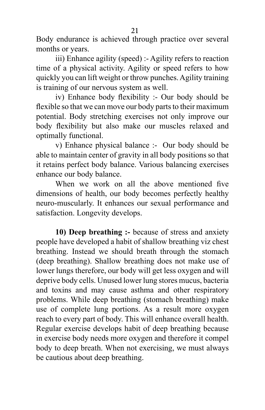Body endurance is achieved through practice over several months or years.

iii) Enhance agility (speed) :- Agility refers to reaction time of a physical activity. Agility or speed refers to how quickly you can lift weight or throw punches. Agility training is training of our nervous system as well.

iv) Enhance body flexibility :- Our body should be flexible so that we can move our body parts to their maximum potential. Body stretching exercises not only improve our body flexibility but also make our muscles relaxed and optimally functional.

v) Enhance physical balance :- Our body should be able to maintain center of gravity in all body positions so that it retains perfect body balance. Various balancing exercises enhance our body balance.

When we work on all the above mentioned five dimensions of health, our body becomes perfectly healthy neuro-muscularly. It enhances our sexual performance and satisfaction. Longevity develops.

**10) Deep breathing :-** because of stress and anxiety people have developed a habit of shallow breathing viz chest breathing. Instead we should breath through the stomach (deep breathing). Shallow breathing does not make use of lower lungs therefore, our body will get less oxygen and will deprive body cells. Unused lower lung stores mucus, bacteria and toxins and may cause asthma and other respiratory problems. While deep breathing (stomach breathing) make use of complete lung portions. As a result more oxygen reach to every part of body. This will enhance overall health. Regular exercise develops habit of deep breathing because in exercise body needs more oxygen and therefore it compel body to deep breath. When not exercising, we must always be cautious about deep breathing.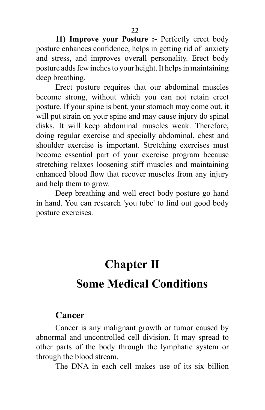**11) Improve your Posture :-** Perfectly erect body posture enhances confidence, helps in getting rid of anxiety and stress, and improves overall personality. Erect body posture adds few inches to your height. It helps in maintaining deep breathing.

Erect posture requires that our abdominal muscles become strong, without which you can not retain erect posture. If your spine is bent, your stomach may come out, it will put strain on your spine and may cause injury do spinal disks. It will keep abdominal muscles weak. Therefore, doing regular exercise and specially abdominal, chest and shoulder exercise is important. Stretching exercises must become essential part of your exercise program because stretching relaxes loosening stiff muscles and maintaining enhanced blood flow that recover muscles from any injury and help them to grow.

Deep breathing and well erect body posture go hand in hand. You can research 'you tube' to find out good body posture exercises.

### **Chapter II Some Medical Conditions**

#### **Cancer**

Cancer is any malignant growth or tumor caused by abnormal and uncontrolled cell division. It may spread to other parts of the body through the lymphatic system or through the blood stream.

The DNA in each cell makes use of its six billion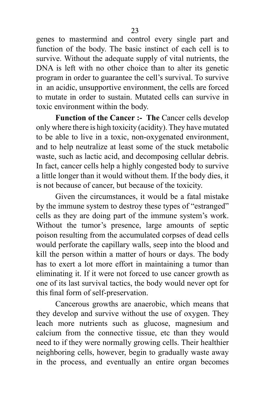genes to mastermind and control every single part and function of the body. The basic instinct of each cell is to survive. Without the adequate supply of vital nutrients, the DNA is left with no other choice than to alter its genetic program in order to guarantee the cell's survival. To survive in an acidic, unsupportive environment, the cells are forced to mutate in order to sustain. Mutated cells can survive in toxic environment within the body.

**Function of the Cancer :- The Cancer cells develop** only where there is high toxicity (acidity). They have mutated to be able to live in a toxic, non-oxygenated environment, and to help neutralize at least some of the stuck metabolic waste, such as lactic acid, and decomposing cellular debris. In fact, cancer cells help a highly congested body to survive a little longer than it would without them. If the body dies, it is not because of cancer, but because of the toxicity.

Given the circumstances, it would be a fatal mistake by the immune system to destroy these types of "estranged" cells as they are doing part of the immune system's work. Without the tumor's presence, large amounts of septic poison resulting from the accumulated corpses of dead cells would perforate the capillary walls, seep into the blood and kill the person within a matter of hours or days. The body has to exert a lot more effort in maintaining a tumor than eliminating it. If it were not forced to use cancer growth as one of its last survival tactics, the body would never opt for this final form of self-preservation.

Cancerous growths are anaerobic, which means that they develop and survive without the use of oxygen. They leach more nutrients such as glucose, magnesium and calcium from the connective tissue, etc than they would need to if they were normally growing cells. Their healthier neighboring cells, however, begin to gradually waste away in the process, and eventually an entire organ becomes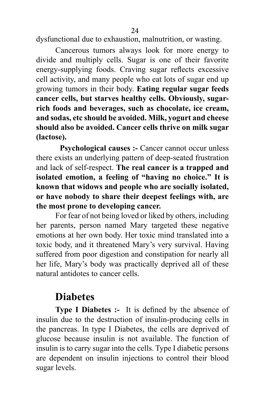dysfunctional due to exhaustion, malnutrition, or wasting.

Cancerous tumors always look for more energy to divide and multiply cells. Sugar is one of their favorite energy-supplying foods. Craving sugar reflects excessive cell activity, and many people who eat lots of sugar end up growing tumors in their body. **Eating regular sugar feeds cancer cells, but starves healthy cells. Obviously, sugarrich foods and beverages, such as chocolate, ice cream, and sodas, etc should be avoided. Milk, yogurt and cheese should also be avoided. Cancer cells thrive on milk sugar (lactose).** 

**Psychological causes :- Cancer cannot occur unless** there exists an underlying pattern of deep-seated frustration and lack of self-respect. **The real cancer is a trapped and isolated emotion, a feeling of "having no choice." It is known that widows and people who are socially isolated, or have nobody to share their deepest feelings with, are the most prone to developing cancer.**

For fear of not being loved or liked by others, including her parents, person named Mary targeted these negative emotions at her own body. Her toxic mind translated into a toxic body, and it threatened Mary's very survival. Having suffered from poor digestion and constipation for nearly all her life, Mary's body was practically deprived all of these natural antidotes to cancer cells.

#### **Diabetes**

**Type I Diabetes :-** It is defined by the absence of insulin due to the destruction of insulin-producing cells in the pancreas. In type I Diabetes, the cells are deprived of glucose because insulin is not available. The function of insulin is to carry sugar into the cells. Type I diabetic persons are dependent on insulin injections to control their blood sugar levels.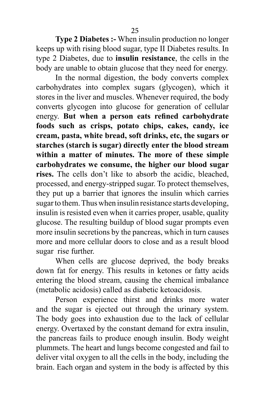**Type 2 Diabetes :-** When insulin production no longer keeps up with rising blood sugar, type II Diabetes results. In type 2 Diabetes, due to **insulin resistance**, the cells in the body are unable to obtain glucose that they need for energy.

In the normal digestion, the body converts complex carbohydrates into complex sugars (glycogen), which it stores in the liver and muscles. Whenever required, the body converts glycogen into glucose for generation of cellular energy. **But when a person eats refined carbohydrate foods such as crisps, potato chips, cakes, candy, ice cream, pasta, white bread, soft drinks, etc, the sugars or starches (starch is sugar) directly enter the blood stream within a matter of minutes. The more of these simple carbohydrates we consume, the higher our blood sugar rises.** The cells don't like to absorb the acidic, bleached, processed, and energy-stripped sugar. To protect themselves, they put up a barrier that ignores the insulin which carries sugar to them. Thus when insulin resistance starts developing, insulin is resisted even when it carries proper, usable, quality glucose. The resulting buildup of blood sugar prompts even more insulin secretions by the pancreas, which in turn causes more and more cellular doors to close and as a result blood sugar rise further.

When cells are glucose deprived, the body breaks down fat for energy. This results in ketones or fatty acids entering the blood stream, causing the chemical imbalance (metabolic acidosis) called as diabetic ketoacidosis.

Person experience thirst and drinks more water and the sugar is ejected out through the urinary system. The body goes into exhaustion due to the lack of cellular energy. Overtaxed by the constant demand for extra insulin, the pancreas fails to produce enough insulin. Body weight plummets. The heart and lungs become congested and fail to deliver vital oxygen to all the cells in the body, including the brain. Each organ and system in the body is affected by this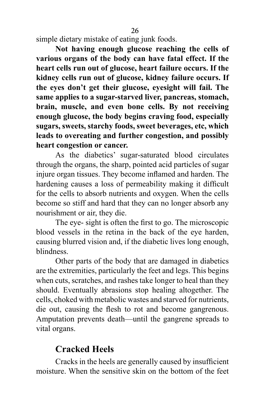simple dietary mistake of eating junk foods.

**Not having enough glucose reaching the cells of various organs of the body can have fatal effect. If the heart cells run out of glucose, heart failure occurs. If the kidney cells run out of glucose, kidney failure occurs. If the eyes don't get their glucose, eyesight will fail. The same applies to a sugar-starved liver, pancreas, stomach, brain, muscle, and even bone cells. By not receiving enough glucose, the body begins craving food, especially sugars, sweets, starchy foods, sweet beverages, etc, which leads to overeating and further congestion, and possibly heart congestion or cancer.**

As the diabetics' sugar-saturated blood circulates through the organs, the sharp, pointed acid particles of sugar injure organ tissues. They become inflamed and harden. The hardening causes a loss of permeability making it difficult for the cells to absorb nutrients and oxygen. When the cells become so stiff and hard that they can no longer absorb any nourishment or air, they die.

The eye- sight is often the first to go. The microscopic blood vessels in the retina in the back of the eye harden, causing blurred vision and, if the diabetic lives long enough, blindness.

Other parts of the body that are damaged in diabetics are the extremities, particularly the feet and legs. This begins when cuts, scratches, and rashes take longer to heal than they should. Eventually abrasions stop healing altogether. The cells, choked with metabolic wastes and starved for nutrients, die out, causing the flesh to rot and become gangrenous. Amputation prevents death—until the gangrene spreads to vital organs.

#### **Cracked Heels**

Cracks in the heels are generally caused by insufficient moisture. When the sensitive skin on the bottom of the feet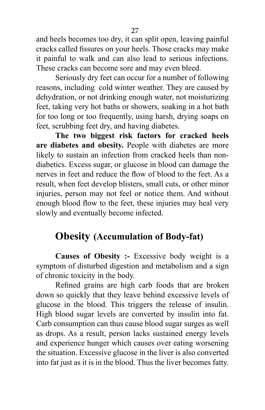and heels becomes too dry, it can split open, leaving painful cracks called fissures on your heels. Those cracks may make it painful to walk and can also lead to serious infections. These cracks can become sore and may even bleed.

Seriously dry feet can occur for a number of following reasons, including cold winter weather. They are caused by dehydration, or not drinking enough water, not moisturizing feet, taking very hot baths or showers, soaking in a hot bath for too long or too frequently, using harsh, drying soaps on feet, scrubbing feet dry, and having diabetes.

**The two biggest risk factors for cracked heels are diabetes and obesity.** People with diabetes are more likely to sustain an infection from cracked heels than nondiabetics. Excess sugar, or glucose in blood can damage the nerves in feet and reduce the flow of blood to the feet. As a result, when feet develop blisters, small cuts, or other minor injuries, person may not feel or notice them. And without enough blood flow to the feet, these injuries may heal very slowly and eventually become infected.

#### **Obesity (Accumulation of Body-fat)**

**Causes of Obesity :-** Excessive body weight is a symptom of disturbed digestion and metabolism and a sign of chronic toxicity in the body.

Refined grains are high carb foods that are broken down so quickly that they leave behind excessive levels of glucose in the blood. This triggers the release of insulin. High blood sugar levels are converted by insulin into fat. Carb consumption can thus cause blood sugar surges as well as drops. As a result, person lacks sustained energy levels and experience hunger which causes over eating worsening the situation. Excessive glucose in the liver is also converted into fat just as it is in the blood. Thus the liver becomes fatty.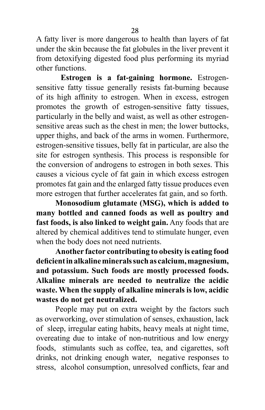A fatty liver is more dangerous to health than layers of fat under the skin because the fat globules in the liver prevent it from detoxifying digested food plus performing its myriad other functions.

**Estrogen is a fat-gaining hormone.** Estrogensensitive fatty tissue generally resists fat-burning because of its high affinity to estrogen. When in excess, estrogen promotes the growth of estrogen-sensitive fatty tissues, particularly in the belly and waist, as well as other estrogensensitive areas such as the chest in men; the lower buttocks, upper thighs, and back of the arms in women. Furthermore, estrogen-sensitive tissues, belly fat in particular, are also the site for estrogen synthesis. This process is responsible for the conversion of androgens to estrogen in both sexes. This causes a vicious cycle of fat gain in which excess estrogen promotes fat gain and the enlarged fatty tissue produces even more estrogen that further accelerates fat gain, and so forth.

**Monosodium glutamate (MSG), which is added to many bottled and canned foods as well as poultry and fast foods, is also linked to weight gain.** Any foods that are altered by chemical additives tend to stimulate hunger, even when the body does not need nutrients.

**Another factor contributing to obesity is eating food deficient in alkaline minerals such as calcium, magnesium, and potassium. Such foods are mostly processed foods. Alkaline minerals are needed to neutralize the acidic waste. When the supply of alkaline minerals is low, acidic wastes do not get neutralized.**

People may put on extra weight by the factors such as overworking, over stimulation of senses, exhaustion, lack of sleep, irregular eating habits, heavy meals at night time, overeating due to intake of non-nutritious and low energy foods, stimulants such as coffee, tea, and cigarettes, soft drinks, not drinking enough water, negative responses to stress, alcohol consumption, unresolved conflicts, fear and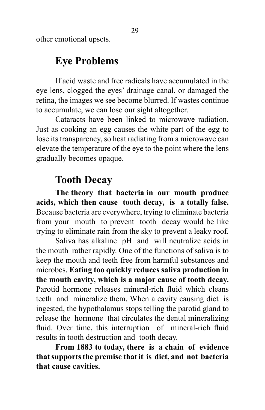other emotional upsets.

#### **Eye Problems**

If acid waste and free radicals have accumulated in the eye lens, clogged the eyes' drainage canal, or damaged the retina, the images we see become blurred. If wastes continue to accumulate, we can lose our sight altogether.

Cataracts have been linked to microwave radiation. Just as cooking an egg causes the white part of the egg to lose its transparency, so heat radiating from a microwave can elevate the temperature of the eye to the point where the lens gradually becomes opaque.

#### **Tooth Decay**

**The theory that bacteria in our mouth produce acids, which then cause tooth decay, is a totally false.**  Because bacteria are everywhere, trying to eliminate bacteria from your mouth to prevent tooth decay would be like trying to eliminate rain from the sky to prevent a leaky roof.

Saliva has alkaline pH and will neutralize acids in the mouth rather rapidly. One of the functions of saliva is to keep the mouth and teeth free from harmful substances and microbes. **Eating too quickly reduces saliva production in the mouth cavity, which is a major cause of tooth decay.** Parotid hormone releases mineral-rich fluid which cleans teeth and mineralize them. When a cavity causing diet is ingested, the hypothalamus stops telling the parotid gland to release the hormone that circulates the dental mineralizing fluid. Over time, this interruption of mineral-rich fluid results in tooth destruction and tooth decay.

**From 1883 to today, there is a chain of evidence that supports the premise that it is diet, and not bacteria that cause cavities.**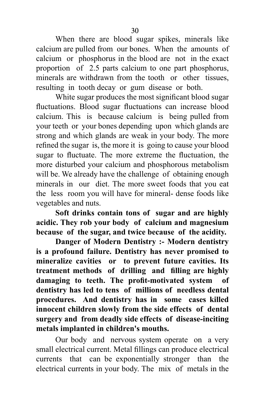When there are blood sugar spikes, minerals like calcium are pulled from our bones. When the amounts of calcium or phosphorus in the blood are not in the exact proportion of 2.5 parts calcium to one part phosphorus, minerals are withdrawn from the tooth or other tissues, resulting in tooth decay or gum disease or both.

White sugar produces the most significant blood sugar fluctuations. Blood sugar fluctuations can increase blood calcium. This is because calcium is being pulled from your teeth or your bones depending upon which glands are strong and which glands are weak in your body. The more refined the sugar is, the more it is going to cause your blood sugar to fluctuate. The more extreme the fluctuation, the more disturbed your calcium and phosphorous metabolism will be. We already have the challenge of obtaining enough minerals in our diet. The more sweet foods that you eat the less room you will have for mineral- dense foods like vegetables and nuts.

**Soft drinks contain tons of sugar and are highly acidic. They rob your body of calcium and magnesium because of the sugar, and twice because of the acidity.**

**Danger of Modern Dentistry :- Modern dentistry is a profound failure. Dentistry has never promised to mineralize cavities or to prevent future cavities. Its treatment methods of drilling and filling are highly damaging to teeth. The profit-motivated system of dentistry has led to tens of millions of needless dental procedures. And dentistry has in some cases killed innocent children slowly from the side effects of dental surgery and from deadly side effects of disease-inciting metals implanted in children's mouths.**

Our body and nervous system operate on a very small electrical current. Metal fillings can produce electrical currents that can be exponentially stronger than the electrical currents in your body. The mix of metals in the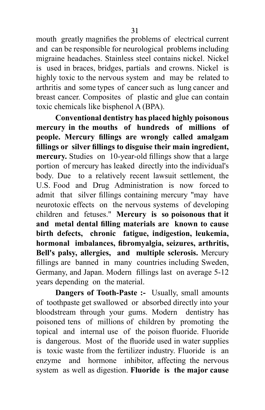mouth greatly magnifies the problems of electrical current and can be responsible for neurological problems including migraine headaches. Stainless steel contains nickel. Nickel is used in braces, bridges, partials and crowns. Nickel is highly toxic to the nervous system and may be related to arthritis and some types of cancer such as lung cancer and breast cancer. Composites of plastic and glue can contain toxic chemicals like bisphenol A (BPA).

**Conventional dentistry has placed highly poisonous mercury in the mouths of hundreds of millions of people. Mercury fillings are wrongly called amalgam fillings or silver fillings to disguise their main ingredient, mercury.** Studies on 10-year-old fillings show that a large portion of mercury has leaked directly into the individual's body. Due to a relatively recent lawsuit settlement, the U.S. Food and Drug Administration is now forced to admit that silver fillings containing mercury "may have neurotoxic effects on the nervous systems of developing children and fetuses." **Mercury is so poisonous that it and metal dental filling materials are known to cause birth defects, chronic fatigue, indigestion, leukemia, hormonal imbalances, fibromyalgia, seizures, arthritis, Bell's palsy, allergies, and multiple sclerosis.** Mercury fillings are banned in many countries including Sweden, Germany, and Japan. Modern fillings last on average 5-12 years depending on the material.

**Dangers of Tooth-Paste :-** Usually, small amounts of toothpaste get swallowed or absorbed directly into your bloodstream through your gums. Modern dentistry has poisoned tens of millions of children by promoting the topical and internal use of the poison fluoride. Fluoride is dangerous. Most of the fluoride used in water supplies is toxic waste from the fertilizer industry. Fluoride is an enzyme and hormone inhibitor, affecting the nervous system as well as digestion. **Fluoride is the major cause**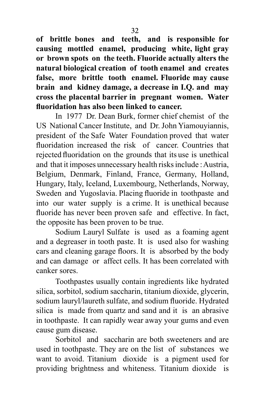**of brittle bones and teeth, and is responsible for causing mottled enamel, producing white, light gray or brown spots on the teeth. Fluoride actually alters the natural biological creation of tooth enamel and creates false, more brittle tooth enamel. Fluoride may cause brain and kidney damage, a decrease in I.Q. and may cross the placental barrier in pregnant women. Water fluoridation has also been linked to cancer.** 

In 1977 Dr. Dean Burk, former chief chemist of the US National Cancer Institute, and Dr. John Yiamouyiannis, president of the Safe Water Foundation proved that water fluoridation increased the risk of cancer. Countries that rejected fluoridation on the grounds that its use is unethical and that it imposes unnecessary health risks include : Austria, Belgium, Denmark, Finland, France, Germany, Holland, Hungary, Italy, Iceland, Luxembourg, Netherlands, Norway, Sweden and Yugoslavia. Placing fluoride in toothpaste and into our water supply is a crime. It is unethical because fluoride has never been proven safe and effective. In fact, the opposite has been proven to be true.

Sodium Lauryl Sulfate is used as a foaming agent and a degreaser in tooth paste. It is used also for washing cars and cleaning garage floors. It is absorbed by the body and can damage or affect cells. It has been correlated with canker sores.

Toothpastes usually contain ingredients like hydrated silica, sorbitol, sodium saccharin, titanium dioxide, glycerin, sodium lauryl/laureth sulfate, and sodium fluoride. Hydrated silica is made from quartz and sand and it is an abrasive in toothpaste. It can rapidly wear away your gums and even cause gum disease.

Sorbitol and saccharin are both sweeteners and are used in toothpaste. They are on the list of substances we want to avoid. Titanium dioxide is a pigment used for providing brightness and whiteness. Titanium dioxide is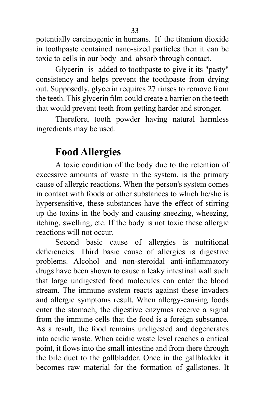potentially carcinogenic in humans. If the titanium dioxide in toothpaste contained nano-sized particles then it can be toxic to cells in our body and absorb through contact.

Glycerin is added to toothpaste to give it its "pasty" consistency and helps prevent the toothpaste from drying out. Supposedly, glycerin requires 27 rinses to remove from the teeth. This glycerin film could create a barrier on the teeth that would prevent teeth from getting harder and stronger.

Therefore, tooth powder having natural harmless ingredients may be used.

#### **Food Allergies**

A toxic condition of the body due to the retention of excessive amounts of waste in the system, is the primary cause of allergic reactions. When the person's system comes in contact with foods or other substances to which he/she is hypersensitive, these substances have the effect of stirring up the toxins in the body and causing sneezing, wheezing, itching, swelling, etc. If the body is not toxic these allergic reactions will not occur.

Second basic cause of allergies is nutritional deficiencies. Third basic cause of allergies is digestive problems. Alcohol and non-steroidal anti-inflammatory drugs have been shown to cause a leaky intestinal wall such that large undigested food molecules can enter the blood stream. The immune system reacts against these invaders and allergic symptoms result. When allergy-causing foods enter the stomach, the digestive enzymes receive a signal from the immune cells that the food is a foreign substance. As a result, the food remains undigested and degenerates into acidic waste. When acidic waste level reaches a critical point, it flows into the small intestine and from there through the bile duct to the gallbladder. Once in the gallbladder it becomes raw material for the formation of gallstones. It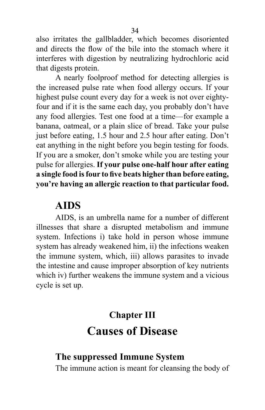also irritates the gallbladder, which becomes disoriented and directs the flow of the bile into the stomach where it interferes with digestion by neutralizing hydrochloric acid that digests protein.

A nearly foolproof method for detecting allergies is the increased pulse rate when food allergy occurs. If your highest pulse count every day for a week is not over eightyfour and if it is the same each day, you probably don't have any food allergies. Test one food at a time—for example a banana, oatmeal, or a plain slice of bread. Take your pulse just before eating, 1.5 hour and 2.5 hour after eating. Don't eat anything in the night before you begin testing for foods. If you are a smoker, don't smoke while you are testing your pulse for allergies. **If your pulse one-half hour after eating a single food is four to five beats higher than before eating, you're having an allergic reaction to that particular food.**

#### **AIDS**

AIDS, is an umbrella name for a number of different illnesses that share a disrupted metabolism and immune system. Infections i) take hold in person whose immune system has already weakened him, ii) the infections weaken the immune system, which, iii) allows parasites to invade the intestine and cause improper absorption of key nutrients which iv) further weakens the immune system and a vicious cycle is set up.

### **Chapter III Causes of Disease**

#### **The suppressed Immune System**

The immune action is meant for cleansing the body of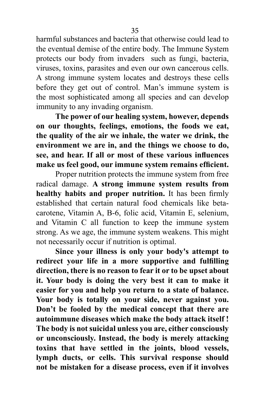harmful substances and bacteria that otherwise could lead to the eventual demise of the entire body. The Immune System protects our body from invaders such as fungi, bacteria, viruses, toxins, parasites and even our own cancerous cells. A strong immune system locates and destroys these cells before they get out of control. Man's immune system is the most sophisticated among all species and can develop immunity to any invading organism.

**The power of our healing system, however, depends on our thoughts, feelings, emotions, the foods we eat, the quality of the air we inhale, the water we drink, the environment we are in, and the things we choose to do, see, and hear. If all or most of these various influences make us feel good, our immune system remains efficient.**

Proper nutrition protects the immune system from free radical damage. **A strong immune system results from healthy habits and proper nutrition.** It has been firmly established that certain natural food chemicals like betacarotene, Vitamin A, B-6, folic acid, Vitamin E, selenium, and Vitamin C all function to keep the immune system strong. As we age, the immune system weakens. This might not necessarily occur if nutrition is optimal.

**Since your illness is only your body's attempt to redirect your life in a more supportive and fulfilling direction, there is no reason to fear it or to be upset about it. Your body is doing the very best it can to make it easier for you and help you return to a state of balance. Your body is totally on your side, never against you. Don't be fooled by the medical concept that there are autoimmune diseases which make the body attack itself ! The body is not suicidal unless you are, either consciously or unconsciously. Instead, the body is merely attacking toxins that have settled in the joints, blood vessels, lymph ducts, or cells. This survival response should not be mistaken for a disease process, even if it involves**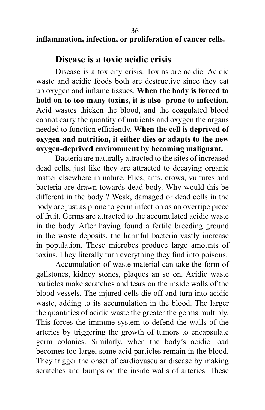#### **inflammation, infection, or proliferation of cancer cells.**

#### **Disease is a toxic acidic crisis**

Disease is a toxicity crisis. Toxins are acidic. Acidic waste and acidic foods both are destructive since they eat up oxygen and inflame tissues. **When the body is forced to hold on to too many toxins, it is also prone to infection.**  Acid wastes thicken the blood, and the coagulated blood cannot carry the quantity of nutrients and oxygen the organs needed to function efficiently. **When the cell is deprived of oxygen and nutrition, it either dies or adapts to the new oxygen-deprived environment by becoming malignant.**

Bacteria are naturally attracted to the sites of increased dead cells, just like they are attracted to decaying organic matter elsewhere in nature. Flies, ants, crows, vultures and bacteria are drawn towards dead body. Why would this be different in the body ? Weak, damaged or dead cells in the body are just as prone to germ infection as an overripe piece of fruit. Germs are attracted to the accumulated acidic waste in the body. After having found a fertile breeding ground in the waste deposits, the harmful bacteria vastly increase in population. These microbes produce large amounts of toxins. They literally turn everything they find into poisons.

Accumulation of waste material can take the form of gallstones, kidney stones, plaques an so on. Acidic waste particles make scratches and tears on the inside walls of the blood vessels. The injured cells die off and turn into acidic waste, adding to its accumulation in the blood. The larger the quantities of acidic waste the greater the germs multiply. This forces the immune system to defend the walls of the arteries by triggering the growth of tumors to encapsulate germ colonies. Similarly, when the body's acidic load becomes too large, some acid particles remain in the blood. They trigger the onset of cardiovascular disease by making scratches and bumps on the inside walls of arteries. These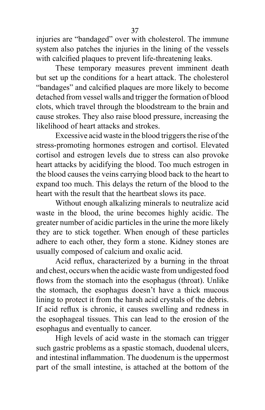injuries are "bandaged" over with cholesterol. The immune system also patches the injuries in the lining of the vessels with calcified plaques to prevent life-threatening leaks.

These temporary measures prevent imminent death but set up the conditions for a heart attack. The cholesterol "bandages" and calcified plaques are more likely to become detached from vessel walls and trigger the formation of blood clots, which travel through the bloodstream to the brain and cause strokes. They also raise blood pressure, increasing the likelihood of heart attacks and strokes.

Excessive acid waste in the blood triggers the rise of the stress-promoting hormones estrogen and cortisol. Elevated cortisol and estrogen levels due to stress can also provoke heart attacks by acidifying the blood. Too much estrogen in the blood causes the veins carrying blood back to the heart to expand too much. This delays the return of the blood to the heart with the result that the heartbeat slows its pace.

Without enough alkalizing minerals to neutralize acid waste in the blood, the urine becomes highly acidic. The greater number of acidic particles in the urine the more likely they are to stick together. When enough of these particles adhere to each other, they form a stone. Kidney stones are usually composed of calcium and oxalic acid.

Acid reflux, characterized by a burning in the throat and chest, occurs when the acidic waste from undigested food flows from the stomach into the esophagus (throat). Unlike the stomach, the esophagus doesn't have a thick mucous lining to protect it from the harsh acid crystals of the debris. If acid reflux is chronic, it causes swelling and redness in the esophageal tissues. This can lead to the erosion of the esophagus and eventually to cancer.

High levels of acid waste in the stomach can trigger such gastric problems as a spastic stomach, duodenal ulcers, and intestinal inflammation. The duodenum is the uppermost part of the small intestine, is attached at the bottom of the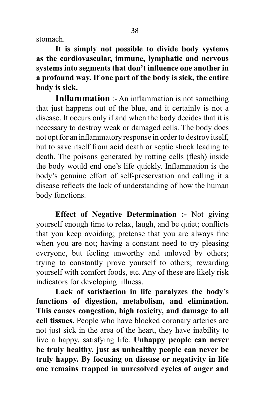stomach.

**It is simply not possible to divide body systems as the cardiovascular, immune, lymphatic and nervous systems into segments that don't influence one another in a profound way. If one part of the body is sick, the entire body is sick.** 

**Inflammation** :- An inflammation is not something that just happens out of the blue, and it certainly is not a disease. It occurs only if and when the body decides that it is necessary to destroy weak or damaged cells. The body does not opt for an inflammatory response in order to destroy itself, but to save itself from acid death or septic shock leading to death. The poisons generated by rotting cells (flesh) inside the body would end one's life quickly. Inflammation is the body's genuine effort of self-preservation and calling it a disease reflects the lack of understanding of how the human body functions.

**Effect of Negative Determination :-** Not giving yourself enough time to relax, laugh, and be quiet; conflicts that you keep avoiding; pretense that you are always fine when you are not; having a constant need to try pleasing everyone, but feeling unworthy and unloved by others; trying to constantly prove yourself to others; rewarding yourself with comfort foods, etc. Any of these are likely risk indicators for developing illness.

**Lack of satisfaction in life paralyzes the body's functions of digestion, metabolism, and elimination. This causes congestion, high toxicity, and damage to all cell tissues.** People who have blocked coronary arteries are not just sick in the area of the heart, they have inability to live a happy, satisfying life. **Unhappy people can never be truly healthy, just as unhealthy people can never be truly happy. By focusing on disease or negativity in life one remains trapped in unresolved cycles of anger and**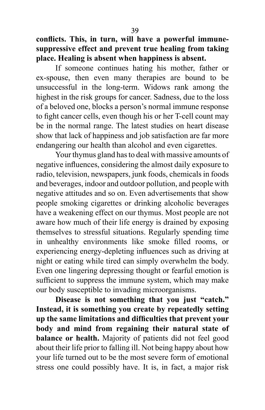**conflicts. This, in turn, will have a powerful immunesuppressive effect and prevent true healing from taking place. Healing is absent when happiness is absent.** 

If someone continues hating his mother, father or ex-spouse, then even many therapies are bound to be unsuccessful in the long-term. Widows rank among the highest in the risk groups for cancer. Sadness, due to the loss of a beloved one, blocks a person's normal immune response to fight cancer cells, even though his or her T-cell count may be in the normal range. The latest studies on heart disease show that lack of happiness and job satisfaction are far more endangering our health than alcohol and even cigarettes.

Your thymus gland has to deal with massive amounts of negative influences, considering the almost daily exposure to radio, television, newspapers, junk foods, chemicals in foods and beverages, indoor and outdoor pollution, and people with negative attitudes and so on. Even advertisements that show people smoking cigarettes or drinking alcoholic beverages have a weakening effect on our thymus. Most people are not aware how much of their life energy is drained by exposing themselves to stressful situations. Regularly spending time in unhealthy environments like smoke filled rooms, or experiencing energy-depleting influences such as driving at night or eating while tired can simply overwhelm the body. Even one lingering depressing thought or fearful emotion is sufficient to suppress the immune system, which may make our body susceptible to invading microorganisms.

**Disease is not something that you just "catch." Instead, it is something you create by repeatedly setting up the same limitations and difficulties that prevent your body and mind from regaining their natural state of balance or health.** Majority of patients did not feel good about their life prior to falling ill. Not being happy about how your life turned out to be the most severe form of emotional stress one could possibly have. It is, in fact, a major risk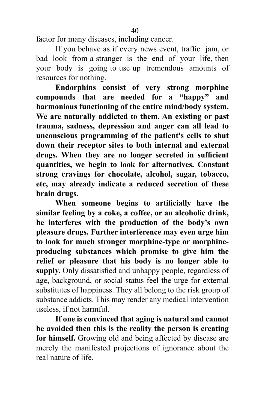factor for many diseases, including cancer.

If you behave as if every news event, traffic jam, or bad look from a stranger is the end of your life, then your body is going to use up tremendous amounts of resources for nothing.

**Endorphins consist of very strong morphine compounds that are needed for a "happy" and harmonious functioning of the entire mind/body system. We are naturally addicted to them. An existing or past trauma, sadness, depression and anger can all lead to unconscious programming of the patient's cells to shut down their receptor sites to both internal and external drugs. When they are no longer secreted in sufficient quantities, we begin to look for alternatives. Constant strong cravings for chocolate, alcohol, sugar, tobacco, etc, may already indicate a reduced secretion of these brain drugs.** 

**When someone begins to artificially have the similar feeling by a coke, a coffee, or an alcoholic drink, he interferes with the production of the body's own pleasure drugs. Further interference may even urge him to look for much stronger morphine-type or morphineproducing substances which promise to give him the relief or pleasure that his body is no longer able to supply.** Only dissatisfied and unhappy people, regardless of age, background, or social status feel the urge for external substitutes of happiness. They all belong to the risk group of substance addicts. This may render any medical intervention useless, if not harmful.

**If one is convinced that aging is natural and cannot be avoided then this is the reality the person is creating for himself.** Growing old and being affected by disease are merely the manifested projections of ignorance about the real nature of life.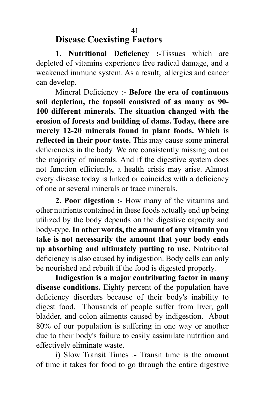**1. Nutritional Deficiency :-**Tissues which are depleted of vitamins experience free radical damage, and a weakened immune system. As a result, allergies and cancer can develop.

Mineral Deficiency :- **Before the era of continuous soil depletion, the topsoil consisted of as many as 90- 100 different minerals. The situation changed with the erosion of forests and building of dams. Today, there are merely 12-20 minerals found in plant foods. Which is reflected in their poor taste.** This may cause some mineral deficiencies in the body. We are consistently missing out on the majority of minerals. And if the digestive system does not function efficiently, a health crisis may arise. Almost every disease today is linked or coincides with a deficiency of one or several minerals or trace minerals.

**2. Poor digestion :-** How many of the vitamins and other nutrients contained in these foods actually end up being utilized by the body depends on the digestive capacity and body-type. **In other words, the amount of any vitamin you take is not necessarily the amount that your body ends up absorbing and ultimately putting to use.** Nutritional deficiency is also caused by indigestion. Body cells can only be nourished and rebuilt if the food is digested properly.

**Indigestion is a major contributing factor in many disease conditions.** Eighty percent of the population have deficiency disorders because of their body's inability to digest food. Thousands of people suffer from liver, gall bladder, and colon ailments caused by indigestion. About 80% of our population is suffering in one way or another due to their body's failure to easily assimilate nutrition and effectively eliminate waste.

i) Slow Transit Times :- Transit time is the amount of time it takes for food to go through the entire digestive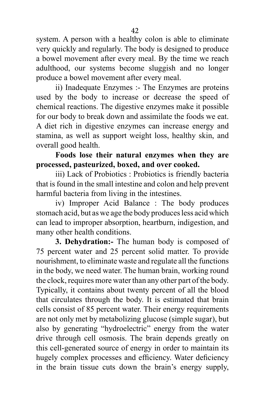system. A person with a healthy colon is able to eliminate very quickly and regularly. The body is designed to produce a bowel movement after every meal. By the time we reach adulthood, our systems become sluggish and no longer produce a bowel movement after every meal.

ii) Inadequate Enzymes :- The Enzymes are proteins used by the body to increase or decrease the speed of chemical reactions. The digestive enzymes make it possible for our body to break down and assimilate the foods we eat. A diet rich in digestive enzymes can increase energy and stamina, as well as support weight loss, healthy skin, and overall good health.

#### **Foods lose their natural enzymes when they are processed, pasteurized, boxed, and over cooked.**

iii) Lack of Probiotics : Probiotics is friendly bacteria that is found in the small intestine and colon and help prevent harmful bacteria from living in the intestines.

iv) Improper Acid Balance : The body produces stomach acid, but as we age the body produces less acid which can lead to improper absorption, heartburn, indigestion, and many other health conditions.

**3. Dehydration:-** The human body is composed of 75 percent water and 25 percent solid matter. To provide nourishment, to eliminate waste and regulate all the functions in the body, we need water. The human brain, working round the clock, requires more water than any other part of the body. Typically, it contains about twenty percent of all the blood that circulates through the body. It is estimated that brain cells consist of 85 percent water. Their energy requirements are not only met by metabolizing glucose (simple sugar), but also by generating "hydroelectric" energy from the water drive through cell osmosis. The brain depends greatly on this cell-generated source of energy in order to maintain its hugely complex processes and efficiency. Water deficiency in the brain tissue cuts down the brain's energy supply,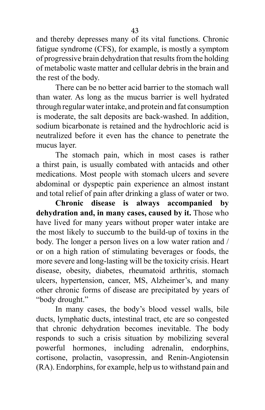and thereby depresses many of its vital functions. Chronic fatigue syndrome (CFS), for example, is mostly a symptom of progressive brain dehydration that results from the holding of metabolic waste matter and cellular debris in the brain and the rest of the body.

There can be no better acid barrier to the stomach wall than water. As long as the mucus barrier is well hydrated through regular water intake, and protein and fat consumption is moderate, the salt deposits are back-washed. In addition, sodium bicarbonate is retained and the hydrochloric acid is neutralized before it even has the chance to penetrate the mucus layer.

The stomach pain, which in most cases is rather a thirst pain, is usually combated with antacids and other medications. Most people with stomach ulcers and severe abdominal or dyspeptic pain experience an almost instant and total relief of pain after drinking a glass of water or two.

**Chronic disease is always accompanied by dehydration and, in many cases, caused by it.** Those who have lived for many years without proper water intake are the most likely to succumb to the build-up of toxins in the body. The longer a person lives on a low water ration and / or on a high ration of stimulating beverages or foods, the more severe and long-lasting will be the toxicity crisis. Heart disease, obesity, diabetes, rheumatoid arthritis, stomach ulcers, hypertension, cancer, MS, Alzheimer's, and many other chronic forms of disease are precipitated by years of "body drought."

In many cases, the body's blood vessel walls, bile ducts, lymphatic ducts, intestinal tract, etc are so congested that chronic dehydration becomes inevitable. The body responds to such a crisis situation by mobilizing several powerful hormones, including adrenalin, endorphins, cortisone, prolactin, vasopressin, and Renin-Angiotensin (RA). Endorphins, for example, help us to withstand pain and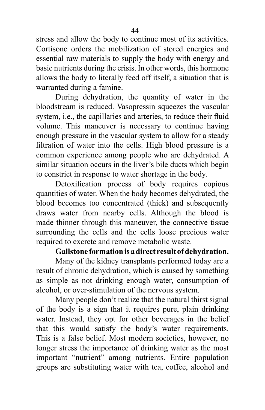stress and allow the body to continue most of its activities. Cortisone orders the mobilization of stored energies and essential raw materials to supply the body with energy and basic nutrients during the crisis. In other words, this hormone allows the body to literally feed off itself, a situation that is warranted during a famine.

During dehydration, the quantity of water in the bloodstream is reduced. Vasopressin squeezes the vascular system, i.e., the capillaries and arteries, to reduce their fluid volume. This maneuver is necessary to continue having enough pressure in the vascular system to allow for a steady filtration of water into the cells. High blood pressure is a common experience among people who are dehydrated. A similar situation occurs in the liver's bile ducts which begin to constrict in response to water shortage in the body.

Detoxification process of body requires copious quantities of water. When the body becomes dehydrated, the blood becomes too concentrated (thick) and subsequently draws water from nearby cells. Although the blood is made thinner through this maneuver, the connective tissue surrounding the cells and the cells loose precious water required to excrete and remove metabolic waste.

#### **Gallstone formation is a direct result of dehydration.**

Many of the kidney transplants performed today are a result of chronic dehydration, which is caused by something as simple as not drinking enough water, consumption of alcohol, or over-stimulation of the nervous system.

Many people don't realize that the natural thirst signal of the body is a sign that it requires pure, plain drinking water. Instead, they opt for other beverages in the belief that this would satisfy the body's water requirements. This is a false belief. Most modern societies, however, no longer stress the importance of drinking water as the most important "nutrient" among nutrients. Entire population groups are substituting water with tea, coffee, alcohol and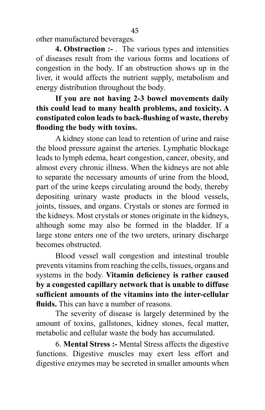other manufactured beverages.

**4. Obstruction :-** . The various types and intensities of diseases result from the various forms and locations of congestion in the body. If an obstruction shows up in the liver, it would affects the nutrient supply, metabolism and energy distribution throughout the body.

### **If you are not having 2-3 bowel movements daily this could lead to many health problems, and toxicity. A constipated colon leads to back-flushing of waste, thereby flooding the body with toxins.**

A kidney stone can lead to retention of urine and raise the blood pressure against the arteries. Lymphatic blockage leads to lymph edema, heart congestion, cancer, obesity, and almost every chronic illness. When the kidneys are not able to separate the necessary amounts of urine from the blood, part of the urine keeps circulating around the body, thereby depositing urinary waste products in the blood vessels, joints, tissues, and organs. Crystals or stones are formed in the kidneys. Most crystals or stones originate in the kidneys, although some may also be formed in the bladder. If a large stone enters one of the two ureters, urinary discharge becomes obstructed.

Blood vessel wall congestion and intestinal trouble prevents vitamins from reaching the cells, tissues, organs and systems in the body. **Vitamin deficiency is rather caused by a congested capillary network that is unable to diffuse sufficient amounts of the vitamins into the inter-cellular fluids.** This can have a number of reasons.

The severity of disease is largely determined by the amount of toxins, gallstones, kidney stones, fecal matter, metabolic and cellular waste the body has accumulated.

6. **Mental Stress :-** Mental Stress affects the digestive functions. Digestive muscles may exert less effort and digestive enzymes may be secreted in smaller amounts when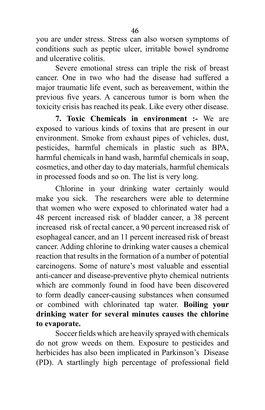you are under stress. Stress can also worsen symptoms of conditions such as peptic ulcer, irritable bowel syndrome and ulcerative colitis.

Severe emotional stress can triple the risk of breast cancer. One in two who had the disease had suffered a major traumatic life event, such as bereavement, within the previous five years. A cancerous tumor is born when the toxicity crisis has reached its peak. Like every other disease.

**7. Toxic Chemicals in environment :-** We are exposed to various kinds of toxins that are present in our environment. Smoke from exhaust pipes of vehicles, dust, pesticides, harmful chemicals in plastic such as BPA, harmful chemicals in hand wash, harmful chemicals in soap, cosmetics, and other day to day materials, harmful chemicals in processed foods and so on. The list is very long.

Chlorine in your drinking water certainly would make you sick. The researchers were able to determine that women who were exposed to chlorinated water had a 48 percent increased risk of bladder cancer, a 38 percent increased risk of rectal cancer, a 90 percent increased risk of esophageal cancer, and an 11 percent increased risk of breast cancer. Adding chlorine to drinking water causes a chemical reaction that results in the formation of a number of potential carcinogens. Some of nature's most valuable and essential anti-cancer and disease-preventive phyto chemical nutrients which are commonly found in food have been discovered to form deadly cancer-causing substances when consumed or combined with chlorinated tap water. **Boiling your drinking water for several minutes causes the chlorine to evaporate.**

Soccer fields which are heavily sprayed with chemicals do not grow weeds on them. Exposure to pesticides and herbicides has also been implicated in Parkinson's Disease (PD). A startlingly high percentage of professional field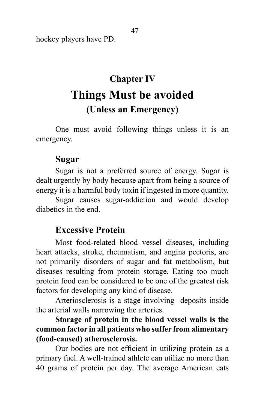hockey players have PD.

# **Chapter IV Things Must be avoided (Unless an Emergency)**

One must avoid following things unless it is an emergency.

## **Sugar**

Sugar is not a preferred source of energy. Sugar is dealt urgently by body because apart from being a source of energy it is a harmful body toxin if ingested in more quantity.

Sugar causes sugar-addiction and would develop diabetics in the end.

## **Excessive Protein**

Most food-related blood vessel diseases, including heart attacks, stroke, rheumatism, and angina pectoris, are not primarily disorders of sugar and fat metabolism, but diseases resulting from protein storage. Eating too much protein food can be considered to be one of the greatest risk factors for developing any kind of disease.

Arteriosclerosis is a stage involving deposits inside the arterial walls narrowing the arteries.

**Storage of protein in the blood vessel walls is the common factor in all patients who suffer from alimentary (food-caused) atherosclerosis.** 

Our bodies are not efficient in utilizing protein as a primary fuel. A well-trained athlete can utilize no more than 40 grams of protein per day. The average American eats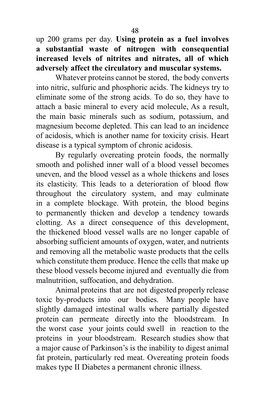up 200 grams per day. **Using protein as a fuel involves a substantial waste of nitrogen with consequential increased levels of nitrites and nitrates, all of which adversely affect the circulatory and muscular systems.**

Whatever proteins cannot be stored, the body converts into nitric, sulfuric and phosphoric acids. The kidneys try to eliminate some of the strong acids. To do so, they have to attach a basic mineral to every acid molecule, As a result, the main basic minerals such as sodium, potassium, and magnesium become depleted. This can lead to an incidence of acidosis, which is another name for toxicity crisis. Heart disease is a typical symptom of chronic acidosis.

By regularly overeating protein foods, the normally smooth and polished inner wall of a blood vessel becomes uneven, and the blood vessel as a whole thickens and loses its elasticity. This leads to a deterioration of blood flow throughout the circulatory system, and may culminate in a complete blockage. With protein, the blood begins to permanently thicken and develop a tendency towards clotting. As a direct consequence of this development, the thickened blood vessel walls are no longer capable of absorbing sufficient amounts of oxygen, water, and nutrients and removing all the metabolic waste products that the cells which constitute them produce. Hence the cells that make up these blood vessels become injured and eventually die from malnutrition, suffocation, and dehydration.

Animal proteins that are not digested properly release toxic by-products into our bodies. Many people have slightly damaged intestinal walls where partially digested protein can permeate directly into the bloodstream. In the worst case your joints could swell in reaction to the proteins in your bloodstream. Research studies show that a major cause of Parkinson's is the inability to digest animal fat protein, particularly red meat. Overeating protein foods makes type II Diabetes a permanent chronic illness.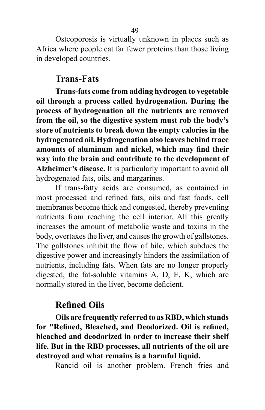Osteoporosis is virtually unknown in places such as Africa where people eat far fewer proteins than those living in developed countries.

## **Trans-Fats**

**Trans-fats come from adding hydrogen to vegetable oil through a process called hydrogenation. During the process of hydrogenation all the nutrients are removed from the oil, so the digestive system must rob the body's store of nutrients to break down the empty calories in the hydrogenated oil. Hydrogenation also leaves behind trace amounts of aluminum and nickel, which may find their way into the brain and contribute to the development of Alzheimer's disease.** It is particularly important to avoid all hydrogenated fats, oils, and margarines.

If trans-fatty acids are consumed, as contained in most processed and refined fats, oils and fast foods, cell membranes become thick and congested, thereby preventing nutrients from reaching the cell interior. All this greatly increases the amount of metabolic waste and toxins in the body, overtaxes the liver, and causes the growth of gallstones. The gallstones inhibit the flow of bile, which subdues the digestive power and increasingly hinders the assimilation of nutrients, including fats. When fats are no longer properly digested, the fat-soluble vitamins A, D, E, K, which are normally stored in the liver, become deficient.

# **Refined Oils**

**Oils are frequently referred to as RBD, which stands for "Refined, Bleached, and Deodorized. Oil is refined, bleached and deodorized in order to increase their shelf life. But in the RBD processes, all nutrients of the oil are destroyed and what remains is a harmful liquid.**

Rancid oil is another problem. French fries and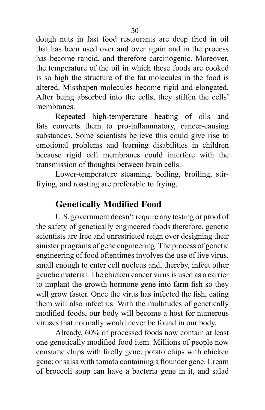dough nuts in fast food restaurants are deep fried in oil that has been used over and over again and in the process has become rancid, and therefore carcinogenic. Moreover, the temperature of the oil in which these foods are cooked is so high the structure of the fat molecules in the food is altered. Misshapen molecules become rigid and elongated. After being absorbed into the cells, they stiffen the cells' membranes.

Repeated high-temperature heating of oils and fats converts them to pro-inflammatory, cancer-causing substances. Some scientists believe this could give rise to emotional problems and learning disabilities in children because rigid cell membranes could interfere with the transmission of thoughts between brain cells.

Lower-temperature steaming, boiling, broiling, stirfrying, and roasting are preferable to frying.

# **Genetically Modified Food**

U.S. government doesn't require any testing or proof of the safety of genetically engineered foods therefore, genetic scientists are free and unrestricted reign over designing their sinister programs of gene engineering. The process of genetic engineering of food oftentimes involves the use of live virus, small enough to enter cell nucleus and, thereby, infect other genetic material. The chicken cancer virus is used as a carrier to implant the growth hormone gene into farm fish so they will grow faster. Once the virus has infected the fish, eating them will also infect us. With the multitudes of genetically modified foods, our body will become a host for numerous viruses that normally would never be found in our body.

Already, 60% of processed foods now contain at least one genetically modified food item. Millions of people now consume chips with firefly gene; potato chips with chicken gene; or salsa with tomato containing a flounder gene. Cream of broccoli soup can have a bacteria gene in it, and salad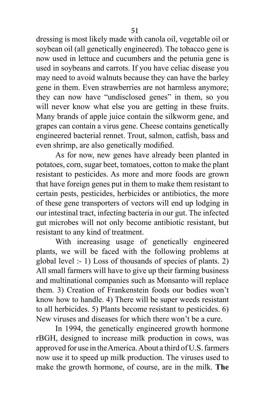dressing is most likely made with canola oil, vegetable oil or soybean oil (all genetically engineered). The tobacco gene is now used in lettuce and cucumbers and the petunia gene is used in soybeans and carrots. If you have celiac disease you may need to avoid walnuts because they can have the barley gene in them. Even strawberries are not harmless anymore; they can now have "undisclosed genes" in them, so you will never know what else you are getting in these fruits. Many brands of apple juice contain the silkworm gene, and grapes can contain a virus gene. Cheese contains genetically engineered bacterial rennet. Trout, salmon, catfish, bass and even shrimp, are also genetically modified.

As for now, new genes have already been planted in potatoes, corn, sugar beet, tomatoes, cotton to make the plant resistant to pesticides. As more and more foods are grown that have foreign genes put in them to make them resistant to certain pests, pesticides, herbicides or antibiotics, the more of these gene transporters of vectors will end up lodging in our intestinal tract, infecting bacteria in our gut. The infected gut microbes will not only become antibiotic resistant, but resistant to any kind of treatment.

With increasing usage of genetically engineered plants, we will be faced with the following problems at global level :- 1) Loss of thousands of species of plants. 2) All small farmers will have to give up their farming business and multinational companies such as Monsanto will replace them. 3) Creation of Frankenstein foods our bodies won't know how to handle. 4) There will be super weeds resistant to all herbicides. 5) Plants become resistant to pesticides. 6) New viruses and diseases for which there won't be a cure.

In 1994, the genetically engineered growth hormone rBGH, designed to increase milk production in cows, was approved for use in the America. About a third of U.S. farmers now use it to speed up milk production. The viruses used to make the growth hormone, of course, are in the milk. **The**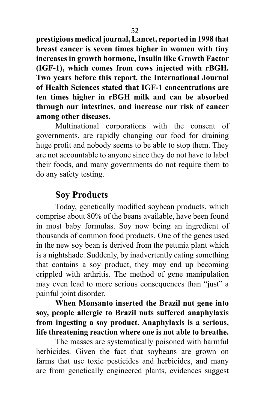**prestigious medical journal, Lancet, reported in 1998 that breast cancer is seven times higher in women with tiny increases in growth hormone, Insulin like Growth Factor (IGF-1), which comes from cows injected with rBGH. Two years before this report, the International Journal of Health Sciences stated that IGF-1 concentrations are ten times higher in rBGH milk and can be absorbed through our intestines, and increase our risk of cancer among other diseases.**

Multinational corporations with the consent of governments, are rapidly changing our food for draining huge profit and nobody seems to be able to stop them. They are not accountable to anyone since they do not have to label their foods, and many governments do not require them to do any safety testing.

## **Soy Products**

Today, genetically modified soybean products, which comprise about 80% of the beans available, have been found in most baby formulas. Soy now being an ingredient of thousands of common food products. One of the genes used in the new soy bean is derived from the petunia plant which is a nightshade. Suddenly, by inadvertently eating something that contains a soy product, they may end up becoming crippled with arthritis. The method of gene manipulation may even lead to more serious consequences than "just" a painful joint disorder.

**When Monsanto inserted the Brazil nut gene into soy, people allergic to Brazil nuts suffered anaphylaxis from ingesting a soy product. Anaphylaxis is a serious, life threatening reaction where one is not able to breathe.**

The masses are systematically poisoned with harmful herbicides. Given the fact that soybeans are grown on farms that use toxic pesticides and herbicides, and many are from genetically engineered plants, evidences suggest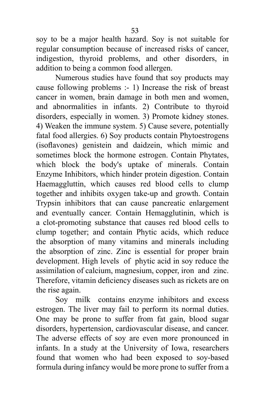soy to be a major health hazard. Soy is not suitable for regular consumption because of increased risks of cancer, indigestion, thyroid problems, and other disorders, in addition to being a common food allergen.

Numerous studies have found that soy products may cause following problems :- 1) Increase the risk of breast cancer in women, brain damage in both men and women, and abnormalities in infants. 2) Contribute to thyroid disorders, especially in women. 3) Promote kidney stones. 4) Weaken the immune system. 5) Cause severe, potentially fatal food allergies. 6) Soy products contain Phytoestrogens (isoflavones) genistein and daidzein, which mimic and sometimes block the hormone estrogen. Contain Phytates, which block the body's uptake of minerals. Contain Enzyme Inhibitors, which hinder protein digestion. Contain Haemaggluttin, which causes red blood cells to clump together and inhibits oxygen take-up and growth. Contain Trypsin inhibitors that can cause pancreatic enlargement and eventually cancer. Contain Hemagglutinin, which is a clot-promoting substance that causes red blood cells to clump together; and contain Phytic acids, which reduce the absorption of many vitamins and minerals including the absorption of zinc. Zinc is essential for proper brain development. High levels of phytic acid in soy reduce the assimilation of calcium, magnesium, copper, iron and zinc. Therefore, vitamin deficiency diseases such as rickets are on the rise again.

Soy milk contains enzyme inhibitors and excess estrogen. The liver may fail to perform its normal duties. One may be prone to suffer from fat gain, blood sugar disorders, hypertension, cardiovascular disease, and cancer. The adverse effects of soy are even more pronounced in infants. In a study at the University of Iowa, researchers found that women who had been exposed to soy-based formula during infancy would be more prone to suffer from a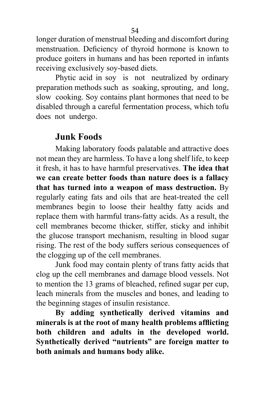longer duration of menstrual bleeding and discomfort during menstruation. Deficiency of thyroid hormone is known to produce goiters in humans and has been reported in infants receiving exclusively soy-based diets.

Phytic acid in soy is not neutralized by ordinary preparation methods such as soaking, sprouting, and long, slow cooking. Soy contains plant hormones that need to be disabled through a careful fermentation process, which tofu does not undergo.

# **Junk Foods**

Making laboratory foods palatable and attractive does not mean they are harmless. To have a long shelf life, to keep it fresh, it has to have harmful preservatives. **The idea that we can create better foods than nature does is a fallacy that has turned into a weapon of mass destruction.** By regularly eating fats and oils that are heat-treated the cell membranes begin to loose their healthy fatty acids and replace them with harmful trans-fatty acids. As a result, the cell membranes become thicker, stiffer, sticky and inhibit the glucose transport mechanism, resulting in blood sugar rising. The rest of the body suffers serious consequences of the clogging up of the cell membranes.

Junk food may contain plenty of trans fatty acids that clog up the cell membranes and damage blood vessels. Not to mention the 13 grams of bleached, refined sugar per cup, leach minerals from the muscles and bones, and leading to the beginning stages of insulin resistance.

**By adding synthetically derived vitamins and minerals is at the root of many health problems afflicting both children and adults in the developed world. Synthetically derived "nutrients" are foreign matter to both animals and humans body alike.**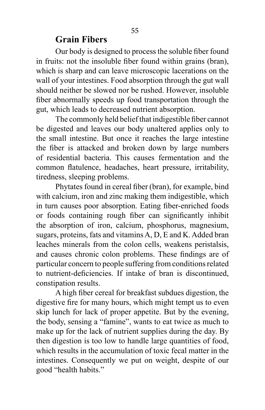### **Grain Fibers**

Our body is designed to process the soluble fiber found in fruits: not the insoluble fiber found within grains (bran), which is sharp and can leave microscopic lacerations on the wall of your intestines. Food absorption through the gut wall should neither be slowed nor be rushed. However, insoluble fiber abnormally speeds up food transportation through the gut, which leads to decreased nutrient absorption.

The commonly held belief that indigestible fiber cannot be digested and leaves our body unaltered applies only to the small intestine. But once it reaches the large intestine the fiber is attacked and broken down by large numbers of residential bacteria. This causes fermentation and the common flatulence, headaches, heart pressure, irritability, tiredness, sleeping problems.

Phytates found in cereal fiber (bran), for example, bind with calcium, iron and zinc making them indigestible, which in turn causes poor absorption. Eating fiber-enriched foods or foods containing rough fiber can significantly inhibit the absorption of iron, calcium, phosphorus, magnesium, sugars, proteins, fats and vitamins A, D, E and K. Added bran leaches minerals from the colon cells, weakens peristalsis, and causes chronic colon problems. These findings are of particular concern to people suffering from conditions related to nutrient-deficiencies. If intake of bran is discontinued, constipation results.

A high fiber cereal for breakfast subdues digestion, the digestive fire for many hours, which might tempt us to even skip lunch for lack of proper appetite. But by the evening, the body, sensing a "famine", wants to eat twice as much to make up for the lack of nutrient supplies during the day. By then digestion is too low to handle large quantities of food, which results in the accumulation of toxic fecal matter in the intestines. Consequently we put on weight, despite of our good "health habits."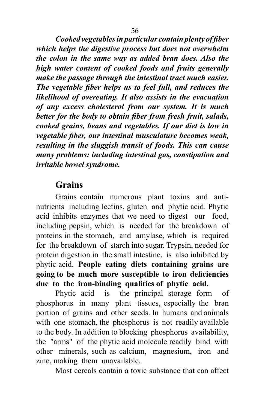*Cooked vegetables in particular contain plenty of fiber which helps the digestive process but does not overwhelm the colon in the same way as added bran does. Also the high water content of cooked foods and fruits generally make the passage through the intestinal tract much easier. The vegetable fiber helps us to feel full, and reduces the likelihood of overeating. It also assists in the evacuation of any excess cholesterol from our system. It is much better for the body to obtain fiber from fresh fruit, salads, cooked grains, beans and vegetables. If our diet is low in vegetable fiber, our intestinal musculature becomes weak, resulting in the sluggish transit of foods. This can cause many problems: including intestinal gas, constipation and irritable bowel syndrome.* 

## **Grains**

Grains contain numerous plant toxins and antinutrients including lectins, gluten and phytic acid. Phytic acid inhibits enzymes that we need to digest our food, including pepsin, which is needed for the breakdown of proteins in the stomach, and amylase, which is required for the breakdown of starch into sugar. Trypsin, needed for protein digestion in the small intestine, is also inhibited by phytic acid. **People eating diets containing grains are going to be much more susceptible to iron deficiencies due to the iron-binding qualities of phytic acid.** 

Phytic acid is the principal storage form of phosphorus in many plant tissues, especially the bran portion of grains and other seeds. In humans and animals with one stomach, the phosphorus is not readily available to the body. In addition to blocking phosphorus availability, the "arms" of the phytic acid molecule readily bind with other minerals, such as calcium, magnesium, iron and zinc, making them unavailable.

Most cereals contain a toxic substance that can affect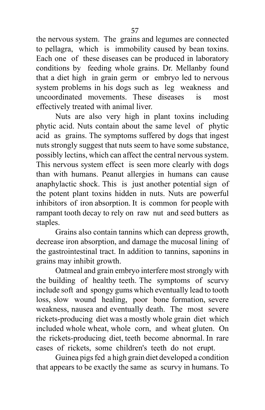the nervous system. The grains and legumes are connected to pellagra, which is immobility caused by bean toxins. Each one of these diseases can be produced in laboratory conditions by feeding whole grains. Dr. Mellanby found that a diet high in grain germ or embryo led to nervous system problems in his dogs such as leg weakness and uncoordinated movements. These diseases is most effectively treated with animal liver.

Nuts are also very high in plant toxins including phytic acid. Nuts contain about the same level of phytic acid as grains. The symptoms suffered by dogs that ingest nuts strongly suggest that nuts seem to have some substance, possibly lectins, which can affect the central nervous system. This nervous system effect is seen more clearly with dogs than with humans. Peanut allergies in humans can cause anaphylactic shock. This is just another potential sign of the potent plant toxins hidden in nuts. Nuts are powerful inhibitors of iron absorption. It is common for people with rampant tooth decay to rely on raw nut and seed butters as staples.

Grains also contain tannins which can depress growth, decrease iron absorption, and damage the mucosal lining of the gastrointestinal tract. In addition to tannins, saponins in grains may inhibit growth.

Oatmeal and grain embryo interfere most strongly with the building of healthy teeth. The symptoms of scurvy include soft and spongy gums which eventually lead to tooth loss, slow wound healing, poor bone formation, severe weakness, nausea and eventually death. The most severe rickets-producing diet was a mostly whole grain diet which included whole wheat, whole corn, and wheat gluten. On the rickets-producing diet, teeth become abnormal. In rare cases of rickets, some children's teeth do not erupt.

Guinea pigs fed a high grain diet developed a condition that appears to be exactly the same as scurvy in humans. To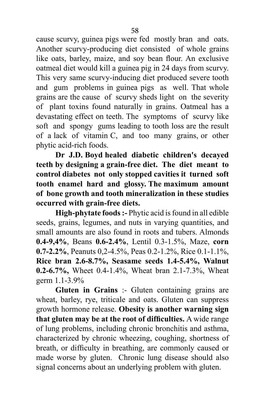cause scurvy, guinea pigs were fed mostly bran and oats. Another scurvy-producing diet consisted of whole grains like oats, barley, maize, and soy bean flour. An exclusive oatmeal diet would kill a guinea pig in 24 days from scurvy. This very same scurvy-inducing diet produced severe tooth and gum problems in guinea pigs as well. That whole grains are the cause of scurvy sheds light on the severity of plant toxins found naturally in grains. Oatmeal has a devastating effect on teeth. The symptoms of scurvy like soft and spongy gums leading to tooth loss are the result of a lack of vitamin C, and too many grains, or other phytic acid-rich foods.

**Dr J.D. Boyd healed diabetic children's decayed teeth by designing a grain-free diet. The diet meant to control diabetes not only stopped cavities it turned soft tooth enamel hard and glossy. The maximum amount of bone growth and tooth mineralization in these studies occurred with grain-free diets.**

**High-phytate foods :-** Phytic acid is found in all edible seeds, grains, legumes, and nuts in varying quantities, and small amounts are also found in roots and tubers. Almonds **0.4-9,4%**, Beans **0.6-2.4%**, Lentil 0.3-1.5%, Maze, **corn 0.7-2.2%**, Peanuts 0,2-4.5%, Peas 0.2-1.2%, Rice 0.1-1.1%, **Rice bran 2.6-8.7%, Seasame seeds 1.4-5.4%, Walnut 0.2-6.7%,** Wheet 0.4-1.4%, Wheat bran 2.1-7.3%, Wheat germ 1.1-3.9%

**Gluten in Grains** :- Gluten containing grains are wheat, barley, rye, triticale and oats. Gluten can suppress growth hormone release. **Obesity is another warning sign that gluten may be at the root of difficulties.** A wide range of lung problems, including chronic bronchitis and asthma, characterized by chronic wheezing, coughing, shortness of breath, or difficulty in breathing, are commonly caused or made worse by gluten. Chronic lung disease should also signal concerns about an underlying problem with gluten.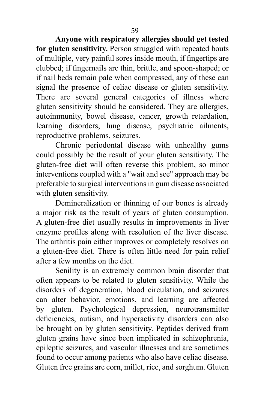**Anyone with respiratory allergies should get tested for gluten sensitivity.** Person struggled with repeated bouts of multiple, very painful sores inside mouth, if fingertips are clubbed; if fingernails are thin, brittle, and spoon-shaped; or if nail beds remain pale when compressed, any of these can signal the presence of celiac disease or gluten sensitivity. There are several general categories of illness where gluten sensitivity should be considered. They are allergies, autoimmunity, bowel disease, cancer, growth retardation, learning disorders, lung disease, psychiatric ailments, reproductive problems, seizures.

Chronic periodontal disease with unhealthy gums could possibly be the result of your gluten sensitivity. The gluten-free diet will often reverse this problem, so minor interventions coupled with a "wait and see" approach may be preferable to surgical interventions in gum disease associated with gluten sensitivity.

Demineralization or thinning of our bones is already a major risk as the result of years of gluten consumption. A gluten-free diet usually results in improvements in liver enzyme profiles along with resolution of the liver disease. The arthritis pain either improves or completely resolves on a gluten-free diet. There is often little need for pain relief after a few months on the diet.

Senility is an extremely common brain disorder that often appears to be related to gluten sensitivity. While the disorders of degeneration, blood circulation, and seizures can alter behavior, emotions, and learning are affected by gluten. Psychological depression, neurotransmitter deficiencies, autism, and hyperactivity disorders can also be brought on by gluten sensitivity. Peptides derived from gluten grains have since been implicated in schizophrenia, epileptic seizures, and vascular illnesses and are sometimes found to occur among patients who also have celiac disease. Gluten free grains are corn, millet, rice, and sorghum. Gluten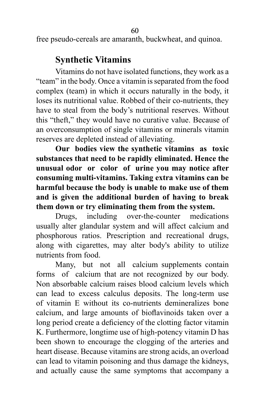free pseudo-cereals are amaranth, buckwheat, and quinoa.

# **Synthetic Vitamins**

Vitamins do not have isolated functions, they work as a "team" in the body. Once a vitamin is separated from the food complex (team) in which it occurs naturally in the body, it loses its nutritional value. Robbed of their co-nutrients, they have to steal from the body's nutritional reserves. Without this "theft," they would have no curative value. Because of an overconsumption of single vitamins or minerals vitamin reserves are depleted instead of alleviating.

**Our bodies view the synthetic vitamins as toxic substances that need to be rapidly eliminated. Hence the unusual odor or color of urine you may notice after consuming multi-vitamins. Taking extra vitamins can be harmful because the body is unable to make use of them and is given the additional burden of having to break them down or try eliminating them from the system.**

Drugs, including over-the-counter medications usually alter glandular system and will affect calcium and phosphorous ratios. Prescription and recreational drugs, along with cigarettes, may alter body's ability to utilize nutrients from food.

Many, but not all calcium supplements contain forms of calcium that are not recognized by our body. Non absorbable calcium raises blood calcium levels which can lead to excess calculus deposits. The long-term use of vitamin E without its co-nutrients demineralizes bone calcium, and large amounts of bioflavinoids taken over a long period create a deficiency of the clotting factor vitamin K. Furthermore, longtime use of high-potency vitamin D has been shown to encourage the clogging of the arteries and heart disease. Because vitamins are strong acids, an overload can lead to vitamin poisoning and thus damage the kidneys, and actually cause the same symptoms that accompany a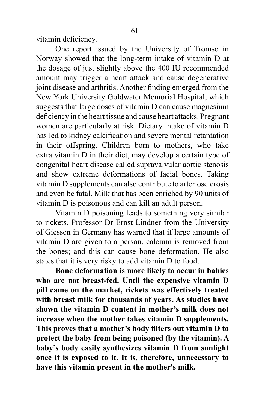vitamin deficiency.

One report issued by the University of Tromso in Norway showed that the long-term intake of vitamin D at the dosage of just slightly above the 400 IU recommended amount may trigger a heart attack and cause degenerative joint disease and arthritis. Another finding emerged from the New York University Goldwater Memorial Hospital, which suggests that large doses of vitamin D can cause magnesium deficiency in the heart tissue and cause heart attacks. Pregnant women are particularly at risk. Dietary intake of vitamin D has led to kidney calcification and severe mental retardation in their offspring. Children born to mothers, who take extra vitamin D in their diet, may develop a certain type of congenital heart disease called supravalvular aortic stenosis and show extreme deformations of facial bones. Taking vitamin D supplements can also contribute to arteriosclerosis and even be fatal. Milk that has been enriched by 90 units of vitamin D is poisonous and can kill an adult person.

Vitamin D poisoning leads to something very similar to rickets. Professor Dr Ernst Lindner from the University of Giessen in Germany has warned that if large amounts of vitamin D are given to a person, calcium is removed from the bones; and this can cause bone deformation. He also states that it is very risky to add vitamin D to food.

**Bone deformation is more likely to occur in babies who are not breast-fed. Until the expensive vitamin D pill came on the market, rickets was effectively treated with breast milk for thousands of years. As studies have shown the vitamin D content in mother's milk does not increase when the mother takes vitamin D supplements. This proves that a mother's body filters out vitamin D to protect the baby from being poisoned (by the vitamin). A baby's body easily synthesizes vitamin D from sunlight once it is exposed to it. It is, therefore, unnecessary to have this vitamin present in the mother's milk.**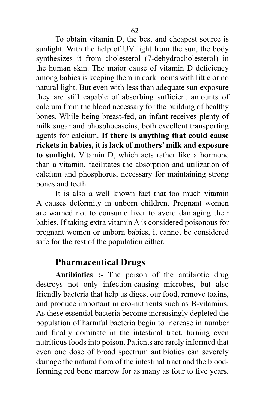To obtain vitamin D, the best and cheapest source is sunlight. With the help of UV light from the sun, the body synthesizes it from cholesterol (7-dehydrocholesterol) in the human skin. The major cause of vitamin D deficiency among babies is keeping them in dark rooms with little or no natural light. But even with less than adequate sun exposure they are still capable of absorbing sufficient amounts of calcium from the blood necessary for the building of healthy bones. While being breast-fed, an infant receives plenty of milk sugar and phosphocaseins, both excellent transporting agents for calcium. **If there is anything that could cause rickets in babies, it is lack of mothers' milk and exposure to sunlight.** Vitamin D, which acts rather like a hormone than a vitamin, facilitates the absorption and utilization of calcium and phosphorus, necessary for maintaining strong bones and teeth.

It is also a well known fact that too much vitamin A causes deformity in unborn children. Pregnant women are warned not to consume liver to avoid damaging their babies. If taking extra vitamin A is considered poisonous for pregnant women or unborn babies, it cannot be considered safe for the rest of the population either.

# **Pharmaceutical Drugs**

**Antibiotics :-** The poison of the antibiotic drug destroys not only infection-causing microbes, but also friendly bacteria that help us digest our food, remove toxins, and produce important micro-nutrients such as B-vitamins. As these essential bacteria become increasingly depleted the population of harmful bacteria begin to increase in number and finally dominate in the intestinal tract, turning even nutritious foods into poison. Patients are rarely informed that even one dose of broad spectrum antibiotics can severely damage the natural flora of the intestinal tract and the bloodforming red bone marrow for as many as four to five years.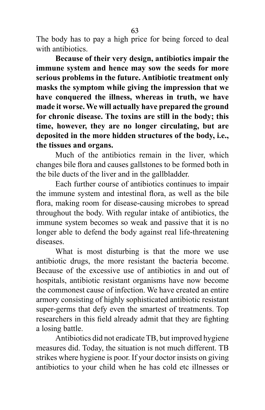The body has to pay a high price for being forced to deal with antibiotics

**Because of their very design, antibiotics impair the immune system and hence may sow the seeds for more serious problems in the future. Antibiotic treatment only masks the symptom while giving the impression that we have conquered the illness, whereas in truth, we have made it worse. We will actually have prepared the ground for chronic disease. The toxins are still in the body; this time, however, they are no longer circulating, but are deposited in the more hidden structures of the body, i.e., the tissues and organs.**

Much of the antibiotics remain in the liver, which changes bile flora and causes gallstones to be formed both in the bile ducts of the liver and in the gallbladder.

Each further course of antibiotics continues to impair the immune system and intestinal flora, as well as the bile flora, making room for disease-causing microbes to spread throughout the body. With regular intake of antibiotics, the immune system becomes so weak and passive that it is no longer able to defend the body against real life-threatening diseases.

What is most disturbing is that the more we use antibiotic drugs, the more resistant the bacteria become. Because of the excessive use of antibiotics in and out of hospitals, antibiotic resistant organisms have now become the commonest cause of infection. We have created an entire armory consisting of highly sophisticated antibiotic resistant super-germs that defy even the smartest of treatments. Top researchers in this field already admit that they are fighting a losing battle.

Antibiotics did not eradicate TB, but improved hygiene measures did. Today, the situation is not much different. TB strikes where hygiene is poor. If your doctor insists on giving antibiotics to your child when he has cold etc illnesses or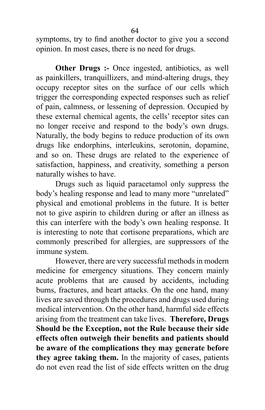symptoms, try to find another doctor to give you a second opinion. In most cases, there is no need for drugs.

**Other Drugs :-** Once ingested, antibiotics, as well as painkillers, tranquillizers, and mind-altering drugs, they occupy receptor sites on the surface of our cells which trigger the corresponding expected responses such as relief of pain, calmness, or lessening of depression. Occupied by these external chemical agents, the cells' receptor sites can no longer receive and respond to the body's own drugs. Naturally, the body begins to reduce production of its own drugs like endorphins, interleukins, serotonin, dopamine, and so on. These drugs are related to the experience of satisfaction, happiness, and creativity, something a person naturally wishes to have.

Drugs such as liquid paracetamol only suppress the body's healing response and lead to many more "unrelated" physical and emotional problems in the future. It is better not to give aspirin to children during or after an illness as this can interfere with the body's own healing response. It is interesting to note that cortisone preparations, which are commonly prescribed for allergies, are suppressors of the immune system.

However, there are very successful methods in modern medicine for emergency situations. They concern mainly acute problems that are caused by accidents, including burns, fractures, and heart attacks. On the one hand, many lives are saved through the procedures and drugs used during medical intervention. On the other hand, harmful side effects arising from the treatment can take lives. **Therefore, Drugs Should be the Exception, not the Rule because their side effects often outweigh their benefits and patients should be aware of the complications they may generate before they agree taking them.** In the majority of cases, patients do not even read the list of side effects written on the drug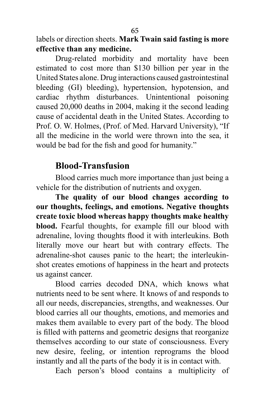labels or direction sheets. **Mark Twain said fasting is more effective than any medicine.**

Drug-related morbidity and mortality have been estimated to cost more than \$130 billion per year in the United States alone. Drug interactions caused gastrointestinal bleeding (GI) bleeding), hypertension, hypotension, and cardiac rhythm disturbances. Unintentional poisoning caused 20,000 deaths in 2004, making it the second leading cause of accidental death in the United States. According to Prof. O. W. Holmes, (Prof. of Med. Harvard University), "If all the medicine in the world were thrown into the sea, it would be bad for the fish and good for humanity."

## **Blood-Transfusion**

Blood carries much more importance than just being a vehicle for the distribution of nutrients and oxygen.

**The quality of our blood changes according to our thoughts, feelings, and emotions. Negative thoughts create toxic blood whereas happy thoughts make healthy blood.** Fearful thoughts, for example fill our blood with adrenaline, loving thoughts flood it with interleukins. Both literally move our heart but with contrary effects. The adrenaline-shot causes panic to the heart; the interleukinshot creates emotions of happiness in the heart and protects us against cancer.

Blood carries decoded DNA, which knows what nutrients need to be sent where. It knows of and responds to all our needs, discrepancies, strengths, and weaknesses. Our blood carries all our thoughts, emotions, and memories and makes them available to every part of the body. The blood is filled with patterns and geometric designs that reorganize themselves according to our state of consciousness. Every new desire, feeling, or intention reprograms the blood instantly and all the parts of the body it is in contact with.

Each person's blood contains a multiplicity of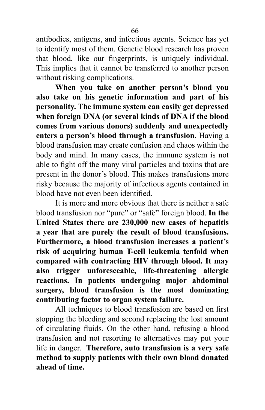antibodies, antigens, and infectious agents. Science has yet to identify most of them. Genetic blood research has proven that blood, like our fingerprints, is uniquely individual. This implies that it cannot be transferred to another person without risking complications.

**When you take on another person's blood you also take on his genetic information and part of his personality. The immune system can easily get depressed when foreign DNA (or several kinds of DNA if the blood comes from various donors) suddenly and unexpectedly enters a person's blood through a transfusion.** Having a blood transfusion may create confusion and chaos within the body and mind. In many cases, the immune system is not able to fight off the many viral particles and toxins that are present in the donor's blood. This makes transfusions more risky because the majority of infectious agents contained in blood have not even been identified.

It is more and more obvious that there is neither a safe blood transfusion nor "pure" or "safe" foreign blood. **In the United States there are 230,000 new cases of hepatitis a year that are purely the result of blood transfusions. Furthermore, a blood transfusion increases a patient's risk of acquiring human T-cell leukemia tenfold when compared with contracting HIV through blood. It may also trigger unforeseeable, life-threatening allergic reactions. In patients undergoing major abdominal surgery, blood transfusion is the most dominating contributing factor to organ system failure.** 

All techniques to blood transfusion are based on first stopping the bleeding and second replacing the lost amount of circulating fluids. On the other hand, refusing a blood transfusion and not resorting to alternatives may put your life in danger. **Therefore, auto transfusion is a very safe method to supply patients with their own blood donated ahead of time.**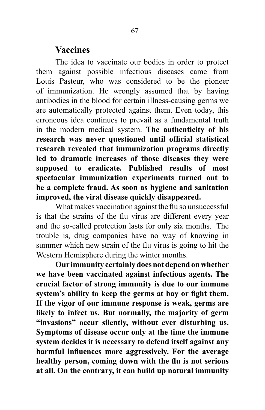### **Vaccines**

The idea to vaccinate our bodies in order to protect them against possible infectious diseases came from Louis Pasteur, who was considered to be the pioneer of immunization. He wrongly assumed that by having antibodies in the blood for certain illness-causing germs we are automatically protected against them. Even today, this erroneous idea continues to prevail as a fundamental truth in the modern medical system. **The authenticity of his research was never questioned until official statistical research revealed that immunization programs directly led to dramatic increases of those diseases they were supposed to eradicate. Published results of most spectacular immunization experiments turned out to be a complete fraud. As soon as hygiene and sanitation improved, the viral disease quickly disappeared.**

What makes vaccination against the flu so unsuccessful is that the strains of the flu virus are different every year and the so-called protection lasts for only six months. The trouble is, drug companies have no way of knowing in summer which new strain of the flu virus is going to hit the Western Hemisphere during the winter months.

**Our immunity certainly does not depend on whether we have been vaccinated against infectious agents. The crucial factor of strong immunity is due to our immune system's ability to keep the germs at bay or fight them. If the vigor of our immune response is weak, germs are likely to infect us. But normally, the majority of germ "invasions" occur silently, without ever disturbing us. Symptoms of disease occur only at the time the immune system decides it is necessary to defend itself against any harmful influences more aggressively. For the average healthy person, coming down with the flu is not serious at all. On the contrary, it can build up natural immunity**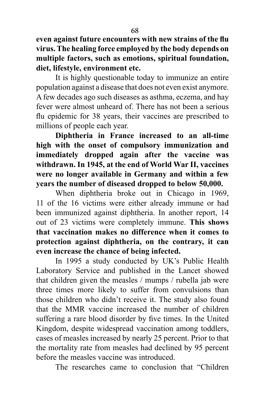**even against future encounters with new strains of the flu virus. The healing force employed by the body depends on multiple factors, such as emotions, spiritual foundation, diet, lifestyle, environment etc.** 

It is highly questionable today to immunize an entire population against a disease that does not even exist anymore. A few decades ago such diseases as asthma, eczema, and hay fever were almost unheard of. There has not been a serious flu epidemic for 38 years, their vaccines are prescribed to millions of people each year.

**Diphtheria in France increased to an all-time high with the onset of compulsory immunization and immediately dropped again after the vaccine was withdrawn. In 1945, at the end of World War II, vaccines were no longer available in Germany and within a few years the number of diseased dropped to below 50,000.** 

When diphtheria broke out in Chicago in 1969, 11 of the 16 victims were either already immune or had been immunized against diphtheria. In another report, 14 out of 23 victims were completely immune. **This shows that vaccination makes no difference when it comes to protection against diphtheria, on the contrary, it can even increase the chance of being infected.**

In 1995 a study conducted by UK's Public Health Laboratory Service and published in the Lancet showed that children given the measles / mumps / rubella jab were three times more likely to suffer from convulsions than those children who didn't receive it. The study also found that the MMR vaccine increased the number of children suffering a rare blood disorder by five times. In the United Kingdom, despite widespread vaccination among toddlers, cases of measles increased by nearly 25 percent. Prior to that the mortality rate from measles had declined by 95 percent before the measles vaccine was introduced.

The researches came to conclusion that "Children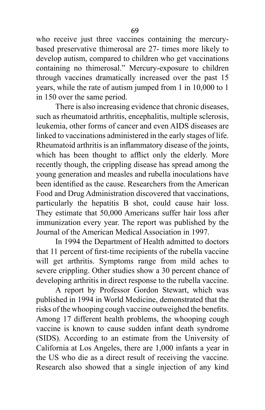who receive just three vaccines containing the mercurybased preservative thimerosal are 27- times more likely to develop autism, compared to children who get vaccinations containing no thimerosal." Mercury-exposure to children through vaccines dramatically increased over the past 15 years, while the rate of autism jumped from 1 in 10,000 to 1 in 150 over the same period.

There is also increasing evidence that chronic diseases, such as rheumatoid arthritis, encephalitis, multiple sclerosis, leukemia, other forms of cancer and even AIDS diseases are linked to vaccinations administered in the early stages of life. Rheumatoid arthritis is an inflammatory disease of the joints, which has been thought to afflict only the elderly. More recently though, the crippling disease has spread among the young generation and measles and rubella inoculations have been identified as the cause. Researchers from the American Food and Drug Administration discovered that vaccinations, particularly the hepatitis B shot, could cause hair loss. They estimate that 50,000 Americans suffer hair loss after immunization every year. The report was published by the Journal of the American Medical Association in 1997.

In 1994 the Department of Health admitted to doctors that 11 percent of first-time recipients of the rubella vaccine will get arthritis. Symptoms range from mild aches to severe crippling. Other studies show a 30 percent chance of developing arthritis in direct response to the rubella vaccine.

A report by Professor Gordon Stewart, which was published in 1994 in World Medicine, demonstrated that the risks of the whooping cough vaccine outweighed the benefits. Among 17 different health problems, the whooping cough vaccine is known to cause sudden infant death syndrome (SIDS). According to an estimate from the University of California at Los Angeles, there are 1,000 infants a year in the US who die as a direct result of receiving the vaccine. Research also showed that a single injection of any kind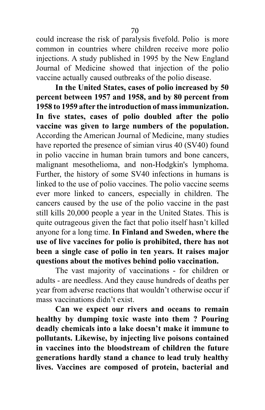could increase the risk of paralysis fivefold. Polio is more common in countries where children receive more polio injections. A study published in 1995 by the New England Journal of Medicine showed that injection of the polio vaccine actually caused outbreaks of the polio disease.

**In the United States, cases of polio increased by 50 percent between 1957 and 1958, and by 80 percent from 1958 to 1959 after the introduction of mass immunization. In five states, cases of polio doubled after the polio vaccine was given to large numbers of the population.**  According the American Journal of Medicine, many studies have reported the presence of simian virus 40 (SV40) found in polio vaccine in human brain tumors and bone cancers, malignant mesothelioma, and non-Hodgkin's lymphoma. Further, the history of some SV40 infections in humans is linked to the use of polio vaccines. The polio vaccine seems ever more linked to cancers, especially in children. The cancers caused by the use of the polio vaccine in the past still kills 20,000 people a year in the United States. This is quite outrageous given the fact that polio itself hasn't killed anyone for a long time. **In Finland and Sweden, where the use of live vaccines for polio is prohibited, there has not been a single case of polio in ten years. It raises major questions about the motives behind polio vaccination.**

The vast majority of vaccinations - for children or adults - are needless. And they cause hundreds of deaths per year from adverse reactions that wouldn't otherwise occur if mass vaccinations didn't exist.

**Can we expect our rivers and oceans to remain healthy by dumping toxic waste into them ? Pouring deadly chemicals into a lake doesn't make it immune to pollutants. Likewise, by injecting live poisons contained in vaccines into the bloodstream of children the future generations hardly stand a chance to lead truly healthy lives. Vaccines are composed of protein, bacterial and**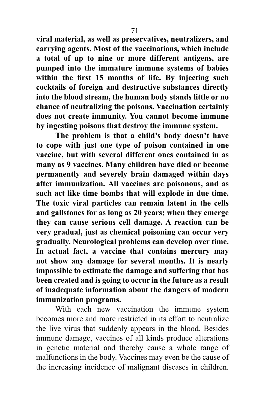**viral material, as well as preservatives, neutralizers, and carrying agents. Most of the vaccinations, which include a total of up to nine or more different antigens, are pumped into the immature immune systems of babies within the first 15 months of life. By injecting such cocktails of foreign and destructive substances directly into the blood stream, the human body stands little or no chance of neutralizing the poisons. Vaccination certainly does not create immunity. You cannot become immune by ingesting poisons that destroy the immune system.** 

**The problem is that a child's body doesn't have to cope with just one type of poison contained in one vaccine, but with several different ones contained in as many as 9 vaccines. Many children have died or become permanently and severely brain damaged within days after immunization. All vaccines are poisonous, and as such act like time bombs that will explode in due time. The toxic viral particles can remain latent in the cells and gallstones for as long as 20 years; when they emerge they can cause serious cell damage. A reaction can be very gradual, just as chemical poisoning can occur very gradually. Neurological problems can develop over time. In actual fact, a vaccine that contains mercury may not show any damage for several months. It is nearly impossible to estimate the damage and suffering that has been created and is going to occur in the future as a result of inadequate information about the dangers of modern immunization programs.**

With each new vaccination the immune system becomes more and more restricted in its effort to neutralize the live virus that suddenly appears in the blood. Besides immune damage, vaccines of all kinds produce alterations in genetic material and thereby cause a whole range of malfunctions in the body. Vaccines may even be the cause of the increasing incidence of malignant diseases in children.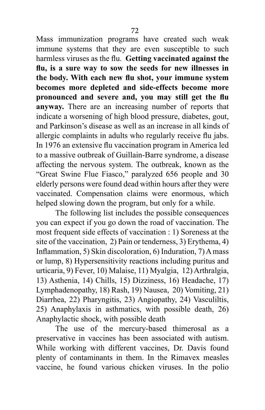Mass immunization programs have created such weak immune systems that they are even susceptible to such harmless viruses as the flu. **Getting vaccinated against the flu, is a sure way to sow the seeds for new illnesses in the body. With each new flu shot, your immune system becomes more depleted and side-effects become more pronounced and severe and, you may still get the flu anyway.** There are an increasing number of reports that indicate a worsening of high blood pressure, diabetes, gout, and Parkinson's disease as well as an increase in all kinds of allergic complaints in adults who regularly receive flu jabs. In 1976 an extensive flu vaccination program in America led to a massive outbreak of Guillain-Barre syndrome, a disease affecting the nervous system. The outbreak, known as the "Great Swine Flue Fiasco," paralyzed 656 people and 30 elderly persons were found dead within hours after they were vaccinated. Compensation claims were enormous, which helped slowing down the program, but only for a while.

The following list includes the possible consequences you can expect if you go down the road of vaccination. The most frequent side effects of vaccination : 1) Soreness at the site of the vaccination, 2) Pain or tenderness, 3) Erythema, 4) Inflammation, 5) Skin discoloration, 6) Induration, 7) A mass or lump, 8) Hypersensitivity reactions including puritus and urticaria, 9) Fever, 10) Malaise, 11) Myalgia, 12) Arthralgia, 13) Asthenia, 14) Chills, 15) Dizziness, 16) Headache, 17) Lymphadenopathy, 18) Rash, 19) Nausea, 20) Vomiting, 21) Diarrhea, 22) Pharyngitis, 23) Angiopathy, 24) Vasculiltis, 25) Anaphylaxis in asthmatics, with possible death, 26) Anaphylactic shock, with possible death

The use of the mercury-based thimerosal as a preservative in vaccines has been associated with autism. While working with different vaccines, Dr. Davis found plenty of contaminants in them. In the Rimavex measles vaccine, he found various chicken viruses. In the polio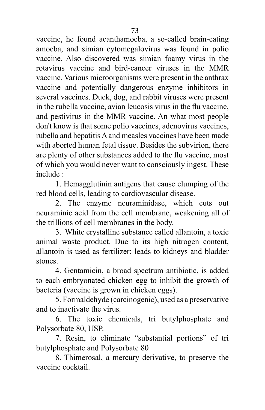vaccine, he found acanthamoeba, a so-called brain-eating amoeba, and simian cytomegalovirus was found in polio vaccine. Also discovered was simian foamy virus in the rotavirus vaccine and bird-cancer viruses in the MMR vaccine. Various microorganisms were present in the anthrax vaccine and potentially dangerous enzyme inhibitors in several vaccines. Duck, dog, and rabbit viruses were present in the rubella vaccine, avian leucosis virus in the flu vaccine, and pestivirus in the MMR vaccine. An what most people don't know is that some polio vaccines, adenovirus vaccines, rubella and hepatitis A and measles vaccines have been made with aborted human fetal tissue. Besides the subvirion, there are plenty of other substances added to the flu vaccine, most of which you would never want to consciously ingest. These include :

1. Hemagglutinin antigens that cause clumping of the red blood cells, leading to cardiovascular disease.

2. The enzyme neuraminidase, which cuts out neuraminic acid from the cell membrane, weakening all of the trillions of cell membranes in the body.

3. White crystalline substance called allantoin, a toxic animal waste product. Due to its high nitrogen content, allantoin is used as fertilizer; leads to kidneys and bladder stones.

4. Gentamicin, a broad spectrum antibiotic, is added to each embryonated chicken egg to inhibit the growth of bacteria (vaccine is grown in chicken eggs).

5. Formaldehyde (carcinogenic), used as a preservative and to inactivate the virus.

6. The toxic chemicals, tri butylphosphate and Polysorbate 80, USP.

7. Resin, to eliminate "substantial portions" of tri butylphosphate and Polysorbate 80

8. Thimerosal, a mercury derivative, to preserve the vaccine cocktail.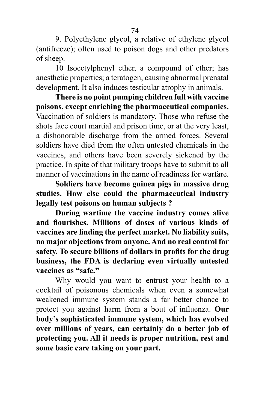9. Polyethylene glycol, a relative of ethylene glycol (antifreeze); often used to poison dogs and other predators of sheep.

10 Isocctylphenyl ether, a compound of ether; has anesthetic properties; a teratogen, causing abnormal prenatal development. It also induces testicular atrophy in animals.

**There is no point pumping children full with vaccine poisons, except enriching the pharmaceutical companies.**  Vaccination of soldiers is mandatory. Those who refuse the shots face court martial and prison time, or at the very least, a dishonorable discharge from the armed forces. Several soldiers have died from the often untested chemicals in the vaccines, and others have been severely sickened by the practice. In spite of that military troops have to submit to all manner of vaccinations in the name of readiness for warfare.

**Soldiers have become guinea pigs in massive drug studies. How else could the pharmaceutical industry legally test poisons on human subjects ?** 

**During wartime the vaccine industry comes alive and flourishes. Millions of doses of various kinds of vaccines are finding the perfect market. No liability suits, no major objections from anyone. And no real control for safety. To secure billions of dollars in profits for the drug business, the FDA is declaring even virtually untested vaccines as "safe."** 

Why would you want to entrust your health to a cocktail of poisonous chemicals when even a somewhat weakened immune system stands a far better chance to protect you against harm from a bout of influenza. **Our body's sophisticated immune system, which has evolved over millions of years, can certainly do a better job of protecting you. All it needs is proper nutrition, rest and some basic care taking on your part.** 

74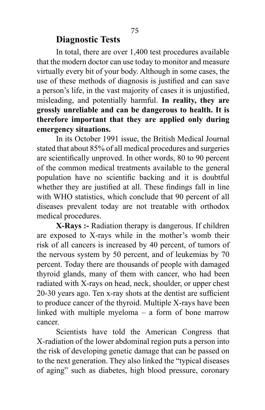#### **Diagnostic Tests**

In total, there are over 1,400 test procedures available that the modern doctor can use today to monitor and measure virtually every bit of your body. Although in some cases, the use of these methods of diagnosis is justified and can save a person's life, in the vast majority of cases it is unjustified, misleading, and potentially harmful. **In reality, they are grossly unreliable and can be dangerous to health. It is therefore important that they are applied only during emergency situations.**

In its October 1991 issue, the British Medical Journal stated that about 85% of all medical procedures and surgeries are scientifically unproved. In other words, 80 to 90 percent of the common medical treatments available to the general population have no scientific backing and it is doubtful whether they are justified at all. These findings fall in line with WHO statistics, which conclude that 90 percent of all diseases prevalent today are not treatable with orthodox medical procedures.

**X-Rays :-** Radiation therapy is dangerous. If children are exposed to X-rays while in the mother's womb their risk of all cancers is increased by 40 percent, of tumors of the nervous system by 50 percent, and of leukemias by 70 percent. Today there are thousands of people with damaged thyroid glands, many of them with cancer, who had been radiated with X-rays on head, neck, shoulder, or upper chest 20-30 years ago. Ten x-ray shots at the dentist are sufficient to produce cancer of the thyroid. Multiple X-rays have been linked with multiple myeloma – a form of bone marrow cancer.

Scientists have told the American Congress that X-radiation of the lower abdominal region puts a person into the risk of developing genetic damage that can be passed on to the next generation. They also linked the "typical diseases of aging" such as diabetes, high blood pressure, coronary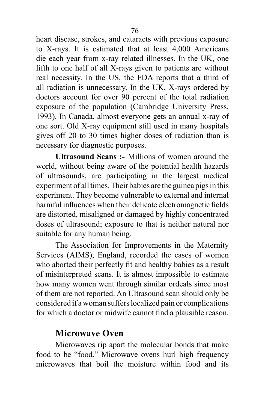heart disease, strokes, and cataracts with previous exposure to X-rays. It is estimated that at least 4,000 Americans die each year from x-ray related illnesses. In the UK, one fifth to one half of all X-rays given to patients are without real necessity. In the US, the FDA reports that a third of all radiation is unnecessary. In the UK, X-rays ordered by doctors account for over 90 percent of the total radiation exposure of the population (Cambridge University Press, 1993). In Canada, almost everyone gets an annual x-ray of one sort. Old X-ray equipment still used in many hospitals gives off 20 to 30 times higher doses of radiation than is necessary for diagnostic purposes.

**Ultrasound Scans :-** Millions of women around the world, without being aware of the potential health hazards of ultrasounds, are participating in the largest medical experiment of all times. Their babies are the guinea pigs in this experiment. They become vulnerable to external and internal harmful influences when their delicate electromagnetic fields are distorted, misaligned or damaged by highly concentrated doses of ultrasound; exposure to that is neither natural nor suitable for any human being.

The Association for Improvements in the Maternity Services (AIMS), England, recorded the cases of women who aborted their perfectly fit and healthy babies as a result of misinterpreted scans. It is almost impossible to estimate how many women went through similar ordeals since most of them are not reported. An Ultrasound scan should only be considered if a woman suffers localized pain or complications for which a doctor or midwife cannot find a plausible reason.

#### **Microwave Oven**

Microwaves rip apart the molecular bonds that make food to be "food." Microwave ovens hurl high frequency microwaves that boil the moisture within food and its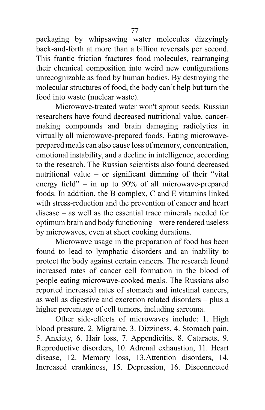packaging by whipsawing water molecules dizzyingly back-and-forth at more than a billion reversals per second. This frantic friction fractures food molecules, rearranging their chemical composition into weird new configurations unrecognizable as food by human bodies. By destroying the molecular structures of food, the body can't help but turn the food into waste (nuclear waste).

Microwave-treated water won't sprout seeds. Russian researchers have found decreased nutritional value, cancermaking compounds and brain damaging radiolytics in virtually all microwave-prepared foods. Eating microwaveprepared meals can also cause loss of memory, concentration, emotional instability, and a decline in intelligence, according to the research. The Russian scientists also found decreased nutritional value – or significant dimming of their "vital energy field" – in up to 90% of all microwave-prepared foods. In addition, the B complex, C and E vitamins linked with stress-reduction and the prevention of cancer and heart disease – as well as the essential trace minerals needed for optimum brain and body functioning – were rendered useless by microwaves, even at short cooking durations.

Microwave usage in the preparation of food has been found to lead to lymphatic disorders and an inability to protect the body against certain cancers. The research found increased rates of cancer cell formation in the blood of people eating microwave-cooked meals. The Russians also reported increased rates of stomach and intestinal cancers, as well as digestive and excretion related disorders – plus a higher percentage of cell tumors, including sarcoma.

Other side-effects of microwaves include: 1. High blood pressure, 2. Migraine, 3. Dizziness, 4. Stomach pain, 5. Anxiety, 6. Hair loss, 7. Appendicitis, 8. Cataracts, 9. Reproductive disorders, 10. Adrenal exhaustion, 11. Heart disease, 12. Memory loss, 13.Attention disorders, 14. Increased crankiness, 15. Depression, 16. Disconnected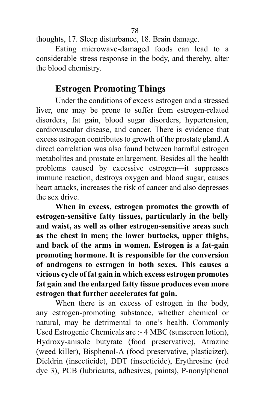thoughts, 17. Sleep disturbance, 18. Brain damage.

Eating microwave-damaged foods can lead to a considerable stress response in the body, and thereby, alter the blood chemistry.

# **Estrogen Promoting Things**

Under the conditions of excess estrogen and a stressed liver, one may be prone to suffer from estrogen-related disorders, fat gain, blood sugar disorders, hypertension, cardiovascular disease, and cancer. There is evidence that excess estrogen contributes to growth of the prostate gland. A direct correlation was also found between harmful estrogen metabolites and prostate enlargement. Besides all the health problems caused by excessive estrogen—it suppresses immune reaction, destroys oxygen and blood sugar, causes heart attacks, increases the risk of cancer and also depresses the sex drive.

**When in excess, estrogen promotes the growth of estrogen-sensitive fatty tissues, particularly in the belly and waist, as well as other estrogen-sensitive areas such as the chest in men; the lower buttocks, upper thighs, and back of the arms in women. Estrogen is a fat-gain promoting hormone. It is responsible for the conversion of androgens to estrogen in both sexes. This causes a vicious cycle of fat gain in which excess estrogen promotes fat gain and the enlarged fatty tissue produces even more estrogen that further accelerates fat gain.**

When there is an excess of estrogen in the body, any estrogen-promoting substance, whether chemical or natural, may be detrimental to one's health. Commonly Used Estrogenic Chemicals are :- 4 MBC (sunscreen lotion), Hydroxy-anisole butyrate (food preservative), Atrazine (weed killer), Bisphenol-A (food preservative, plasticizer), Dieldrin (insecticide), DDT (insecticide), Erythrosine (red dye 3), PCB (lubricants, adhesives, paints), P-nonylphenol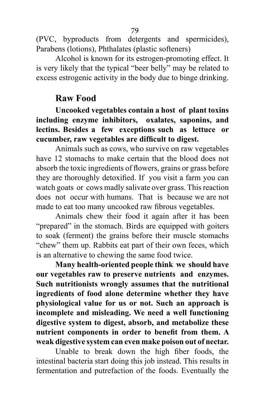(PVC, byproducts from detergents and spermicides), Parabens (lotions), Phthalates (plastic softeners)

Alcohol is known for its estrogen-promoting effect. It is very likely that the typical "beer belly" may be related to excess estrogenic activity in the body due to binge drinking.

## **Raw Food**

**Uncooked vegetables contain a host of plant toxins including enzyme inhibitors, oxalates, saponins, and lectins. Besides a few exceptions such as lettuce or cucumber, raw vegetables are difficult to digest.** 

Animals such as cows, who survive on raw vegetables have 12 stomachs to make certain that the blood does not absorb the toxic ingredients of flowers, grains or grass before they are thoroughly detoxified. If you visit a farm you can watch goats or cows madly salivate over grass. This reaction does not occur with humans. That is because we are not made to eat too many uncooked raw fibrous vegetables.

Animals chew their food it again after it has been "prepared" in the stomach. Birds are equipped with goiters to soak (ferment) the grains before their muscle stomachs "chew" them up. Rabbits eat part of their own feces, which is an alternative to chewing the same food twice.

**Many health-oriented people think we should have our vegetables raw to preserve nutrients and enzymes. Such nutritionists wrongly assumes that the nutritional ingredients of food alone determine whether they have physiological value for us or not. Such an approach is incomplete and misleading. We need a well functioning digestive system to digest, absorb, and metabolize these nutrient components in order to benefit from them. A weak digestive system can even make poison out of nectar.**

Unable to break down the high fiber foods, the intestinal bacteria start doing this job instead. This results in fermentation and putrefaction of the foods. Eventually the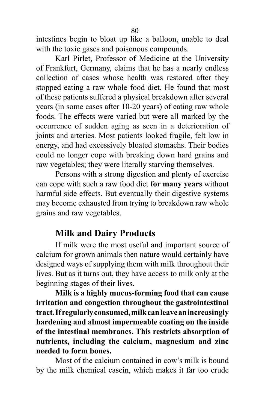intestines begin to bloat up like a balloon, unable to deal with the toxic gases and poisonous compounds.

Karl Pirlet, Professor of Medicine at the University of Frankfurt, Germany, claims that he has a nearly endless collection of cases whose health was restored after they stopped eating a raw whole food diet. He found that most of these patients suffered a physical breakdown after several years (in some cases after 10-20 years) of eating raw whole foods. The effects were varied but were all marked by the occurrence of sudden aging as seen in a deterioration of joints and arteries. Most patients looked fragile, felt low in energy, and had excessively bloated stomachs. Their bodies could no longer cope with breaking down hard grains and raw vegetables; they were literally starving themselves.

Persons with a strong digestion and plenty of exercise can cope with such a raw food diet **for many years** without harmful side effects. But eventually their digestive systems may become exhausted from trying to breakdown raw whole grains and raw vegetables.

## **Milk and Dairy Products**

If milk were the most useful and important source of calcium for grown animals then nature would certainly have designed ways of supplying them with milk throughout their lives. But as it turns out, they have access to milk only at the beginning stages of their lives.

**Milk is a highly mucus-forming food that can cause irritation and congestion throughout the gastrointestinal tract. If regularly consumed, milk can leave an increasingly hardening and almost impermeable coating on the inside of the intestinal membranes. This restricts absorption of nutrients, including the calcium, magnesium and zinc needed to form bones.**

Most of the calcium contained in cow's milk is bound by the milk chemical casein, which makes it far too crude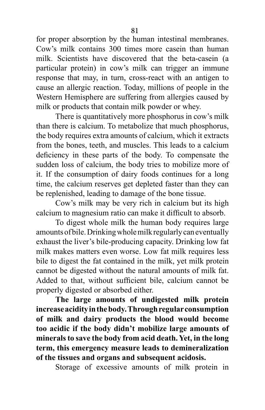for proper absorption by the human intestinal membranes. Cow's milk contains 300 times more casein than human milk. Scientists have discovered that the beta-casein (a particular protein) in cow's milk can trigger an immune response that may, in turn, cross-react with an antigen to cause an allergic reaction. Today, millions of people in the Western Hemisphere are suffering from allergies caused by milk or products that contain milk powder or whey.

There is quantitatively more phosphorus in cow's milk than there is calcium. To metabolize that much phosphorus, the body requires extra amounts of calcium, which it extracts from the bones, teeth, and muscles. This leads to a calcium deficiency in these parts of the body. To compensate the sudden loss of calcium, the body tries to mobilize more of it. If the consumption of dairy foods continues for a long time, the calcium reserves get depleted faster than they can be replenished, leading to damage of the bone tissue.

Cow's milk may be very rich in calcium but its high calcium to magnesium ratio can make it difficult to absorb.

To digest whole milk the human body requires large amounts of bile. Drinking whole milk regularly can eventually exhaust the liver's bile-producing capacity. Drinking low fat milk makes matters even worse. Low fat milk requires less bile to digest the fat contained in the milk, yet milk protein cannot be digested without the natural amounts of milk fat. Added to that, without sufficient bile, calcium cannot be properly digested or absorbed either.

**The large amounts of undigested milk protein increase acidity in the body.Through regular consumption of milk and dairy products the blood would become too acidic if the body didn't mobilize large amounts of minerals to save the body from acid death. Yet, in the long term, this emergency measure leads to demineralization of the tissues and organs and subsequent acidosis.**

Storage of excessive amounts of milk protein in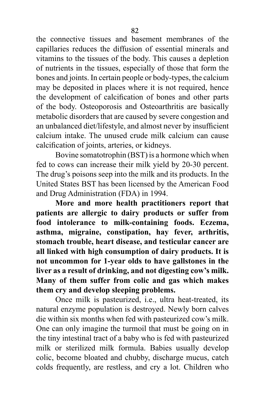the connective tissues and basement membranes of the capillaries reduces the diffusion of essential minerals and vitamins to the tissues of the body. This causes a depletion of nutrients in the tissues, especially of those that form the bones and joints. In certain people or body-types, the calcium may be deposited in places where it is not required, hence the development of calcification of bones and other parts of the body. Osteoporosis and Osteoarthritis are basically metabolic disorders that are caused by severe congestion and an unbalanced diet/lifestyle, and almost never by insufficient calcium intake. The unused crude milk calcium can cause calcification of joints, arteries, or kidneys.

Bovine somatotrophin (BST) is a hormone which when fed to cows can increase their milk yield by 20-30 percent. The drug's poisons seep into the milk and its products. In the United States BST has been licensed by the American Food and Drug Administration (FDA) in 1994.

**More and more health practitioners report that patients are allergic to dairy products or suffer from food intolerance to milk-containing foods. Eczema, asthma, migraine, constipation, hay fever, arthritis, stomach trouble, heart disease, and testicular cancer are all linked with high consumption of dairy products. It is not uncommon for 1-year olds to have gallstones in the liver as a result of drinking, and not digesting cow's milk. Many of them suffer from colic and gas which makes them cry and develop sleeping problems.** 

Once milk is pasteurized, i.e., ultra heat-treated, its natural enzyme population is destroyed. Newly born calves die within six months when fed with pasteurized cow's milk. One can only imagine the turmoil that must be going on in the tiny intestinal tract of a baby who is fed with pasteurized milk or sterilized milk formula. Babies usually develop colic, become bloated and chubby, discharge mucus, catch colds frequently, are restless, and cry a lot. Children who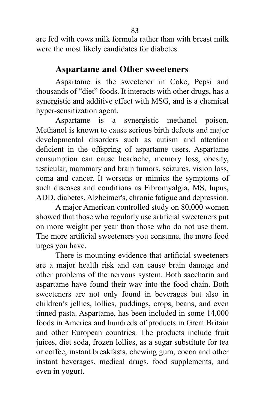are fed with cows milk formula rather than with breast milk were the most likely candidates for diabetes.

#### **Aspartame and Other sweeteners**

Aspartame is the sweetener in Coke, Pepsi and thousands of "diet" foods. It interacts with other drugs, has a synergistic and additive effect with MSG, and is a chemical hyper-sensitization agent.

Aspartame is a synergistic methanol poison. Methanol is known to cause serious birth defects and major developmental disorders such as autism and attention deficient in the offspring of aspartame users. Aspartame consumption can cause headache, memory loss, obesity, testicular, mammary and brain tumors, seizures, vision loss, coma and cancer. It worsens or mimics the symptoms of such diseases and conditions as Fibromyalgia, MS, lupus, ADD, diabetes, Alzheimer's, chronic fatigue and depression.

A major American controlled study on 80,000 women showed that those who regularly use artificial sweeteners put on more weight per year than those who do not use them. The more artificial sweeteners you consume, the more food urges you have.

There is mounting evidence that artificial sweeteners are a major health risk and can cause brain damage and other problems of the nervous system. Both saccharin and aspartame have found their way into the food chain. Both sweeteners are not only found in beverages but also in children's jellies, lollies, puddings, crops, beans, and even tinned pasta. Aspartame, has been included in some 14,000 foods in America and hundreds of products in Great Britain and other European countries. The products include fruit juices, diet soda, frozen lollies, as a sugar substitute for tea or coffee, instant breakfasts, chewing gum, cocoa and other instant beverages, medical drugs, food supplements, and even in yogurt.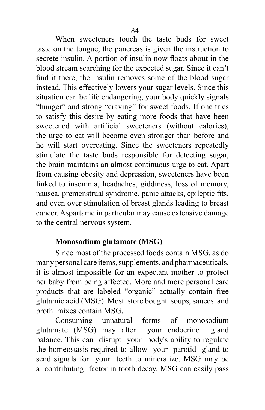When sweeteners touch the taste buds for sweet taste on the tongue, the pancreas is given the instruction to secrete insulin. A portion of insulin now floats about in the blood stream searching for the expected sugar. Since it can't find it there, the insulin removes some of the blood sugar instead. This effectively lowers your sugar levels. Since this situation can be life endangering, your body quickly signals "hunger" and strong "craving" for sweet foods. If one tries to satisfy this desire by eating more foods that have been sweetened with artificial sweeteners (without calories), the urge to eat will become even stronger than before and he will start overeating. Since the sweeteners repeatedly stimulate the taste buds responsible for detecting sugar, the brain maintains an almost continuous urge to eat. Apart from causing obesity and depression, sweeteners have been linked to insomnia, headaches, giddiness, loss of memory, nausea, premenstrual syndrome, panic attacks, epileptic fits,

and even over stimulation of breast glands leading to breast cancer. Aspartame in particular may cause extensive damage to the central nervous system.

#### **Monosodium glutamate (MSG)**

Since most of the processed foods contain MSG, as do many personal care items, supplements, and pharmaceuticals, it is almost impossible for an expectant mother to protect her baby from being affected. More and more personal care products that are labeled "organic" actually contain free glutamic acid (MSG). Most store bought soups, sauces and broth mixes contain MSG.

Consuming unnatural forms of monosodium glutamate (MSG) may alter your endocrine gland balance. This can disrupt your body's ability to regulate the homeostasis required to allow your parotid gland to send signals for your teeth to mineralize. MSG may be a contributing factor in tooth decay. MSG can easily pass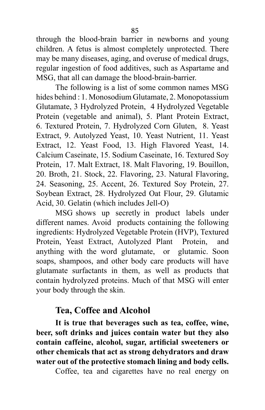through the blood-brain barrier in newborns and young children. A fetus is almost completely unprotected. There may be many diseases, aging, and overuse of medical drugs, regular ingestion of food additives, such as Aspartame and MSG, that all can damage the blood-brain-barrier.

The following is a list of some common names MSG hides behind : 1. Monosodium Glutamate, 2. Monopotassium Glutamate, 3 Hydrolyzed Protein, 4 Hydrolyzed Vegetable Protein (vegetable and animal), 5. Plant Protein Extract, 6. Textured Protein, 7. Hydrolyzed Corn Gluten, 8. Yeast Extract, 9. Autolyzed Yeast, 10. Yeast Nutrient, 11. Yeast Extract, 12. Yeast Food, 13. High Flavored Yeast, 14. Calcium Caseinate, 15. Sodium Caseinate, 16. Textured Soy Protein, 17. Malt Extract, 18. Malt Flavoring, 19. Bouillon, 20. Broth, 21. Stock, 22. Flavoring, 23. Natural Flavoring, 24. Seasoning, 25. Accent, 26. Textured Soy Protein, 27. Soybean Extract, 28. Hydrolyzed Oat Flour, 29. Glutamic Acid, 30. Gelatin (which includes Jell-O)

MSG shows up secretly in product labels under different names. Avoid products containing the following ingredients: Hydrolyzed Vegetable Protein (HVP), Textured Protein, Yeast Extract, Autolyzed Plant Protein, and anything with the word glutamate, or glutamic. Soon soaps, shampoos, and other body care products will have glutamate surfactants in them, as well as products that contain hydrolyzed proteins. Much of that MSG will enter your body through the skin.

## **Tea, Coffee and Alcohol**

**It is true that beverages such as tea, coffee, wine, beer, soft drinks and juices contain water but they also contain caffeine, alcohol, sugar, artificial sweeteners or other chemicals that act as strong dehydrators and draw water out of the protective stomach lining and body cells.**

Coffee, tea and cigarettes have no real energy on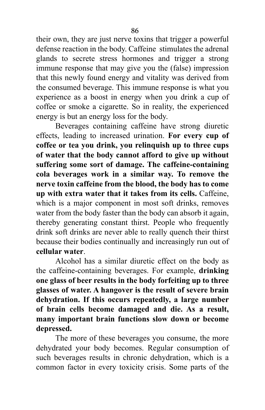their own, they are just nerve toxins that trigger a powerful defense reaction in the body. Caffeine stimulates the adrenal glands to secrete stress hormones and trigger a strong immune response that may give you the (false) impression that this newly found energy and vitality was derived from the consumed beverage. This immune response is what you experience as a boost in energy when you drink a cup of coffee or smoke a cigarette. So in reality, the experienced energy is but an energy loss for the body.

Beverages containing caffeine have strong diuretic effects, leading to increased urination. **For every cup of coffee or tea you drink, you relinquish up to three cups of water that the body cannot afford to give up without suffering some sort of damage. The caffeine-containing cola beverages work in a similar way. To remove the nerve toxin caffeine from the blood, the body has to come up with extra water that it takes from its cells.** Caffeine, which is a major component in most soft drinks, removes water from the body faster than the body can absorb it again, thereby generating constant thirst. People who frequently drink soft drinks are never able to really quench their thirst because their bodies continually and increasingly run out of **cellular water**.

Alcohol has a similar diuretic effect on the body as the caffeine-containing beverages. For example, **drinking one glass of beer results in the body forfeiting up to three glasses of water. A hangover is the result of severe brain dehydration. If this occurs repeatedly, a large number of brain cells become damaged and die. As a result, many important brain functions slow down or become depressed.**

The more of these beverages you consume, the more dehydrated your body becomes. Regular consumption of such beverages results in chronic dehydration, which is a common factor in every toxicity crisis. Some parts of the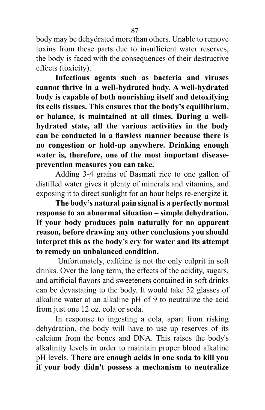body may be dehydrated more than others. Unable to remove toxins from these parts due to insufficient water reserves, the body is faced with the consequences of their destructive effects (toxicity).

**Infectious agents such as bacteria and viruses cannot thrive in a well-hydrated body. A well-hydrated body is capable of both nourishing itself and detoxifying its cells tissues. This ensures that the body's equilibrium, or balance, is maintained at all times. During a wellhydrated state, all the various activities in the body can be conducted in a flawless manner because there is no congestion or hold-up anywhere. Drinking enough water is, therefore, one of the most important diseaseprevention measures you can take.**

Adding 3-4 grains of Basmati rice to one gallon of distilled water gives it plenty of minerals and vitamins, and exposing it to direct sunlight for an hour helps re-energize it.

**The body's natural pain signal is a perfectly normal response to an abnormal situation – simple dehydration. If your body produces pain naturally for no apparent reason, before drawing any other conclusions you should interpret this as the body's cry for water and its attempt to remedy an unbalanced condition.**

 Unfortunately, caffeine is not the only culprit in soft drinks. Over the long term, the effects of the acidity, sugars, and artificial flavors and sweeteners contained in soft drinks can be devastating to the body. It would take 32 glasses of alkaline water at an alkaline pH of 9 to neutralize the acid from just one 12 oz. cola or soda.

In response to ingesting a cola, apart from risking dehydration, the body will have to use up reserves of its calcium from the bones and DNA. This raises the body's alkalinity levels in order to maintain proper blood alkaline pH levels. **There are enough acids in one soda to kill you if your body didn't possess a mechanism to neutralize**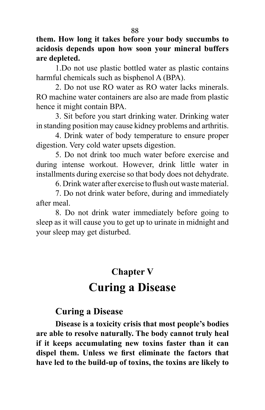**them. How long it takes before your body succumbs to acidosis depends upon how soon your mineral buffers are depleted.**

1.Do not use plastic bottled water as plastic contains harmful chemicals such as bisphenol A (BPA).

2. Do not use RO water as RO water lacks minerals. RO machine water containers are also are made from plastic hence it might contain BPA.

3. Sit before you start drinking water. Drinking water in standing position may cause kidney problems and arthritis.

4. Drink water of body temperature to ensure proper digestion. Very cold water upsets digestion.

5. Do not drink too much water before exercise and during intense workout. However, drink little water in installments during exercise so that body does not dehydrate.

6. Drink water after exercise to flush out waste material.

7. Do not drink water before, during and immediately after meal.

8. Do not drink water immediately before going to sleep as it will cause you to get up to urinate in midnight and your sleep may get disturbed.

# **Chapter V Curing a Disease**

## **Curing a Disease**

**Disease is a toxicity crisis that most people's bodies are able to resolve naturally. The body cannot truly heal if it keeps accumulating new toxins faster than it can dispel them. Unless we first eliminate the factors that have led to the build-up of toxins, the toxins are likely to**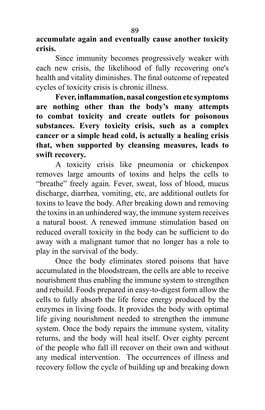**accumulate again and eventually cause another toxicity crisis.** 

Since immunity becomes progressively weaker with each new crisis, the likelihood of fully recovering one's health and vitality diminishes. The final outcome of repeated cycles of toxicity crisis is chronic illness.

**Fever, inflammation, nasal congestion etc symptoms are nothing other than the body's many attempts to combat toxicity and create outlets for poisonous substances. Every toxicity crisis, such as a complex cancer or a simple head cold, is actually a healing crisis that, when supported by cleansing measures, leads to swift recovery.**

A toxicity crisis like pneumonia or chickenpox removes large amounts of toxins and helps the cells to "breathe" freely again. Fever, sweat, loss of blood, mucus discharge, diarrhea, vomiting, etc, are additional outlets for toxins to leave the body. After breaking down and removing the toxins in an unhindered way, the immune system receives a natural boost. A renewed immune stimulation based on reduced overall toxicity in the body can be sufficient to do away with a malignant tumor that no longer has a role to play in the survival of the body.

Once the body eliminates stored poisons that have accumulated in the bloodstream, the cells are able to receive nourishment thus enabling the immune system to strengthen and rebuild. Foods prepared in easy-to-digest form allow the cells to fully absorb the life force energy produced by the enzymes in living foods. It provides the body with optimal life giving nourishment needed to strengthen the immune system. Once the body repairs the immune system, vitality returns, and the body will heal itself. Over eighty percent of the people who fall ill recover on their own and without any medical intervention. The occurrences of illness and recovery follow the cycle of building up and breaking down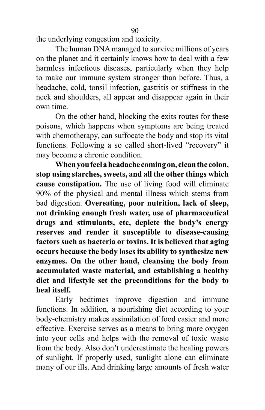the underlying congestion and toxicity.

The human DNA managed to survive millions of years on the planet and it certainly knows how to deal with a few harmless infectious diseases, particularly when they help to make our immune system stronger than before. Thus, a headache, cold, tonsil infection, gastritis or stiffness in the neck and shoulders, all appear and disappear again in their own time.

On the other hand, blocking the exits routes for these poisons, which happens when symptoms are being treated with chemotherapy, can suffocate the body and stop its vital functions. Following a so called short-lived "recovery" it may become a chronic condition.

**When you feel a headache coming on, clean the colon, stop using starches, sweets, and all the other things which cause constipation.** The use of living food will eliminate 90% of the physical and mental illness which stems from bad digestion. **Overeating, poor nutrition, lack of sleep, not drinking enough fresh water, use of pharmaceutical drugs and stimulants, etc, deplete the body's energy reserves and render it susceptible to disease-causing factors such as bacteria or toxins. It is believed that aging occurs because the body loses its ability to synthesize new enzymes. On the other hand, cleansing the body from accumulated waste material, and establishing a healthy diet and lifestyle set the preconditions for the body to heal itself.** 

Early bedtimes improve digestion and immune functions. In addition, a nourishing diet according to your body-chemistry makes assimilation of food easier and more effective. Exercise serves as a means to bring more oxygen into your cells and helps with the removal of toxic waste from the body. Also don't underestimate the healing powers of sunlight. If properly used, sunlight alone can eliminate many of our ills. And drinking large amounts of fresh water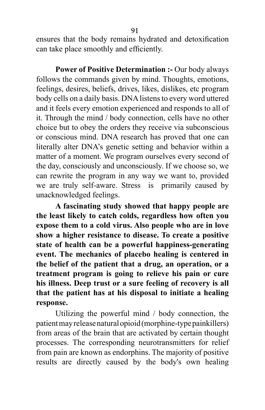ensures that the body remains hydrated and detoxification can take place smoothly and efficiently.

**Power of Positive Determination :- Our body always** follows the commands given by mind. Thoughts, emotions, feelings, desires, beliefs, drives, likes, dislikes, etc program body cells on a daily basis. DNA listens to every word uttered and it feels every emotion experienced and responds to all of it. Through the mind / body connection, cells have no other choice but to obey the orders they receive via subconscious or conscious mind. DNA research has proved that one can literally alter DNA's genetic setting and behavior within a matter of a moment. We program ourselves every second of the day, consciously and unconsciously. If we choose so, we can rewrite the program in any way we want to, provided we are truly self-aware. Stress is primarily caused by unacknowledged feelings.

**A fascinating study showed that happy people are the least likely to catch colds, regardless how often you expose them to a cold virus. Also people who are in love show a higher resistance to disease. To create a positive state of health can be a powerful happiness-generating event. The mechanics of placebo healing is centered in the belief of the patient that a drug, an operation, or a treatment program is going to relieve his pain or cure his illness. Deep trust or a sure feeling of recovery is all that the patient has at his disposal to initiate a healing response.**

Utilizing the powerful mind / body connection, the patient may release natural opioid (morphine-type painkillers) from areas of the brain that are activated by certain thought processes. The corresponding neurotransmitters for relief from pain are known as endorphins. The majority of positive results are directly caused by the body's own healing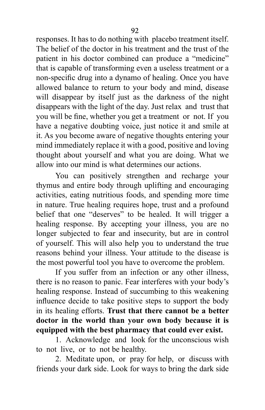responses. It has to do nothing with placebo treatment itself. The belief of the doctor in his treatment and the trust of the patient in his doctor combined can produce a "medicine" that is capable of transforming even a useless treatment or a non-specific drug into a dynamo of healing. Once you have allowed balance to return to your body and mind, disease will disappear by itself just as the darkness of the night disappears with the light of the day. Just relax and trust that you will be fine, whether you get a treatment or not. If you have a negative doubting voice, just notice it and smile at it. As you become aware of negative thoughts entering your mind immediately replace it with a good, positive and loving thought about yourself and what you are doing. What we allow into our mind is what determines our actions.

You can positively strengthen and recharge your thymus and entire body through uplifting and encouraging activities, eating nutritious foods, and spending more time in nature. True healing requires hope, trust and a profound belief that one "deserves" to be healed. It will trigger a healing response. By accepting your illness, you are no longer subjected to fear and insecurity, but are in control of yourself. This will also help you to understand the true reasons behind your illness. Your attitude to the disease is the most powerful tool you have to overcome the problem.

If you suffer from an infection or any other illness, there is no reason to panic. Fear interferes with your body's healing response. Instead of succumbing to this weakening influence decide to take positive steps to support the body in its healing efforts. **Trust that there cannot be a better doctor in the world than your own body because it is equipped with the best pharmacy that could ever exist.**

1. Acknowledge and look for the unconscious wish to not live, or to not be healthy.

2. Meditate upon, or pray for help, or discuss with friends your dark side. Look for ways to bring the dark side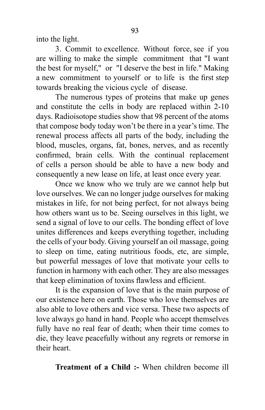into the light.

3. Commit to excellence. Without force, see if you are willing to make the simple commitment that "I want the best for myself," or "I deserve the best in life." Making a new commitment to yourself or to life is the first step towards breaking the vicious cycle of disease.

The numerous types of proteins that make up genes and constitute the cells in body are replaced within 2-10 days. Radioisotope studies show that 98 percent of the atoms that compose body today won't be there in a year's time. The renewal process affects all parts of the body, including the blood, muscles, organs, fat, bones, nerves, and as recently confirmed, brain cells. With the continual replacement of cells a person should be able to have a new body and consequently a new lease on life, at least once every year.

Once we know who we truly are we cannot help but love ourselves. We can no longer judge ourselves for making mistakes in life, for not being perfect, for not always being how others want us to be. Seeing ourselves in this light, we send a signal of love to our cells. The bonding effect of love unites differences and keeps everything together, including the cells of your body. Giving yourself an oil massage, going to sleep on time, eating nutritious foods, etc, are simple, but powerful messages of love that motivate your cells to function in harmony with each other. They are also messages that keep elimination of toxins flawless and efficient.

It is the expansion of love that is the main purpose of our existence here on earth. Those who love themselves are also able to love others and vice versa. These two aspects of love always go hand in hand. People who accept themselves fully have no real fear of death; when their time comes to die, they leave peacefully without any regrets or remorse in their heart.

**Treatment of a Child :-** When children become ill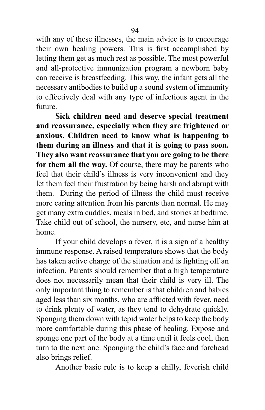with any of these illnesses, the main advice is to encourage their own healing powers. This is first accomplished by letting them get as much rest as possible. The most powerful and all-protective immunization program a newborn baby can receive is breastfeeding. This way, the infant gets all the necessary antibodies to build up a sound system of immunity to effectively deal with any type of infectious agent in the future.

**Sick children need and deserve special treatment and reassurance, especially when they are frightened or anxious. Children need to know what is happening to them during an illness and that it is going to pass soon. They also want reassurance that you are going to be there for them all the way.** Of course, there may be parents who feel that their child's illness is very inconvenient and they let them feel their frustration by being harsh and abrupt with them. During the period of illness the child must receive more caring attention from his parents than normal. He may get many extra cuddles, meals in bed, and stories at bedtime. Take child out of school, the nursery, etc, and nurse him at home.

If your child develops a fever, it is a sign of a healthy immune response. A raised temperature shows that the body has taken active charge of the situation and is fighting off an infection. Parents should remember that a high temperature does not necessarily mean that their child is very ill. The only important thing to remember is that children and babies aged less than six months, who are afflicted with fever, need to drink plenty of water, as they tend to dehydrate quickly. Sponging them down with tepid water helps to keep the body more comfortable during this phase of healing. Expose and sponge one part of the body at a time until it feels cool, then turn to the next one. Sponging the child's face and forehead also brings relief.

Another basic rule is to keep a chilly, feverish child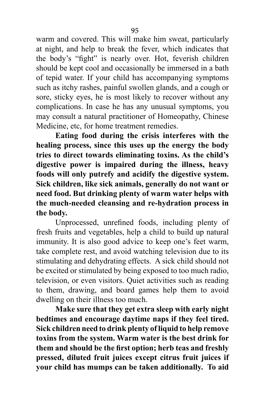warm and covered. This will make him sweat, particularly at night, and help to break the fever, which indicates that the body's "fight" is nearly over. Hot, feverish children should be kept cool and occasionally be immersed in a bath of tepid water. If your child has accompanying symptoms such as itchy rashes, painful swollen glands, and a cough or sore, sticky eyes, he is most likely to recover without any complications. In case he has any unusual symptoms, you may consult a natural practitioner of Homeopathy, Chinese Medicine, etc, for home treatment remedies.

**Eating food during the crisis interferes with the healing process, since this uses up the energy the body tries to direct towards eliminating toxins. As the child's digestive power is impaired during the illness, heavy foods will only putrefy and acidify the digestive system. Sick children, like sick animals, generally do not want or need food. But drinking plenty of warm water helps with the much-needed cleansing and re-hydration process in the body.** 

Unprocessed, unrefined foods, including plenty of fresh fruits and vegetables, help a child to build up natural immunity. It is also good advice to keep one's feet warm, take complete rest, and avoid watching television due to its stimulating and dehydrating effects. A sick child should not be excited or stimulated by being exposed to too much radio, television, or even visitors. Quiet activities such as reading to them, drawing, and board games help them to avoid dwelling on their illness too much.

**Make sure that they get extra sleep with early night bedtimes and encourage daytime naps if they feel tired. Sick children need to drink plenty of liquid to help remove toxins from the system. Warm water is the best drink for them and should be the first option; herb teas and freshly pressed, diluted fruit juices except citrus fruit juices if your child has mumps can be taken additionally. To aid**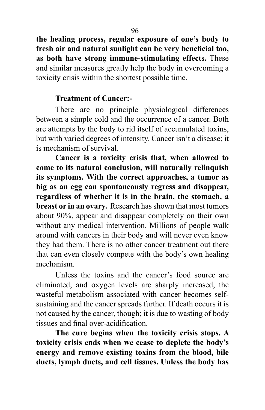**the healing process, regular exposure of one's body to fresh air and natural sunlight can be very beneficial too, as both have strong immune-stimulating effects.** These and similar measures greatly help the body in overcoming a toxicity crisis within the shortest possible time.

#### **Treatment of Cancer:-**

There are no principle physiological differences between a simple cold and the occurrence of a cancer. Both are attempts by the body to rid itself of accumulated toxins, but with varied degrees of intensity. Cancer isn't a disease; it is mechanism of survival.

**Cancer is a toxicity crisis that, when allowed to come to its natural conclusion, will naturally relinquish its symptoms. With the correct approaches, a tumor as big as an egg can spontaneously regress and disappear, regardless of whether it is in the brain, the stomach, a breast or in an ovary.** Research has shown that most tumors about 90%, appear and disappear completely on their own without any medical intervention. Millions of people walk around with cancers in their body and will never even know they had them. There is no other cancer treatment out there that can even closely compete with the body's own healing mechanism.

Unless the toxins and the cancer's food source are eliminated, and oxygen levels are sharply increased, the wasteful metabolism associated with cancer becomes selfsustaining and the cancer spreads further. If death occurs it is not caused by the cancer, though; it is due to wasting of body tissues and final over-acidification.

**The cure begins when the toxicity crisis stops. A toxicity crisis ends when we cease to deplete the body's energy and remove existing toxins from the blood, bile ducts, lymph ducts, and cell tissues. Unless the body has**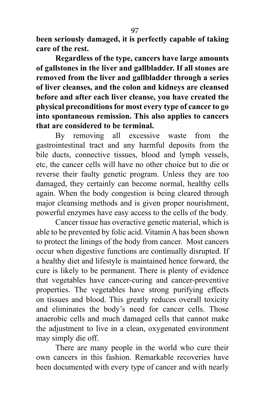**been seriously damaged, it is perfectly capable of taking care of the rest.**

**Regardless of the type, cancers have large amounts of gallstones in the liver and gallbladder. If all stones are removed from the liver and gallbladder through a series of liver cleanses, and the colon and kidneys are cleansed before and after each liver cleanse, you have created the physical preconditions for most every type of cancer to go into spontaneous remission. This also applies to cancers that are considered to be terminal.**

By removing all excessive waste from the gastrointestinal tract and any harmful deposits from the bile ducts, connective tissues, blood and lymph vessels, etc, the cancer cells will have no other choice but to die or reverse their faulty genetic program. Unless they are too damaged, they certainly can become normal, healthy cells again. When the body congestion is being cleared through major cleansing methods and is given proper nourishment, powerful enzymes have easy access to the cells of the body.

Cancer tissue has overactive genetic material, which is able to be prevented by folic acid. Vitamin A has been shown to protect the linings of the body from cancer. Most cancers occur when digestive functions are continually disrupted. If a healthy diet and lifestyle is maintained hence forward, the cure is likely to be permanent. There is plenty of evidence that vegetables have cancer-curing and cancer-preventive properties. The vegetables have strong purifying effects on tissues and blood. This greatly reduces overall toxicity and eliminates the body's need for cancer cells. Those anaerobic cells and much damaged cells that cannot make the adjustment to live in a clean, oxygenated environment may simply die off.

There are many people in the world who cure their own cancers in this fashion. Remarkable recoveries have been documented with every type of cancer and with nearly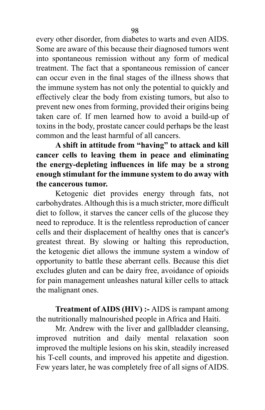every other disorder, from diabetes to warts and even AIDS. Some are aware of this because their diagnosed tumors went into spontaneous remission without any form of medical treatment. The fact that a spontaneous remission of cancer can occur even in the final stages of the illness shows that the immune system has not only the potential to quickly and effectively clear the body from existing tumors, but also to prevent new ones from forming, provided their origins being taken care of. If men learned how to avoid a build-up of toxins in the body, prostate cancer could perhaps be the least common and the least harmful of all cancers.

**A shift in attitude from "having" to attack and kill cancer cells to leaving them in peace and eliminating the energy-depleting influences in life may be a strong enough stimulant for the immune system to do away with the cancerous tumor.**

Ketogenic diet provides energy through fats, not carbohydrates. Although this is a much stricter, more difficult diet to follow, it starves the cancer cells of the glucose they need to reproduce. It is the relentless reproduction of cancer cells and their displacement of healthy ones that is cancer's greatest threat. By slowing or halting this reproduction, the ketogenic diet allows the immune system a window of opportunity to battle these aberrant cells. Because this diet excludes gluten and can be dairy free, avoidance of opioids for pain management unleashes natural killer cells to attack the malignant ones.

**Treatment of AIDS (HIV) :-** AIDS is rampant among the nutritionally malnourished people in Africa and Haiti.

Mr. Andrew with the liver and gallbladder cleansing, improved nutrition and daily mental relaxation soon improved the multiple lesions on his skin, steadily increased his T-cell counts, and improved his appetite and digestion. Few years later, he was completely free of all signs of AIDS.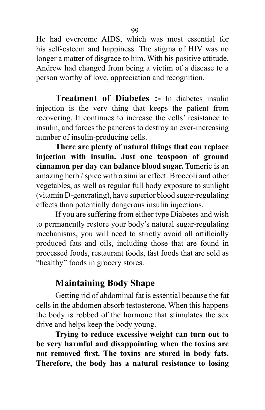He had overcome AIDS, which was most essential for his self-esteem and happiness. The stigma of HIV was no longer a matter of disgrace to him. With his positive attitude, Andrew had changed from being a victim of a disease to a person worthy of love, appreciation and recognition.

**Treatment of Diabetes :-** In diabetes insulin injection is the very thing that keeps the patient from recovering. It continues to increase the cells' resistance to insulin, and forces the pancreas to destroy an ever-increasing number of insulin-producing cells.

**There are plenty of natural things that can replace injection with insulin. Just one teaspoon of ground cinnamon per day can balance blood sugar.** Tumeric is an amazing herb / spice with a similar effect. Broccoli and other vegetables, as well as regular full body exposure to sunlight (vitamin D-generating), have superior blood sugar-regulating effects than potentially dangerous insulin injections.

If you are suffering from either type Diabetes and wish to permanently restore your body's natural sugar-regulating mechanisms, you will need to strictly avoid all artificially produced fats and oils, including those that are found in processed foods, restaurant foods, fast foods that are sold as "healthy" foods in grocery stores.

# **Maintaining Body Shape**

Getting rid of abdominal fat is essential because the fat cells in the abdomen absorb testosterone. When this happens the body is robbed of the hormone that stimulates the sex drive and helps keep the body young.

**Trying to reduce excessive weight can turn out to be very harmful and disappointing when the toxins are not removed first. The toxins are stored in body fats. Therefore, the body has a natural resistance to losing**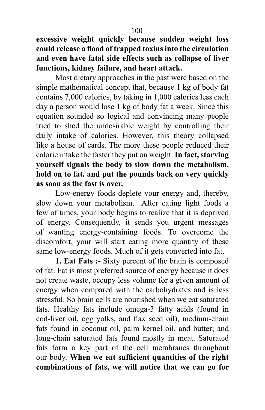**excessive weight quickly because sudden weight loss could release a flood of trapped toxins into the circulation and even have fatal side effects such as collapse of liver functions, kidney failure, and heart attack.**

Most dietary approaches in the past were based on the simple mathematical concept that, because 1 kg of body fat contains 7,000 calories, by taking in 1,000 calories less each day a person would lose 1 kg of body fat a week. Since this equation sounded so logical and convincing many people tried to shed the undesirable weight by controlling their daily intake of calories. However, this theory collapsed like a house of cards. The more these people reduced their calorie intake the faster they put on weight. **In fact, starving yourself signals the body to slow down the metabolism, hold on to fat. and put the pounds back on very quickly as soon as the fast is over.** 

Low-energy foods deplete your energy and, thereby, slow down your metabolism. After eating light foods a few of times, your body begins to realize that it is deprived of energy. Consequently, it sends you urgent messages of wanting energy-containing foods. To overcome the discomfort, your will start eating more quantity of these same low-energy foods. Much of it gets converted into fat.

**1. Eat Fats :-** Sixty percent of the brain is composed of fat. Fat is most preferred source of energy because it does not create waste, occupy less volume for a given amount of energy when compared with the carbohydrates and is less stressful. So brain cells are nourished when we eat saturated fats. Healthy fats include omega-3 fatty acids (found in cod-liver oil, egg yolks, and flax seed oil), medium-chain fats found in coconut oil, palm kernel oil, and butter; and long-chain saturated fats found mostly in meat. Saturated fats form a key part of the cell membranes throughout our body. **When we eat sufficient quantities of the right combinations of fats, we will notice that we can go for**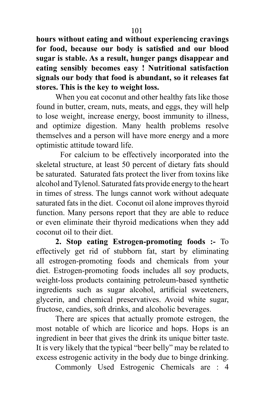**hours without eating and without experiencing cravings for food, because our body is satisfied and our blood sugar is stable. As a result, hunger pangs disappear and eating sensibly becomes easy ! Nutritional satisfaction signals our body that food is abundant, so it releases fat stores. This is the key to weight loss.**

When you eat coconut and other healthy fats like those found in butter, cream, nuts, meats, and eggs, they will help to lose weight, increase energy, boost immunity to illness, and optimize digestion. Many health problems resolve themselves and a person will have more energy and a more optimistic attitude toward life.

For calcium to be effectively incorporated into the skeletal structure, at least 50 percent of dietary fats should be saturated. Saturated fats protect the liver from toxins like alcohol and Tylenol. Saturated fats provide energy to the heart in times of stress. The lungs cannot work without adequate saturated fats in the diet. Coconut oil alone improves thyroid function. Many persons report that they are able to reduce or even eliminate their thyroid medications when they add coconut oil to their diet.

**2. Stop eating Estrogen-promoting foods :-** To effectively get rid of stubborn fat, start by eliminating all estrogen-promoting foods and chemicals from your diet. Estrogen-promoting foods includes all soy products, weight-loss products containing petroleum-based synthetic ingredients such as sugar alcohol, artificial sweeteners, glycerin, and chemical preservatives. Avoid white sugar, fructose, candies, soft drinks, and alcoholic beverages.

There are spices that actually promote estrogen, the most notable of which are licorice and hops. Hops is an ingredient in beer that gives the drink its unique bitter taste. It is very likely that the typical "beer belly" may be related to excess estrogenic activity in the body due to binge drinking.

Commonly Used Estrogenic Chemicals are : 4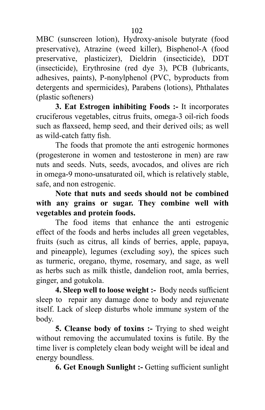MBC (sunscreen lotion), Hydroxy-anisole butyrate (food preservative), Atrazine (weed killer), Bisphenol-A (food preservative, plasticizer), Dieldrin (insecticide), DDT (insecticide), Erythrosine (red dye 3), PCB (lubricants, adhesives, paints), P-nonylphenol (PVC, byproducts from detergents and spermicides), Parabens (lotions), Phthalates (plastic softeners)

**3. Eat Estrogen inhibiting Foods :-** It incorporates cruciferous vegetables, citrus fruits, omega-3 oil-rich foods such as flaxseed, hemp seed, and their derived oils; as well as wild-catch fatty fish.

The foods that promote the anti estrogenic hormones (progesterone in women and testosterone in men) are raw nuts and seeds. Nuts, seeds, avocados, and olives are rich in omega-9 mono-unsaturated oil, which is relatively stable, safe, and non estrogenic.

**Note that nuts and seeds should not be combined with any grains or sugar. They combine well with vegetables and protein foods.**

The food items that enhance the anti estrogenic effect of the foods and herbs includes all green vegetables, fruits (such as citrus, all kinds of berries, apple, papaya, and pineapple), legumes (excluding soy), the spices such as turmeric, oregano, thyme, rosemary, and sage, as well as herbs such as milk thistle, dandelion root, amla berries, ginger, and gotukola.

**4. Sleep well to loose weight :-** Body needs sufficient sleep to repair any damage done to body and rejuvenate itself. Lack of sleep disturbs whole immune system of the body.

**5. Cleanse body of toxins :-** Trying to shed weight without removing the accumulated toxins is futile. By the time liver is completely clean body weight will be ideal and energy boundless.

**6. Get Enough Sunlight :-** Getting sufficient sunlight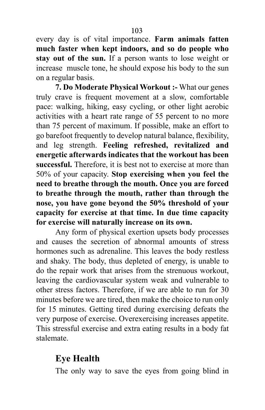every day is of vital importance. **Farm animals fatten much faster when kept indoors, and so do people who stay out of the sun.** If a person wants to lose weight or increase muscle tone, he should expose his body to the sun on a regular basis.

**7. Do Moderate Physical Workout :-** What our genes truly crave is frequent movement at a slow, comfortable pace: walking, hiking, easy cycling, or other light aerobic activities with a heart rate range of 55 percent to no more than 75 percent of maximum. If possible, make an effort to go barefoot frequently to develop natural balance, flexibility, and leg strength. **Feeling refreshed, revitalized and energetic afterwards indicates that the workout has been successful.** Therefore, it is best not to exercise at more than 50% of your capacity. **Stop exercising when you feel the need to breathe through the mouth. Once you are forced to breathe through the mouth, rather than through the nose, you have gone beyond the 50% threshold of your capacity for exercise at that time. In due time capacity for exercise will naturally increase on its own.** 

Any form of physical exertion upsets body processes and causes the secretion of abnormal amounts of stress hormones such as adrenaline. This leaves the body restless and shaky. The body, thus depleted of energy, is unable to do the repair work that arises from the strenuous workout, leaving the cardiovascular system weak and vulnerable to other stress factors. Therefore, if we are able to run for 30 minutes before we are tired, then make the choice to run only for 15 minutes. Getting tired during exercising defeats the very purpose of exercise. Overexercising increases appetite. This stressful exercise and extra eating results in a body fat stalemate.

# **Eye Health**

The only way to save the eyes from going blind in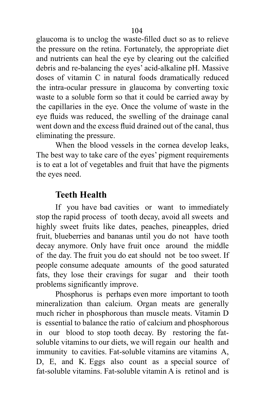glaucoma is to unclog the waste-filled duct so as to relieve the pressure on the retina. Fortunately, the appropriate diet and nutrients can heal the eye by clearing out the calcified debris and re-balancing the eyes' acid-alkaline pH. Massive doses of vitamin C in natural foods dramatically reduced the intra-ocular pressure in glaucoma by converting toxic waste to a soluble form so that it could be carried away by the capillaries in the eye. Once the volume of waste in the eye fluids was reduced, the swelling of the drainage canal went down and the excess fluid drained out of the canal, thus eliminating the pressure.

When the blood vessels in the cornea develop leaks, The best way to take care of the eyes' pigment requirements is to eat a lot of vegetables and fruit that have the pigments the eyes need.

# **Teeth Health**

If you have bad cavities or want to immediately stop the rapid process of tooth decay, avoid all sweets and highly sweet fruits like dates, peaches, pineapples, dried fruit, blueberries and bananas until you do not have tooth decay anymore. Only have fruit once around the middle of the day. The fruit you do eat should not be too sweet. If people consume adequate amounts of the good saturated fats, they lose their cravings for sugar and their tooth problems significantly improve.

Phosphorus is perhaps even more important to tooth mineralization than calcium. Organ meats are generally much richer in phosphorous than muscle meats. Vitamin D is essential to balance the ratio of calcium and phosphorous in our blood to stop tooth decay. By restoring the fatsoluble vitamins to our diets, we will regain our health and immunity to cavities. Fat-soluble vitamins are vitamins A, D, E, and K. Eggs also count as a special source of fat-soluble vitamins. Fat-soluble vitamin A is retinol and is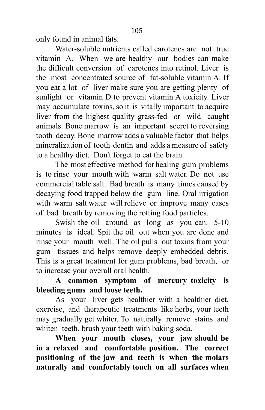only found in animal fats.

Water-soluble nutrients called carotenes are not true vitamin A. When we are healthy our bodies can make the difficult conversion of carotenes into retinol. Liver is the most concentrated source of fat-soluble vitamin A. If you eat a lot of liver make sure you are getting plenty of sunlight or vitamin D to prevent vitamin A toxicity. Liver may accumulate toxins, so it is vitally important to acquire liver from the highest quality grass-fed or wild caught animals. Bone marrow is an important secret to reversing tooth decay. Bone marrow adds a valuable factor that helps mineralization of tooth dentin and adds a measure of safety to a healthy diet. Don't forget to eat the brain.

The most effective method for healing gum problems is to rinse your mouth with warm salt water. Do not use commercial table salt. Bad breath is many times caused by decaying food trapped below the gum line. Oral irrigation with warm salt water will relieve or improve many cases of bad breath by removing the rotting food particles.

Swish the oil around as long as you can.  $5-10$ minutes is ideal. Spit the oil out when you are done and rinse your mouth well. The oil pulls out toxins from your gum tissues and helps remove deeply embedded debris. This is a great treatment for gum problems, bad breath, or to increase your overall oral health.

**A common symptom of mercury toxicity is bleeding gums and loose teeth.**

As your liver gets healthier with a healthier diet, exercise, and therapeutic treatments like herbs, your teeth may gradually get whiter. To naturally remove stains and whiten teeth, brush your teeth with baking soda.

**When your mouth closes, your jaw should be in a relaxed and comfortable position. The correct positioning of the jaw and teeth is when the molars naturally and comfortably touch on all surfaces when**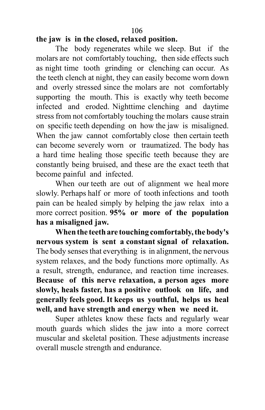#### **the jaw is in the closed, relaxed position.**

The body regenerates while we sleep. But if the molars are not comfortably touching, then side effects such as night time tooth grinding or clenching can occur. As the teeth clench at night, they can easily become worn down and overly stressed since the molars are not comfortably supporting the mouth. This is exactly why teeth become infected and eroded. Nighttime clenching and daytime stress from not comfortably touching the molars cause strain on specific teeth depending on how the jaw is misaligned. When the jaw cannot comfortably close then certain teeth can become severely worn or traumatized. The body has a hard time healing those specific teeth because they are constantly being bruised, and these are the exact teeth that become painful and infected.

When our teeth are out of alignment we heal more slowly. Perhaps half or more of tooth infections and tooth pain can be healed simply by helping the jaw relax into a more correct position. **95% or more of the population has a misaligned jaw.**

**When the teeth are touching comfortably, the body's nervous system is sent a constant signal of relaxation.**  The body senses that everything is in alignment, the nervous system relaxes, and the body functions more optimally. As a result, strength, endurance, and reaction time increases. **Because of this nerve relaxation, a person ages more slowly, heals faster, has a positive outlook on life, and generally feels good. It keeps us youthful, helps us heal well, and have strength and energy when we need it.** 

Super athletes know these facts and regularly wear mouth guards which slides the jaw into a more correct muscular and skeletal position. These adjustments increase overall muscle strength and endurance.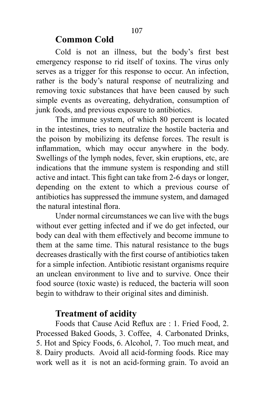#### **Common Cold**

Cold is not an illness, but the body's first best emergency response to rid itself of toxins. The virus only serves as a trigger for this response to occur. An infection, rather is the body's natural response of neutralizing and removing toxic substances that have been caused by such simple events as overeating, dehydration, consumption of junk foods, and previous exposure to antibiotics.

The immune system, of which 80 percent is located in the intestines, tries to neutralize the hostile bacteria and the poison by mobilizing its defense forces. The result is inflammation, which may occur anywhere in the body. Swellings of the lymph nodes, fever, skin eruptions, etc, are indications that the immune system is responding and still active and intact. This fight can take from 2-6 days or longer, depending on the extent to which a previous course of antibiotics has suppressed the immune system, and damaged the natural intestinal flora.

Under normal circumstances we can live with the bugs without ever getting infected and if we do get infected, our body can deal with them effectively and become immune to them at the same time. This natural resistance to the bugs decreases drastically with the first course of antibiotics taken for a simple infection. Antibiotic resistant organisms require an unclean environment to live and to survive. Once their food source (toxic waste) is reduced, the bacteria will soon begin to withdraw to their original sites and diminish.

#### **Treatment of acidity**

Foods that Cause Acid Reflux are : 1. Fried Food, 2. Processed Baked Goods, 3. Coffee, 4. Carbonated Drinks, 5. Hot and Spicy Foods, 6. Alcohol, 7. Too much meat, and 8. Dairy products. Avoid all acid-forming foods. Rice may work well as it is not an acid-forming grain. To avoid an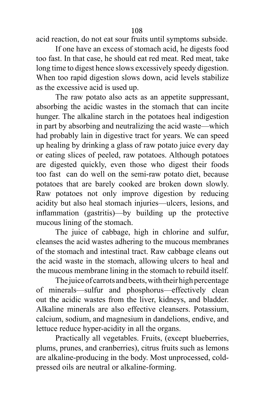acid reaction, do not eat sour fruits until symptoms subside.

If one have an excess of stomach acid, he digests food too fast. In that case, he should eat red meat. Red meat, take long time to digest hence slows excessively speedy digestion. When too rapid digestion slows down, acid levels stabilize as the excessive acid is used up.

The raw potato also acts as an appetite suppressant, absorbing the acidic wastes in the stomach that can incite hunger. The alkaline starch in the potatoes heal indigestion in part by absorbing and neutralizing the acid waste—which had probably lain in digestive tract for years. We can speed up healing by drinking a glass of raw potato juice every day or eating slices of peeled, raw potatoes. Although potatoes are digested quickly, even those who digest their foods too fast can do well on the semi-raw potato diet, because potatoes that are barely cooked are broken down slowly. Raw potatoes not only improve digestion by reducing acidity but also heal stomach injuries—ulcers, lesions, and inflammation (gastritis)—by building up the protective mucous lining of the stomach.

The juice of cabbage, high in chlorine and sulfur, cleanses the acid wastes adhering to the mucous membranes of the stomach and intestinal tract. Raw cabbage cleans out the acid waste in the stomach, allowing ulcers to heal and the mucous membrane lining in the stomach to rebuild itself.

The juice of carrots and beets, with their high percentage of minerals—sulfur and phosphorus—effectively clean out the acidic wastes from the liver, kidneys, and bladder. Alkaline minerals are also effective cleansers. Potassium, calcium, sodium, and magnesium in dandelions, endive, and lettuce reduce hyper-acidity in all the organs.

Practically all vegetables. Fruits, (except blueberries, plums, prunes, and cranberries), citrus fruits such as lemons are alkaline-producing in the body. Most unprocessed, coldpressed oils are neutral or alkaline-forming.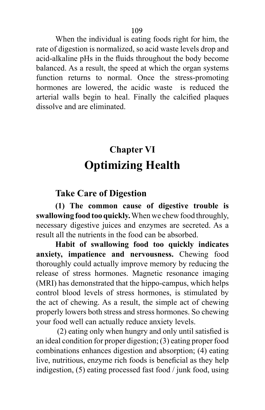When the individual is eating foods right for him, the rate of digestion is normalized, so acid waste levels drop and acid-alkaline pHs in the fluids throughout the body become balanced. As a result, the speed at which the organ systems function returns to normal. Once the stress-promoting hormones are lowered, the acidic waste is reduced the arterial walls begin to heal. Finally the calcified plaques dissolve and are eliminated.

# **Chapter VI Optimizing Health**

### **Take Care of Digestion**

**(1) The common cause of digestive trouble is swallowing food too quickly.** When we chew food throughly, necessary digestive juices and enzymes are secreted. As a result all the nutrients in the food can be absorbed.

**Habit of swallowing food too quickly indicates anxiety, impatience and nervousness.** Chewing food thoroughly could actually improve memory by reducing the release of stress hormones. Magnetic resonance imaging (MRI) has demonstrated that the hippo-campus, which helps control blood levels of stress hormones, is stimulated by the act of chewing. As a result, the simple act of chewing properly lowers both stress and stress hormones. So chewing your food well can actually reduce anxiety levels.

 (2) eating only when hungry and only until satisfied is an ideal condition for proper digestion; (3) eating proper food combinations enhances digestion and absorption; (4) eating live, nutritious, enzyme rich foods is beneficial as they help indigestion, (5) eating processed fast food / junk food, using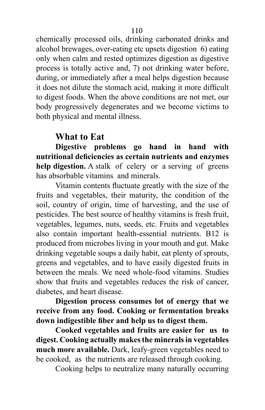chemically processed oils, drinking carbonated drinks and alcohol brewages, over-eating etc upsets digestion 6) eating only when calm and rested optimizes digestion as digestive process is totally active and, 7) not drinking water before, during, or immediately after a meal helps digestion because it does not dilute the stomach acid, making it more difficult to digest foods. When the above conditions are not met, our body progressively degenerates and we become victims to both physical and mental illness.

### **What to Eat**

**Digestive problems go hand in hand with nutritional deficiencies as certain nutrients and enzymes help digestion.** A stalk of celery or a serving of greens has absorbable vitamins and minerals.

Vitamin contents fluctuate greatly with the size of the fruits and vegetables, their maturity, the condition of the soil, country of origin, time of harvesting, and the use of pesticides. The best source of healthy vitamins is fresh fruit, vegetables, legumes, nuts, seeds, etc. Fruits and vegetables also contain important health-essential nutrients. B12 is produced from microbes living in your mouth and gut. Make drinking vegetable soups a daily habit, eat plenty of sprouts, greens and vegetables, and to have easily digested fruits in between the meals. We need whole-food vitamins. Studies show that fruits and vegetables reduces the risk of cancer, diabetes, and heart disease.

**Digestion process consumes lot of energy that we receive from any food. Cooking or fermentation breaks down indigestible fiber and help us to digest them.**

**Cooked vegetables and fruits are easier for us to digest. Cooking actually makes the minerals in vegetables much more available.** Dark, leafy-green vegetables need to be cooked, as the nutrients are released through cooking.

Cooking helps to neutralize many naturally occurring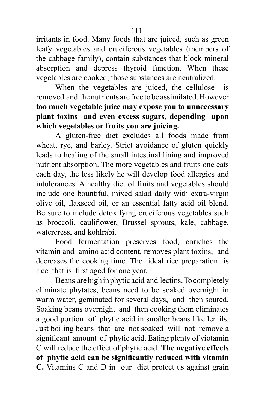irritants in food. Many foods that are juiced, such as green leafy vegetables and cruciferous vegetables (members of the cabbage family), contain substances that block mineral absorption and depress thyroid function. When these vegetables are cooked, those substances are neutralized.

When the vegetables are juiced, the cellulose is removed and the nutrients are free to be assimilated. However **too much vegetable juice may expose you to unnecessary plant toxins and even excess sugars, depending upon which vegetables or fruits you are juicing.**

A gluten-free diet excludes all foods made from wheat, rye, and barley. Strict avoidance of gluten quickly leads to healing of the small intestinal lining and improved nutrient absorption. The more vegetables and fruits one eats each day, the less likely he will develop food allergies and intolerances. A healthy diet of fruits and vegetables should include one bountiful, mixed salad daily with extra-virgin olive oil, flaxseed oil, or an essential fatty acid oil blend. Be sure to include detoxifying cruciferous vegetables such as broccoli, cauliflower, Brussel sprouts, kale, cabbage, watercress, and kohlrabi.

Food fermentation preserves food, enriches the vitamin and amino acid content, removes plant toxins, and decreases the cooking time. The ideal rice preparation is rice that is first aged for one year.

Beans are high in phytic acid and lectins. To completely eliminate phytates, beans need to be soaked overnight in warm water, geminated for several days, and then soured. Soaking beans overnight and then cooking them eliminates a good portion of phytic acid in smaller beans like lentils. Just boiling beans that are not soaked will not remove a significant amount of phytic acid. Eating plenty of viotamin C will reduce the effect of phytic acid. **The negative effects of phytic acid can be significantly reduced with vitamin C.** Vitamins C and D in our diet protect us against grain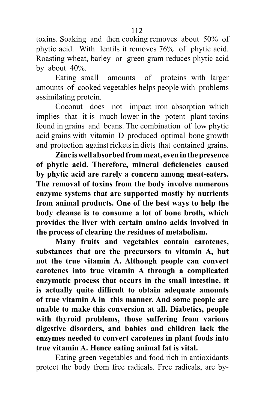toxins. Soaking and then cooking removes about 50% of phytic acid. With lentils it removes 76% of phytic acid. Roasting wheat, barley or green gram reduces phytic acid by about 40%.

Eating small amounts of proteins with larger amounts of cooked vegetables helps people with problems assimilating protein.

Coconut does not impact iron absorption which implies that it is much lower in the potent plant toxins found in grains and beans. The combination of low phytic acid grains with vitamin D produced optimal bone growth and protection against rickets in diets that contained grains.

**Zinc is well absorbed from meat, even in the presence of phytic acid. Therefore, mineral deficiencies caused by phytic acid are rarely a concern among meat-eaters. The removal of toxins from the body involve numerous enzyme systems that are supported mostly by nutrients from animal products. One of the best ways to help the body cleanse is to consume a lot of bone broth, which provides the liver with certain amino acids involved in the process of clearing the residues of metabolism.**

**Many fruits and vegetables contain carotenes, substances that are the precursors to vitamin A, but not the true vitamin A. Although people can convert carotenes into true vitamin A through a complicated enzymatic process that occurs in the small intestine, it is actually quite difficult to obtain adequate amounts of true vitamin A in this manner. And some people are unable to make this conversion at all. Diabetics, people with thyroid problems, those suffering from various digestive disorders, and babies and children lack the enzymes needed to convert carotenes in plant foods into true vitamin A. Hence eating animal fat is vital.**

Eating green vegetables and food rich in antioxidants protect the body from free radicals. Free radicals, are by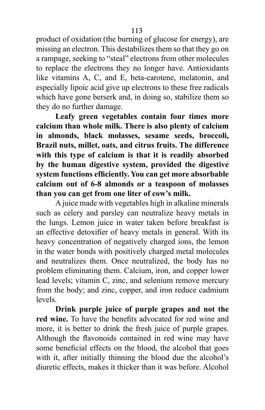product of oxidation (the burning of glucose for energy), are missing an electron. This destabilizes them so that they go on a rampage, seeking to "steal" electrons from other molecules to replace the electrons they no longer have. Antioxidants like vitamins A, C, and E, beta-carotene, melatonin, and especially lipoic acid give up electrons to these free radicals which have gone berserk and, in doing so, stabilize them so they do no further damage.

**Leafy green vegetables contain four times more calcium than whole milk. There is also plenty of calcium in almonds, black molasses, sesame seeds, broccoli, Brazil nuts, millet, oats, and citrus fruits. The difference with this type of calcium is that it is readily absorbed by the human digestive system, provided the digestive system functions efficiently. You can get more absorbable calcium out of 6-8 almonds or a teaspoon of molasses than you can get from one liter of cow's milk.**

A juice made with vegetables high in alkaline minerals such as celery and parsley can neutralize heavy metals in the lungs. Lemon juice in water taken before breakfast is an effective detoxifier of heavy metals in general. With its heavy concentration of negatively charged ions, the lemon in the water bonds with positively charged metal molecules and neutralizes them. Once neutralized, the body has no problem eliminating them. Calcium, iron, and copper lower lead levels; vitamin C, zinc, and selenium remove mercury from the body; and zinc, copper, and iron reduce cadmium levels.

**Drink purple juice of purple grapes and not the red wine.** To have the benefits advocated for red wine and more, it is better to drink the fresh juice of purple grapes. Although the flavonoids contained in red wine may have some beneficial effects on the blood, the alcohol that goes with it, after initially thinning the blood due the alcohol's diuretic effects, makes it thicker than it was before. Alcohol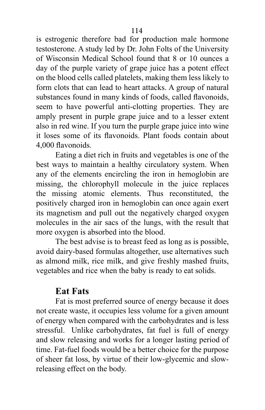is estrogenic therefore bad for production male hormone testosterone. A study led by Dr. John Folts of the University of Wisconsin Medical School found that 8 or 10 ounces a day of the purple variety of grape juice has a potent effect on the blood cells called platelets, making them less likely to form clots that can lead to heart attacks. A group of natural substances found in many kinds of foods, called flavonoids, seem to have powerful anti-clotting properties. They are amply present in purple grape juice and to a lesser extent also in red wine. If you turn the purple grape juice into wine it loses some of its flavonoids. Plant foods contain about 4,000 flavonoids.

Eating a diet rich in fruits and vegetables is one of the best ways to maintain a healthy circulatory system. When any of the elements encircling the iron in hemoglobin are missing, the chlorophyll molecule in the juice replaces the missing atomic elements. Thus reconstituted, the positively charged iron in hemoglobin can once again exert its magnetism and pull out the negatively charged oxygen molecules in the air sacs of the lungs, with the result that more oxygen is absorbed into the blood.

The best advise is to breast feed as long as is possible, avoid dairy-based formulas altogether, use alternatives such as almond milk, rice milk, and give freshly mashed fruits, vegetables and rice when the baby is ready to eat solids.

### **Eat Fats**

Fat is most preferred source of energy because it does not create waste, it occupies less volume for a given amount of energy when compared with the carbohydrates and is less stressful. Unlike carbohydrates, fat fuel is full of energy and slow releasing and works for a longer lasting period of time. Fat-fuel foods would be a better choice for the purpose of sheer fat loss, by virtue of their low-glycemic and slowreleasing effect on the body.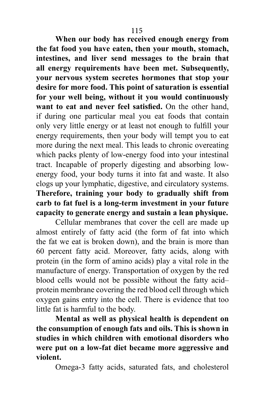**When our body has received enough energy from the fat food you have eaten, then your mouth, stomach, intestines, and liver send messages to the brain that all energy requirements have been met. Subsequently, your nervous system secretes hormones that stop your desire for more food. This point of saturation is essential for your well being, without it you would continuously want to eat and never feel satisfied.** On the other hand, if during one particular meal you eat foods that contain only very little energy or at least not enough to fulfill your energy requirements, then your body will tempt you to eat more during the next meal. This leads to chronic overeating which packs plenty of low-energy food into your intestinal tract. Incapable of properly digesting and absorbing lowenergy food, your body turns it into fat and waste. It also clogs up your lymphatic, digestive, and circulatory systems. **Therefore, training your body to gradually shift from carb to fat fuel is a long-term investment in your future capacity to generate energy and sustain a lean physique.**

Cellular membranes that cover the cell are made up almost entirely of fatty acid (the form of fat into which the fat we eat is broken down), and the brain is more than 60 percent fatty acid. Moreover, fatty acids, along with protein (in the form of amino acids) play a vital role in the manufacture of energy. Transportation of oxygen by the red blood cells would not be possible without the fatty acid– protein membrane covering the red blood cell through which oxygen gains entry into the cell. There is evidence that too little fat is harmful to the body.

**Mental as well as physical health is dependent on the consumption of enough fats and oils. This is shown in studies in which children with emotional disorders who were put on a low-fat diet became more aggressive and violent.**

Omega-3 fatty acids, saturated fats, and cholesterol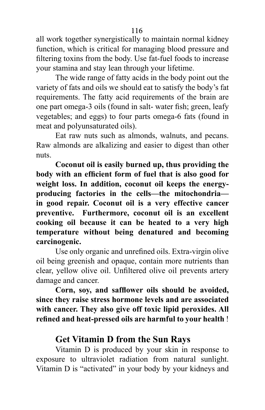all work together synergistically to maintain normal kidney function, which is critical for managing blood pressure and filtering toxins from the body. Use fat-fuel foods to increase your stamina and stay lean through your lifetime.

The wide range of fatty acids in the body point out the variety of fats and oils we should eat to satisfy the body's fat requirements. The fatty acid requirements of the brain are one part omega-3 oils (found in salt- water fish; green, leafy vegetables; and eggs) to four parts omega-6 fats (found in meat and polyunsaturated oils).

Eat raw nuts such as almonds, walnuts, and pecans. Raw almonds are alkalizing and easier to digest than other nuts.

**Coconut oil is easily burned up, thus providing the body with an efficient form of fuel that is also good for weight loss. In addition, coconut oil keeps the energyproducing factories in the cells—the mitochondria in good repair. Coconut oil is a very effective cancer preventive. Furthermore, coconut oil is an excellent cooking oil because it can be heated to a very high temperature without being denatured and becoming carcinogenic.**

Use only organic and unrefined oils. Extra-virgin olive oil being greenish and opaque, contain more nutrients than clear, yellow olive oil. Unfiltered olive oil prevents artery damage and cancer.

**Corn, soy, and safflower oils should be avoided, since they raise stress hormone levels and are associated with cancer. They also give off toxic lipid peroxides. All refined and heat-pressed oils are harmful to your health** !

## **Get Vitamin D from the Sun Rays**

Vitamin D is produced by your skin in response to exposure to ultraviolet radiation from natural sunlight. Vitamin D is "activated" in your body by your kidneys and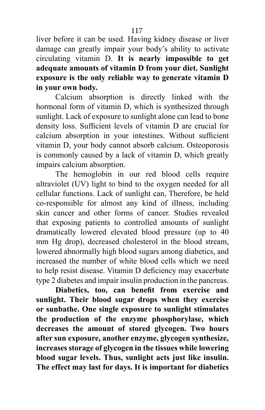liver before it can be used. Having kidney disease or liver damage can greatly impair your body's ability to activate circulating vitamin D. **It is nearly impossible to get adequate amounts of vitamin D from your diet. Sunlight exposure is the only reliable way to generate vitamin D in your own body.**

Calcium absorption is directly linked with the hormonal form of vitamin D, which is synthesized through sunlight. Lack of exposure to sunlight alone can lead to bone density loss. Sufficient levels of vitamin D are crucial for calcium absorption in your intestines. Without sufficient vitamin D, your body cannot absorb calcium. Osteoporosis is commonly caused by a lack of vitamin D, which greatly impairs calcium absorption.

The hemoglobin in our red blood cells require ultraviolet (UV) light to bind to the oxygen needed for all cellular functions. Lack of sunlight can, Therefore, be held co-responsible for almost any kind of illness, including skin cancer and other forms of cancer. Studies revealed that exposing patients to controlled amounts of sunlight dramatically lowered elevated blood pressure (up to 40 mm Hg drop), decreased cholesterol in the blood stream, lowered abnormally high blood sugars among diabetics, and increased the number of white blood cells which we need to help resist disease. Vitamin D deficiency may exacerbate type 2 diabetes and impair insulin production in the pancreas.

**Diabetics, too, can benefit from exercise and sunlight. Their blood sugar drops when they exercise or sunbathe. One single exposure to sunlight stimulates the production of the enzyme phosphorylase, which decreases the amount of stored glycogen. Two hours after sun exposure, another enzyme, glycogen synthesize, increases storage of glycogen in the tissues while lowering blood sugar levels. Thus, sunlight acts just like insulin. The effect may last for days. It is important for diabetics**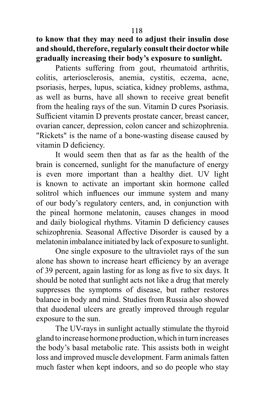**to know that they may need to adjust their insulin dose and should, therefore, regularly consult their doctor while gradually increasing their body's exposure to sunlight.**

Patients suffering from gout, rheumatoid arthritis, colitis, arteriosclerosis, anemia, cystitis, eczema, acne, psoriasis, herpes, lupus, sciatica, kidney problems, asthma, as well as burns, have all shown to receive great benefit from the healing rays of the sun. Vitamin D cures Psoriasis. Sufficient vitamin D prevents prostate cancer, breast cancer, ovarian cancer, depression, colon cancer and schizophrenia. "Rickets" is the name of a bone-wasting disease caused by vitamin D deficiency.

It would seem then that as far as the health of the brain is concerned, sunlight for the manufacture of energy is even more important than a healthy diet. UV light is known to activate an important skin hormone called solitrol which influences our immune system and many of our body's regulatory centers, and, in conjunction with the pineal hormone melatonin, causes changes in mood and daily biological rhythms. Vitamin D deficiency causes schizophrenia. Seasonal Affective Disorder is caused by a melatonin imbalance initiated by lack of exposure to sunlight.

One single exposure to the ultraviolet rays of the sun alone has shown to increase heart efficiency by an average of 39 percent, again lasting for as long as five to six days. It should be noted that sunlight acts not like a drug that merely suppresses the symptoms of disease, but rather restores balance in body and mind. Studies from Russia also showed that duodenal ulcers are greatly improved through regular exposure to the sun.

The UV-rays in sunlight actually stimulate the thyroid gland to increase hormone production, which in turn increases the body's basal metabolic rate. This assists both in weight loss and improved muscle development. Farm animals fatten much faster when kept indoors, and so do people who stay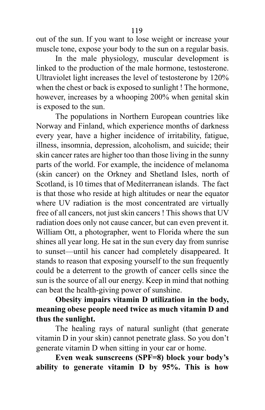out of the sun. If you want to lose weight or increase your muscle tone, expose your body to the sun on a regular basis.

In the male physiology, muscular development is linked to the production of the male hormone, testosterone. Ultraviolet light increases the level of testosterone by 120% when the chest or back is exposed to sunlight ! The hormone, however, increases by a whooping 200% when genital skin is exposed to the sun.

The populations in Northern European countries like Norway and Finland, which experience months of darkness every year, have a higher incidence of irritability, fatigue, illness, insomnia, depression, alcoholism, and suicide; their skin cancer rates are higher too than those living in the sunny parts of the world. For example, the incidence of melanoma (skin cancer) on the Orkney and Shetland Isles, north of Scotland, is 10 times that of Mediterranean islands. The fact is that those who reside at high altitudes or near the equator where UV radiation is the most concentrated are virtually free of all cancers, not just skin cancers ! This shows that UV radiation does only not cause cancer, but can even prevent it. William Ott, a photographer, went to Florida where the sun shines all year long. He sat in the sun every day from sunrise to sunset—until his cancer had completely disappeared. It stands to reason that exposing yourself to the sun frequently could be a deterrent to the growth of cancer cells since the sun is the source of all our energy. Keep in mind that nothing can beat the health-giving power of sunshine.

**Obesity impairs vitamin D utilization in the body, meaning obese people need twice as much vitamin D and thus the sunlight.** 

The healing rays of natural sunlight (that generate vitamin D in your skin) cannot penetrate glass. So you don't generate vitamin D when sitting in your car or home.

**Even weak sunscreens (SPF=8) block your body's ability to generate vitamin D by 95%. This is how**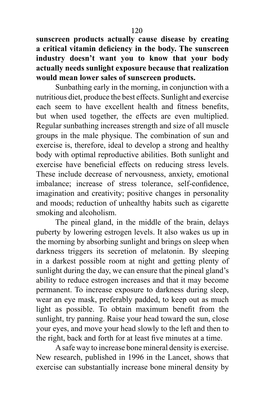**sunscreen products actually cause disease by creating a critical vitamin deficiency in the body. The sunscreen industry doesn't want you to know that your body actually needs sunlight exposure because that realization would mean lower sales of sunscreen products.**

Sunbathing early in the morning, in conjunction with a nutritious diet, produce the best effects. Sunlight and exercise each seem to have excellent health and fitness benefits, but when used together, the effects are even multiplied. Regular sunbathing increases strength and size of all muscle groups in the male physique. The combination of sun and exercise is, therefore, ideal to develop a strong and healthy body with optimal reproductive abilities. Both sunlight and exercise have beneficial effects on reducing stress levels. These include decrease of nervousness, anxiety, emotional imbalance; increase of stress tolerance, self-confidence, imagination and creativity; positive changes in personality and moods; reduction of unhealthy habits such as cigarette smoking and alcoholism.

The pineal gland, in the middle of the brain, delays puberty by lowering estrogen levels. It also wakes us up in the morning by absorbing sunlight and brings on sleep when darkness triggers its secretion of melatonin. By sleeping in a darkest possible room at night and getting plenty of sunlight during the day, we can ensure that the pineal gland's ability to reduce estrogen increases and that it may become permanent. To increase exposure to darkness during sleep, wear an eye mask, preferably padded, to keep out as much light as possible. To obtain maximum benefit from the sunlight, try panning. Raise your head toward the sun, close your eyes, and move your head slowly to the left and then to the right, back and forth for at least five minutes at a time.

A safe way to increase bone mineral density is exercise. New research, published in 1996 in the Lancet, shows that exercise can substantially increase bone mineral density by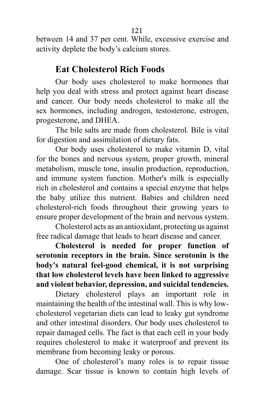between 14 and 37 per cent. While, excessive exercise and activity deplete the body's calcium stores.

## **Eat Cholesterol Rich Foods**

Our body uses cholesterol to make hormones that help you deal with stress and protect against heart disease and cancer. Our body needs cholesterol to make all the sex hormones, including androgen, testosterone, estrogen, progesterone, and DHEA.

The bile salts are made from cholesterol. Bile is vital for digestion and assimilation of dietary fats.

Our body uses cholesterol to make vitamin D, vital for the bones and nervous system, proper growth, mineral metabolism, muscle tone, insulin production, reproduction, and immune system function. Mother's milk is especially rich in cholesterol and contains a special enzyme that helps the baby utilize this nutrient. Babies and children need cholesterol-rich foods throughout their growing years to ensure proper development of the brain and nervous system.

Cholesterol acts as an antioxidant, protecting us against free radical damage that leads to heart disease and cancer.

**Cholesterol is needed for proper function of serotonin receptors in the brain. Since serotonin is the body's natural feel-good chemical, it is not surprising that low cholesterol levels have been linked to aggressive and violent behavior, depression, and suicidal tendencies.** 

Dietary cholesterol plays an important role in maintaining the health of the intestinal wall. This is why lowcholesterol vegetarian diets can lead to leaky gut syndrome and other intestinal disorders. Our body uses cholesterol to repair damaged cells. The fact is that each cell in your body requires cholesterol to make it waterproof and prevent its membrane from becoming leaky or porous.

One of cholesterol's many roles is to repair tissue damage. Scar tissue is known to contain high levels of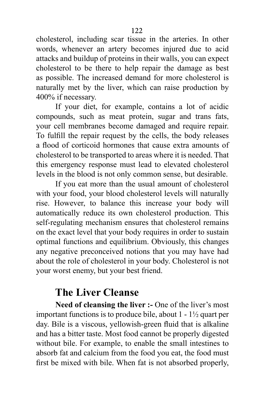cholesterol, including scar tissue in the arteries. In other words, whenever an artery becomes injured due to acid attacks and buildup of proteins in their walls, you can expect cholesterol to be there to help repair the damage as best as possible. The increased demand for more cholesterol is naturally met by the liver, which can raise production by 400% if necessary.

If your diet, for example, contains a lot of acidic compounds, such as meat protein, sugar and trans fats, your cell membranes become damaged and require repair. To fulfill the repair request by the cells, the body releases a flood of corticoid hormones that cause extra amounts of cholesterol to be transported to areas where it is needed. That this emergency response must lead to elevated cholesterol levels in the blood is not only common sense, but desirable.

If you eat more than the usual amount of cholesterol with your food, your blood cholesterol levels will naturally rise. However, to balance this increase your body will automatically reduce its own cholesterol production. This self-regulating mechanism ensures that cholesterol remains on the exact level that your body requires in order to sustain optimal functions and equilibrium. Obviously, this changes any negative preconceived notions that you may have had about the role of cholesterol in your body. Cholesterol is not your worst enemy, but your best friend.

## **The Liver Cleanse**

**Need of cleansing the liver :-** One of the liver's most important functions is to produce bile, about 1 - 1½ quart per day. Bile is a viscous, yellowish-green fluid that is alkaline and has a bitter taste. Most food cannot be properly digested without bile. For example, to enable the small intestines to absorb fat and calcium from the food you eat, the food must first be mixed with bile. When fat is not absorbed properly,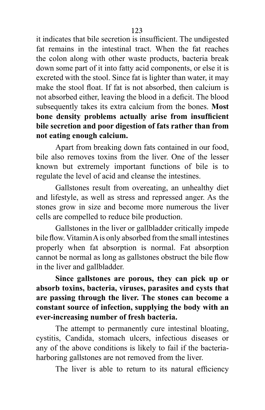it indicates that bile secretion is insufficient. The undigested fat remains in the intestinal tract. When the fat reaches the colon along with other waste products, bacteria break down some part of it into fatty acid components, or else it is excreted with the stool. Since fat is lighter than water, it may make the stool float. If fat is not absorbed, then calcium is not absorbed either, leaving the blood in a deficit. The blood subsequently takes its extra calcium from the bones. **Most bone density problems actually arise from insufficient bile secretion and poor digestion of fats rather than from not eating enough calcium.**

Apart from breaking down fats contained in our food, bile also removes toxins from the liver. One of the lesser known but extremely important functions of bile is to regulate the level of acid and cleanse the intestines.

Gallstones result from overeating, an unhealthy diet and lifestyle, as well as stress and repressed anger. As the stones grow in size and become more numerous the liver cells are compelled to reduce bile production.

Gallstones in the liver or gallbladder critically impede bile flow. Vitamin A is only absorbed from the small intestines properly when fat absorption is normal. Fat absorption cannot be normal as long as gallstones obstruct the bile flow in the liver and gallbladder.

**Since gallstones are porous, they can pick up or absorb toxins, bacteria, viruses, parasites and cysts that are passing through the liver. The stones can become a constant source of infection, supplying the body with an ever-increasing number of fresh bacteria.**

The attempt to permanently cure intestinal bloating, cystitis, Candida, stomach ulcers, infectious diseases or any of the above conditions is likely to fail if the bacteriaharboring gallstones are not removed from the liver.

The liver is able to return to its natural efficiency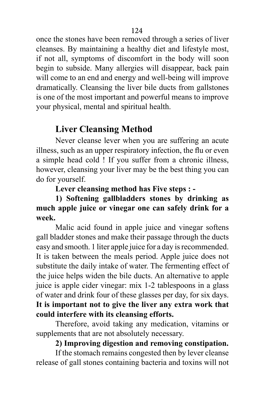once the stones have been removed through a series of liver cleanses. By maintaining a healthy diet and lifestyle most, if not all, symptoms of discomfort in the body will soon begin to subside. Many allergies will disappear, back pain will come to an end and energy and well-being will improve dramatically. Cleansing the liver bile ducts from gallstones is one of the most important and powerful means to improve your physical, mental and spiritual health.

## **Liver Cleansing Method**

Never cleanse lever when you are suffering an acute illness, such as an upper respiratory infection, the flu or even a simple head cold ! If you suffer from a chronic illness, however, cleansing your liver may be the best thing you can do for yourself.

**Lever cleansing method has Five steps : -**

**1) Softening gallbladders stones by drinking as much apple juice or vinegar one can safely drink for a week.**

Malic acid found in apple juice and vinegar softens gall bladder stones and make their passage through the ducts easy and smooth. 1 liter apple juice for a day is recommended. It is taken between the meals period. Apple juice does not substitute the daily intake of water. The fermenting effect of the juice helps widen the bile ducts. An alternative to apple juice is apple cider vinegar: mix 1-2 tablespoons in a glass of water and drink four of these glasses per day, for six days. **It is important not to give the liver any extra work that could interfere with its cleansing efforts.**

Therefore, avoid taking any medication, vitamins or supplements that are not absolutely necessary.

#### **2) Improving digestion and removing constipation.**

If the stomach remains congested then by lever cleanse release of gall stones containing bacteria and toxins will not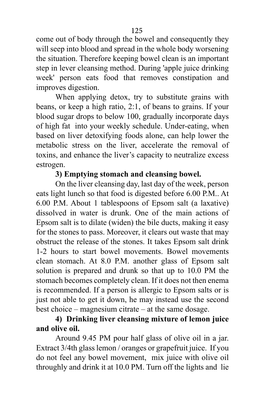come out of body through the bowel and consequently they will seep into blood and spread in the whole body worsening the situation. Therefore keeping bowel clean is an important step in lever cleansing method. During 'apple juice drinking week' person eats food that removes constipation and improves digestion.

When applying detox, try to substitute grains with beans, or keep a high ratio, 2:1, of beans to grains. If your blood sugar drops to below 100, gradually incorporate days of high fat into your weekly schedule. Under-eating, when based on liver detoxifying foods alone, can help lower the metabolic stress on the liver, accelerate the removal of toxins, and enhance the liver's capacity to neutralize excess estrogen.

#### **3) Emptying stomach and cleansing bowel.**

On the liver cleansing day, last day of the week, person eats light lunch so that food is digested before 6.00 P.M.. At 6.00 P.M. About 1 tablespoons of Epsom salt (a laxative) dissolved in water is drunk. One of the main actions of Epsom salt is to dilate (widen) the bile ducts, making it easy for the stones to pass. Moreover, it clears out waste that may obstruct the release of the stones. It takes Epsom salt drink 1-2 hours to start bowel movements. Bowel movements clean stomach. At 8.0 P.M. another glass of Epsom salt solution is prepared and drunk so that up to 10.0 PM the stomach becomes completely clean. If it does not then enema is recommended. If a person is allergic to Epsom salts or is just not able to get it down, he may instead use the second best choice – magnesium citrate – at the same dosage.

#### **4) Drinking liver cleansing mixture of lemon juice and olive oil.**

Around 9.45 PM pour half glass of olive oil in a jar. Extract 3/4th glass lemon / oranges or grapefruit juice. If you do not feel any bowel movement, mix juice with olive oil throughly and drink it at 10.0 PM. Turn off the lights and lie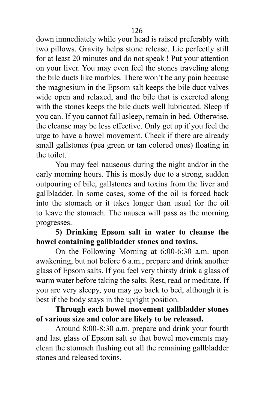down immediately while your head is raised preferably with two pillows. Gravity helps stone release. Lie perfectly still for at least 20 minutes and do not speak ! Put your attention on your liver. You may even feel the stones traveling along the bile ducts like marbles. There won't be any pain because the magnesium in the Epsom salt keeps the bile duct valves wide open and relaxed, and the bile that is excreted along with the stones keeps the bile ducts well lubricated. Sleep if you can. If you cannot fall asleep, remain in bed. Otherwise, the cleanse may be less effective. Only get up if you feel the urge to have a bowel movement. Check if there are already small gallstones (pea green or tan colored ones) floating in the toilet.

You may feel nauseous during the night and/or in the early morning hours. This is mostly due to a strong, sudden outpouring of bile, gallstones and toxins from the liver and gallbladder. In some cases, some of the oil is forced back into the stomach or it takes longer than usual for the oil to leave the stomach. The nausea will pass as the morning progresses.

#### **5) Drinking Epsom salt in water to cleanse the bowel containing gallbladder stones and toxins.**

On the Following Morning at 6:00-6:30 a.m. upon awakening, but not before 6 a.m., prepare and drink another glass of Epsom salts. If you feel very thirsty drink a glass of warm water before taking the salts. Rest, read or meditate. If you are very sleepy, you may go back to bed, although it is best if the body stays in the upright position.

#### **Through each bowel movement gallbladder stones of various size and color are likely to be released.**

Around 8:00-8:30 a.m. prepare and drink your fourth and last glass of Epsom salt so that bowel movements may clean the stomach flushing out all the remaining gallbladder stones and released toxins.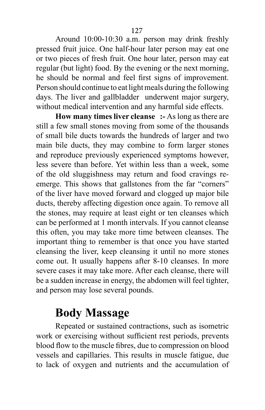Around 10:00-10:30 a.m. person may drink freshly pressed fruit juice. One half-hour later person may eat one or two pieces of fresh fruit. One hour later, person may eat regular (but light) food. By the evening or the next morning, he should be normal and feel first signs of improvement. Person should continue to eat light meals during the following days. The liver and gallbladder underwent major surgery, without medical intervention and any harmful side effects.

**How many times liver cleanse :-** As long as there are still a few small stones moving from some of the thousands of small bile ducts towards the hundreds of larger and two main bile ducts, they may combine to form larger stones and reproduce previously experienced symptoms however, less severe than before. Yet within less than a week, some of the old sluggishness may return and food cravings reemerge. This shows that gallstones from the far "corners" of the liver have moved forward and clogged up major bile ducts, thereby affecting digestion once again. To remove all the stones, may require at least eight or ten cleanses which can be performed at 1 month intervals. If you cannot cleanse this often, you may take more time between cleanses. The important thing to remember is that once you have started cleansing the liver, keep cleansing it until no more stones come out. It usually happens after 8-10 cleanses. In more severe cases it may take more. After each cleanse, there will be a sudden increase in energy, the abdomen will feel tighter, and person may lose several pounds.

# **Body Massage**

Repeated or sustained contractions, such as isometric work or exercising without sufficient rest periods, prevents blood flow to the muscle fibres, due to compression on blood vessels and capillaries. This results in muscle fatigue, due to lack of oxygen and nutrients and the accumulation of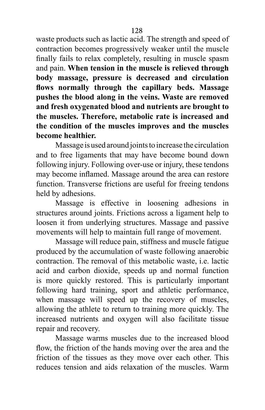waste products such as lactic acid. The strength and speed of contraction becomes progressively weaker until the muscle finally fails to relax completely, resulting in muscle spasm and pain. **When tension in the muscle is relieved through body massage, pressure is decreased and circulation flows normally through the capillary beds. Massage pushes the blood along in the veins. Waste are removed and fresh oxygenated blood and nutrients are brought to the muscles. Therefore, metabolic rate is increased and the condition of the muscles improves and the muscles become healthier.** 

Massage is used around joints to increase the circulation and to free ligaments that may have become bound down following injury. Following over-use or injury, these tendons may become inflamed. Massage around the area can restore function. Transverse frictions are useful for freeing tendons held by adhesions.

Massage is effective in loosening adhesions in structures around joints. Frictions across a ligament help to loosen it from underlying structures. Massage and passive movements will help to maintain full range of movement.

Massage will reduce pain, stiffness and muscle fatigue produced by the accumulation of waste following anaerobic contraction. The removal of this metabolic waste, i.e. lactic acid and carbon dioxide, speeds up and normal function is more quickly restored. This is particularly important following hard training, sport and athletic performance, when massage will speed up the recovery of muscles, allowing the athlete to return to training more quickly. The increased nutrients and oxygen will also facilitate tissue repair and recovery.

Massage warms muscles due to the increased blood flow, the friction of the hands moving over the area and the friction of the tissues as they move over each other. This reduces tension and aids relaxation of the muscles. Warm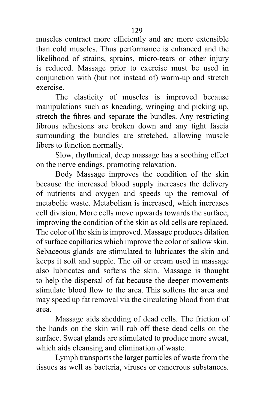muscles contract more efficiently and are more extensible than cold muscles. Thus performance is enhanced and the likelihood of strains, sprains, micro-tears or other injury is reduced. Massage prior to exercise must be used in conjunction with (but not instead of) warm-up and stretch exercise.

The elasticity of muscles is improved because manipulations such as kneading, wringing and picking up, stretch the fibres and separate the bundles. Any restricting fibrous adhesions are broken down and any tight fascia surrounding the bundles are stretched, allowing muscle fibers to function normally.

Slow, rhythmical, deep massage has a soothing effect on the nerve endings, promoting relaxation.

Body Massage improves the condition of the skin because the increased blood supply increases the delivery of nutrients and oxygen and speeds up the removal of metabolic waste. Metabolism is increased, which increases cell division. More cells move upwards towards the surface, improving the condition of the skin as old cells are replaced. The color of the skin is improved. Massage produces dilation of surface capillaries which improve the color of sallow skin. Sebaceous glands are stimulated to lubricates the skin and keeps it soft and supple. The oil or cream used in massage also lubricates and softens the skin. Massage is thought to help the dispersal of fat because the deeper movements stimulate blood flow to the area. This softens the area and may speed up fat removal via the circulating blood from that area.

Massage aids shedding of dead cells. The friction of the hands on the skin will rub off these dead cells on the surface. Sweat glands are stimulated to produce more sweat, which aids cleansing and elimination of waste.

Lymph transports the larger particles of waste from the tissues as well as bacteria, viruses or cancerous substances.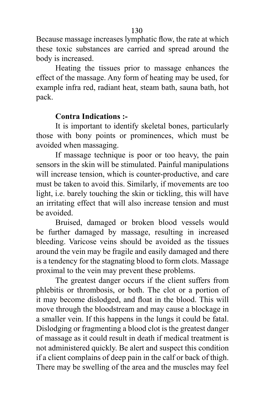Because massage increases lymphatic flow, the rate at which these toxic substances are carried and spread around the body is increased.

Heating the tissues prior to massage enhances the effect of the massage. Any form of heating may be used, for example infra red, radiant heat, steam bath, sauna bath, hot pack.

#### **Contra Indications :-**

It is important to identify skeletal bones, particularly those with bony points or prominences, which must be avoided when massaging.

If massage technique is poor or too heavy, the pain sensors in the skin will be stimulated. Painful manipulations will increase tension, which is counter-productive, and care must be taken to avoid this. Similarly, if movements are too light, i.e. barely touching the skin or tickling, this will have an irritating effect that will also increase tension and must be avoided.

Bruised, damaged or broken blood vessels would be further damaged by massage, resulting in increased bleeding. Varicose veins should be avoided as the tissues around the vein may be fragile and easily damaged and there is a tendency for the stagnating blood to form clots. Massage proximal to the vein may prevent these problems.

The greatest danger occurs if the client suffers from phlebitis or thrombosis, or both. The clot or a portion of it may become dislodged, and float in the blood. This will move through the bloodstream and may cause a blockage in a smaller vein. If this happens in the lungs it could be fatal. Dislodging or fragmenting a blood clot is the greatest danger of massage as it could result in death if medical treatment is not administered quickly. Be alert and suspect this condition if a client complains of deep pain in the calf or back of thigh. There may be swelling of the area and the muscles may feel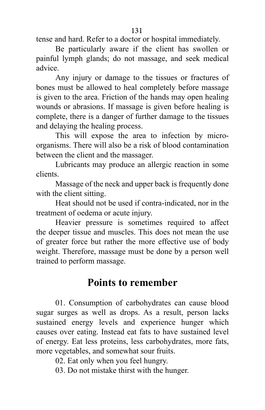tense and hard. Refer to a doctor or hospital immediately.

Be particularly aware if the client has swollen or painful lymph glands; do not massage, and seek medical advice.

Any injury or damage to the tissues or fractures of bones must be allowed to heal completely before massage is given to the area. Friction of the hands may open healing wounds or abrasions. If massage is given before healing is complete, there is a danger of further damage to the tissues and delaying the healing process.

This will expose the area to infection by microorganisms. There will also be a risk of blood contamination between the client and the massager.

Lubricants may produce an allergic reaction in some clients.

Massage of the neck and upper back is frequently done with the client sitting.

Heat should not be used if contra-indicated, nor in the treatment of oedema or acute injury.

Heavier pressure is sometimes required to affect the deeper tissue and muscles. This does not mean the use of greater force but rather the more effective use of body weight. Therefore, massage must be done by a person well trained to perform massage.

## **Points to remember**

01. Consumption of carbohydrates can cause blood sugar surges as well as drops. As a result, person lacks sustained energy levels and experience hunger which causes over eating. Instead eat fats to have sustained level of energy. Eat less proteins, less carbohydrates, more fats, more vegetables, and somewhat sour fruits.

02. Eat only when you feel hungry.

03. Do not mistake thirst with the hunger.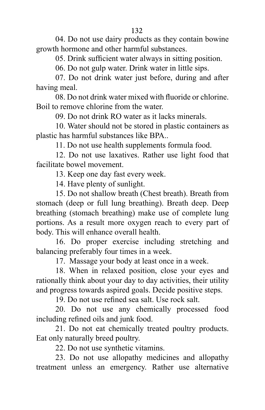04. Do not use dairy products as they contain bowine growth hormone and other harmful substances.

05. Drink sufficient water always in sitting position.

06. Do not gulp water. Drink water in little sips.

07. Do not drink water just before, during and after having meal.

08. Do not drink water mixed with fluoride or chlorine. Boil to remove chlorine from the water.

09. Do not drink RO water as it lacks minerals.

10. Water should not be stored in plastic containers as plastic has harmful substances like BPA..

11. Do not use health supplements formula food.

12. Do not use laxatives. Rather use light food that facilitate bowel movement.

13. Keep one day fast every week.

14. Have plenty of sunlight.

15. Do not shallow breath (Chest breath). Breath from stomach (deep or full lung breathing). Breath deep. Deep breathing (stomach breathing) make use of complete lung portions. As a result more oxygen reach to every part of body. This will enhance overall health.

16. Do proper exercise including stretching and balancing preferably four times in a week.

17. Massage your body at least once in a week.

18. When in relaxed position, close your eyes and rationally think about your day to day activities, their utility and progress towards aspired goals. Decide positive steps.

19. Do not use refined sea salt. Use rock salt.

20. Do not use any chemically processed food including refined oils and junk food.

21. Do not eat chemically treated poultry products. Eat only naturally breed poultry.

22. Do not use synthetic vitamins.

23. Do not use allopathy medicines and allopathy treatment unless an emergency. Rather use alternative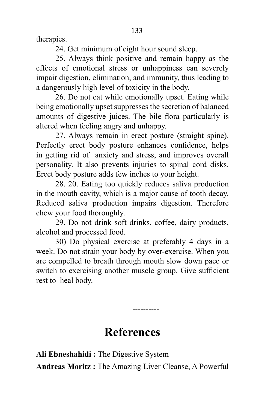therapies.

24. Get minimum of eight hour sound sleep.

25. Always think positive and remain happy as the effects of emotional stress or unhappiness can severely impair digestion, elimination, and immunity, thus leading to a dangerously high level of toxicity in the body.

26. Do not eat while emotionally upset. Eating while being emotionally upset suppresses the secretion of balanced amounts of digestive juices. The bile flora particularly is altered when feeling angry and unhappy.

27. Always remain in erect posture (straight spine). Perfectly erect body posture enhances confidence, helps in getting rid of anxiety and stress, and improves overall personality. It also prevents injuries to spinal cord disks. Erect body posture adds few inches to your height.

28. 20. Eating too quickly reduces saliva production in the mouth cavity, which is a major cause of tooth decay. Reduced saliva production impairs digestion. Therefore chew your food thoroughly.

29. Do not drink soft drinks, coffee, dairy products, alcohol and processed food.

30) Do physical exercise at preferably 4 days in a week. Do not strain your body by over-exercise. When you are compelled to breath through mouth slow down pace or switch to exercising another muscle group. Give sufficient rest to heal body.

## **References**

**Ali Ebneshahidi :** The Digestive System

----------

**Andreas Moritz :** The Amazing Liver Cleanse, A Powerful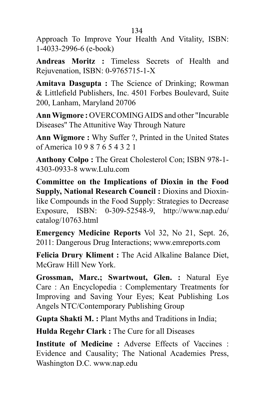Approach To Improve Your Health And Vitality, ISBN: 1-4033-2996-6 (e-book)

**Andreas Moritz :** Timeless Secrets of Health and Rejuvenation, ISBN: 0-9765715-1-X

**Amitava Dasgupta :** The Science of Drinking; Rowman & Littlefield Publishers, Inc. 4501 Forbes Boulevard, Suite 200, Lanham, Maryland 20706

**Ann Wigmore :** OVERCOMING AIDS and other "Incurable Diseases'' The Attunitive Way Through Nature

**Ann Wigmore :** Why Suffer ?, Printed in the United States of America 10 9 8 7 6 5 4 3 2 1

**Anthony Colpo :** The Great Cholesterol Con; ISBN 978-1- 4303-0933-8 www.Lulu.com

**Committee on the Implications of Dioxin in the Food Supply, National Research Council :** Dioxins and Dioxinlike Compounds in the Food Supply: Strategies to Decrease Exposure, ISBN: 0-309-52548-9, http://www.nap.edu/ catalog/10763.html

**Emergency Medicine Reports** Vol 32, No 21, Sept. 26, 2011: Dangerous Drug Interactions; www.emreports.com

**Felicia Drury Kliment :** The Acid Alkaline Balance Diet, McGraw Hill New York.

**Grossman, Marc.; Swartwout, Glen. :** Natural Eye Care : An Encyclopedia : Complementary Treatments for Improving and Saving Your Eyes; Keat Publishing Los Angels NTC/Contemporary Publishing Group

**Gupta Shakti M. :** Plant Myths and Traditions in India;

**Hulda Regehr Clark :** The Cure for all Diseases

**Institute of Medicine :** Adverse Effects of Vaccines : Evidence and Causality; The National Academies Press, Washington D.C. www.nap.edu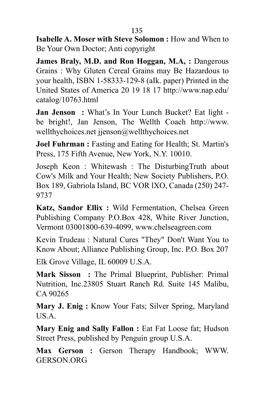**Isabelle A. Moser with Steve Solomon :** How and When to Be Your Own Doctor; Anti copyright

**James Braly, M.D. and Ron Hoggan, M.A, :** Dangerous Grains : Why Gluten Cereal Grains may Be Hazardous to your health, ISBN 1-58333-129-8 (aIk. paper) Printed in the United States of America 20 19 18 17 http://www.nap.edu/ catalog/10763.html

**Jan Jenson :** What's In Your Lunch Bucket? Eat light be bright!, Jan Jenson, The Wellth Coach http://www. wellthychoices.net jjenson@wellthychoices.net

**Joel Fuhrman :** Fasting and Eating for Health; St. Martin's Press, 175 Fifth Avenue, New York, N.Y. 10010.

Joseph Keon : Whitewash : The DisturbingTruth about Cow's Milk and Your Health; New Society Publishers, P.O. Box 189, Gabriola Island, BC VOR lXO, Canada (250) 247- 9737

**Katz, Sandor Ellix :** Wild Fermentation, Chelsea Green Publishing Company P.O.Box 428, White River Junction, Vermont 03001800-639-4099, www.chelseagreen.com

Kevin Trudeau : Natural Cures "They" Don't Want You to Know About; Alliance Publishing Group, Inc. P.O. Box 207

Elk Grove Village, IL 60009 U.S.A.

**Mark Sisson :** The Primal Blueprint, Publisher: Primal Nutrition, Inc.23805 Stuart Ranch Rd. Suite 145 Malibu, CA 90265

**Mary J. Enig :** Know Your Fats; Silver Spring, Maryland US.A.

**Mary Enig and Sally Fallon :** Eat Fat Loose fat; Hudson Street Press, published by Penguin group U.S.A.

**Max Gerson :** Gerson Therapy Handbook; WWW. GERSON.ORG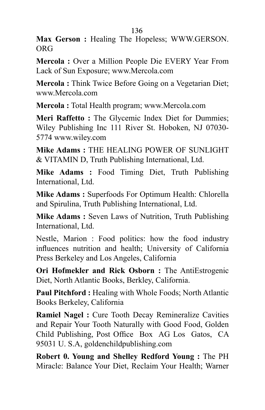**Max Gerson :** Healing The Hopeless; WWW.GERSON. ORG

**Mercola :** Over a Million People Die EVERY Year From Lack of Sun Exposure; www.Mercola.com

**Mercola :** Think Twice Before Going on a Vegetarian Diet; www.Mercola.com

**Mercola :** Total Health program; www.Mercola.com

**Meri Raffetto :** The Glycemic Index Diet for Dummies; Wiley Publishing Inc 111 River St. Hoboken, NJ 07030- 5774 www.wiley.com

**Mike Adams :** THE HEALING POWER OF SUNLIGHT & VITAMIN D, Truth Publishing International, Ltd.

**Mike Adams :** Food Timing Diet, Truth Publishing International, Ltd.

**Mike Adams :** Superfoods For Optimum Health: Chlorella and Spirulina, Truth Publishing International, Ltd.

**Mike Adams :** Seven Laws of Nutrition, Truth Publishing International, Ltd.

Nestle, Marion : Food politics: how the food industry influences nutrition and health; University of California Press Berkeley and Los Angeles, California

**Ori Hofmekler and Rick Osborn :** The AntiEstrogenic Diet, North Atlantic Books, Berkley, California.

**Paul Pitchford :** Healing with Whole Foods; North Atlantic Books Berkeley, California

**Ramiel Nagel :** Cure Tooth Decay Remineralize Cavities and Repair Your Tooth Naturally with Good Food, Golden Child Publishing, Post Office Box AG Los Gatos, CA 95031 U. S.A, goldenchildpublishing.com

**Robert 0. Young and Shelley Redford Young :** The PH Miracle: Balance Your Diet, Reclaim Your Health; Warner